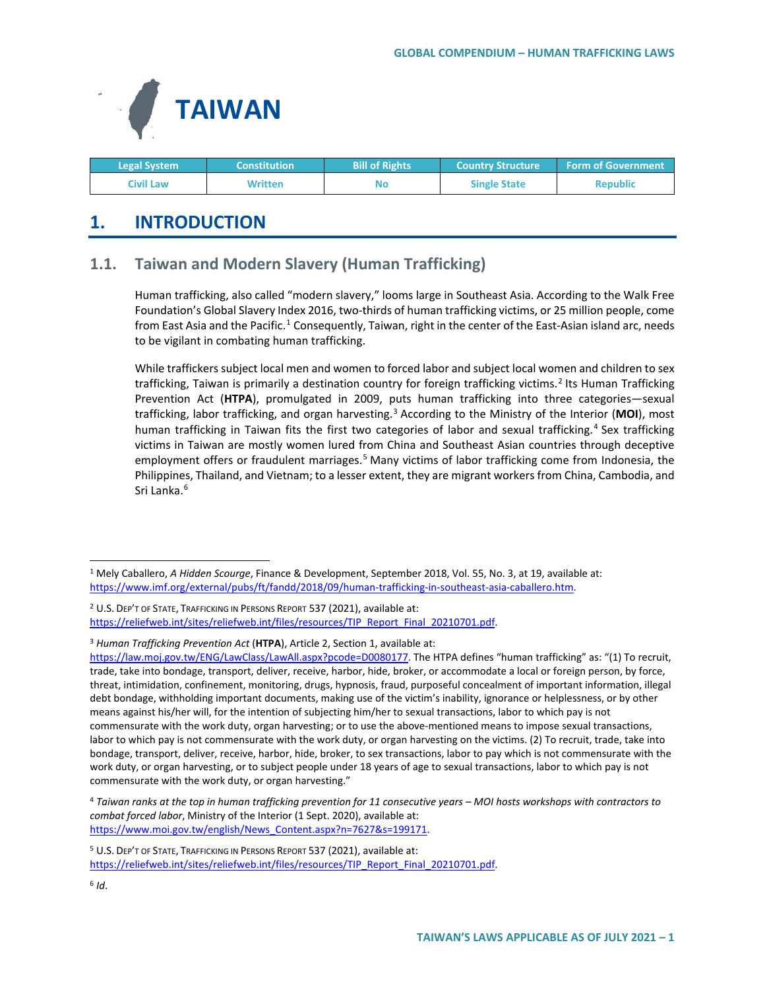

| <b>Legal System</b> | <b>Constitution</b> | <b>Bill of Rights</b> | <b>Country Structure ا</b> | <b>Form of Government</b> |
|---------------------|---------------------|-----------------------|----------------------------|---------------------------|
| Civil Law           | Written             | No                    | <b>Single State</b>        | <b>Republic</b>           |

# **1. INTRODUCTION**

## **1.1. Taiwan and Modern Slavery (Human Trafficking)**

Human trafficking, also called "modern slavery," looms large in Southeast Asia. According to the Walk Free Foundation's Global Slavery Index 2016, two-thirds of human trafficking victims, or 25 million people, come from East Asia and the Pacific.<sup>[1](#page-0-0)</sup> Consequently, Taiwan, right in the center of the East-Asian island arc, needs to be vigilant in combating human trafficking.

While traffickers subject local men and women to forced labor and subject local women and children to sex trafficking, Taiwan is primarily a destination country for foreign trafficking victims.<sup>[2](#page-0-1)</sup> Its Human Trafficking Prevention Act (**HTPA**), promulgated in 2009, puts human trafficking into three categories—sexual trafficking, labor trafficking, and organ harvesting.[3](#page-0-2) According to the Ministry of the Interior (**MOI**), most human trafficking in Taiwan fits the first two categories of labor and sexual trafficking.<sup>[4](#page-0-3)</sup> Sex trafficking victims in Taiwan are mostly women lured from China and Southeast Asian countries through deceptive employment offers or fraudulent marriages.<sup>[5](#page-0-4)</sup> Many victims of labor trafficking come from Indonesia, the Philippines, Thailand, and Vietnam; to a lesser extent, they are migrant workers from China, Cambodia, and Sri Lanka.<sup>[6](#page-0-5)</sup>

<span id="page-0-2"></span><sup>3</sup> *Human Trafficking Prevention Act* (**HTPA**), Article 2, Section 1, available at:

<span id="page-0-4"></span><sup>5</sup> U.S. DEP'T OF STATE, TRAFFICKING IN PERSONS REPORT 537 (2021), available at:

<span id="page-0-5"></span>[https://reliefweb.int/sites/reliefweb.int/files/resources/TIP\\_Report\\_Final\\_20210701.pdf.](https://reliefweb.int/sites/reliefweb.int/files/resources/TIP_Report_Final_20210701.pdf)

<span id="page-0-0"></span> <sup>1</sup> Mely Caballero, *A Hidden Scourge*, Finance & Development, September 2018, Vol. 55, No. 3, at 19, available at: [https://www.imf.org/external/pubs/ft/fandd/2018/09/human-trafficking-in-southeast-asia-caballero.htm.](https://www.imf.org/external/pubs/ft/fandd/2018/09/human-trafficking-in-southeast-asia-caballero.htm)

<span id="page-0-1"></span><sup>&</sup>lt;sup>2</sup> U.S. DEP'T OF STATE, TRAFFICKING IN PERSONS REPORT 537 (2021), available at: [https://reliefweb.int/sites/reliefweb.int/files/resources/TIP\\_Report\\_Final\\_20210701.pdf.](https://reliefweb.int/sites/reliefweb.int/files/resources/TIP_Report_Final_20210701.pdf)

[https://law.moj.gov.tw/ENG/LawClass/LawAll.aspx?pcode=D0080177.](https://law.moj.gov.tw/ENG/LawClass/LawAll.aspx?pcode=D0080177) The HTPA defines "human trafficking" as: "(1) To recruit, trade, take into bondage, transport, deliver, receive, harbor, hide, broker, or accommodate a local or foreign person, by force, threat, intimidation, confinement, monitoring, drugs, hypnosis, fraud, purposeful concealment of important information, illegal debt bondage, withholding important documents, making use of the victim's inability, ignorance or helplessness, or by other means against his/her will, for the intention of subjecting him/her to sexual transactions, labor to which pay is not commensurate with the work duty, organ harvesting; or to use the above-mentioned means to impose sexual transactions, labor to which pay is not commensurate with the work duty, or organ harvesting on the victims. (2) To recruit, trade, take into bondage, transport, deliver, receive, harbor, hide, broker, to sex transactions, labor to pay which is not commensurate with the work duty, or organ harvesting, or to subject people under 18 years of age to sexual transactions, labor to which pay is not commensurate with the work duty, or organ harvesting."

<span id="page-0-3"></span><sup>4</sup> *Taiwan ranks at the top in human trafficking prevention for 11 consecutive years – MOI hosts workshops with contractors to combat forced labor*, Ministry of the Interior (1 Sept. 2020), available at: [https://www.moi.gov.tw/english/News\\_Content.aspx?n=7627&s=199171.](https://www.moi.gov.tw/english/News_Content.aspx?n=7627&s=199171)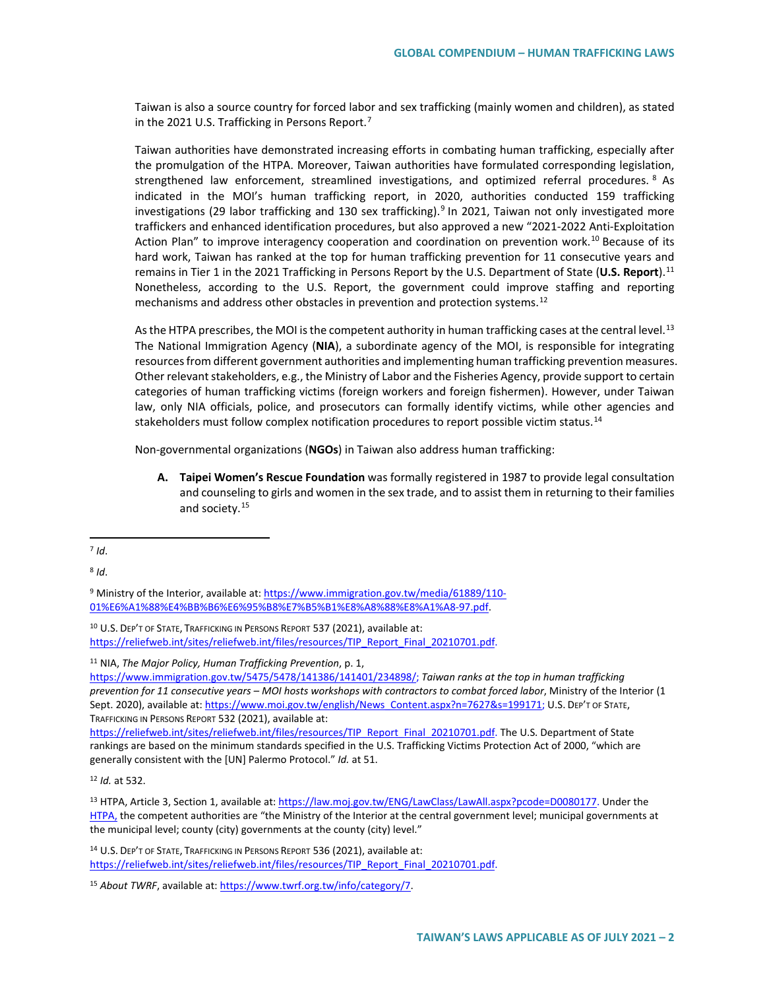Taiwan is also a source country for forced labor and sex trafficking (mainly women and children), as stated in the 2021 U.S. Trafficking in Persons Report.<sup>[7](#page-1-0)</sup>

Taiwan authorities have demonstrated increasing efforts in combating human trafficking, especially after the promulgation of the HTPA. Moreover, Taiwan authorities have formulated corresponding legislation, strengthened law enforcement, streamlined investigations, and optimized referral procedures. [8](#page-1-1) As indicated in the MOI's human trafficking report, in 2020, authorities conducted 159 trafficking investigations (2[9](#page-1-2) labor trafficking and 130 sex trafficking).<sup>9</sup> In 2021, Taiwan not only investigated more traffickers and enhanced identification procedures, but also approved a new "2021-2022 Anti-Exploitation Action Plan" to improve interagency cooperation and coordination on prevention work.<sup>[10](#page-1-3)</sup> Because of its hard work, Taiwan has ranked at the top for human trafficking prevention for 11 consecutive years and remains in Tier 1 in the 2021 Trafficking in Persons Report by the U.S. Department of State (**U.S. Report**). [11](#page-1-4) Nonetheless, according to the U.S. Report, the government could improve staffing and reporting mechanisms and address other obstacles in prevention and protection systems.<sup>[12](#page-1-5)</sup>

As the HTPA prescribes, the MOI is the competent authority in human trafficking cases at the central level.<sup>[13](#page-1-6)</sup> The National Immigration Agency (**NIA**), a subordinate agency of the MOI, is responsible for integrating resources from different government authorities and implementing human trafficking prevention measures. Other relevant stakeholders, e.g., the Ministry of Labor and the Fisheries Agency, provide support to certain categories of human trafficking victims (foreign workers and foreign fishermen). However, under Taiwan law, only NIA officials, police, and prosecutors can formally identify victims, while other agencies and stakeholders must follow complex notification procedures to report possible victim status.<sup>[14](#page-1-7)</sup>

Non-governmental organizations (**NGOs**) in Taiwan also address human trafficking:

**A. Taipei Women's Rescue Foundation** was formally registered in 1987 to provide legal consultation and counseling to girls and women in the sex trade, and to assist them in returning to their families and society.[15](#page-1-8)

<span id="page-1-1"></span> $8$   $\overline{d}$ .

<span id="page-1-2"></span><sup>9</sup> Ministry of the Interior, available at[: https://www.immigration.gov.tw/media/61889/110-](https://www.immigration.gov.tw/media/61889/110-01%E6%A1%88%E4%BB%B6%E6%95%B8%E7%B5%B1%E8%A8%88%E8%A1%A8-97.pdf) [01%E6%A1%88%E4%BB%B6%E6%95%B8%E7%B5%B1%E8%A8%88%E8%A1%A8-97.pdf.](https://www.immigration.gov.tw/media/61889/110-01%E6%A1%88%E4%BB%B6%E6%95%B8%E7%B5%B1%E8%A8%88%E8%A1%A8-97.pdf)

<span id="page-1-3"></span><sup>10</sup> U.S. DEP'T OF STATE, TRAFFICKING IN PERSONS REPORT 537 (2021), available at: [https://reliefweb.int/sites/reliefweb.int/files/resources/TIP\\_Report\\_Final\\_20210701.pdf.](https://reliefweb.int/sites/reliefweb.int/files/resources/TIP_Report_Final_20210701.pdf)

<span id="page-1-4"></span><sup>11</sup> NIA, *The Major Policy, Human Trafficking Prevention*, p. 1,

[https://www.immigration.gov.tw/5475/5478/141386/141401/234898/;](https://www.immigration.gov.tw/5475/5478/141386/141401/234898/) *Taiwan ranks at the top in human trafficking prevention for 11 consecutive years – MOI hosts workshops with contractors to combat forced labor*, Ministry of the Interior (1 Sept. 2020), available at[: https://www.moi.gov.tw/english/News\\_Content.aspx?n=7627&s=199171;](https://www.moi.gov.tw/english/News_Content.aspx?n=7627&s=199171) U.S. DEP'T OF STATE, TRAFFICKING IN PERSONS REPORT 532 (2021), available at:

[https://reliefweb.int/sites/reliefweb.int/files/resources/TIP\\_Report\\_Final\\_20210701.pdf.](https://reliefweb.int/sites/reliefweb.int/files/resources/TIP_Report_Final_20210701.pdf) The U.S. Department of State rankings are based on the minimum standards specified in the U.S. Trafficking Victims Protection Act of 2000, "which are generally consistent with the [UN] Palermo Protocol." *Id.* at 51.

<span id="page-1-5"></span><sup>12</sup> *Id.* at 532.

<span id="page-1-6"></span><sup>13</sup> HTPA, Article 3, Section 1, available at: [https://law.moj.gov.tw/ENG/LawClass/LawAll.aspx?pcode=D0080177.](https://law.moj.gov.tw/ENG/LawClass/LawAll.aspx?pcode=D0080177) Under the HTPA, the competent authorities are "the Ministry of the Interior at the central government level; municipal governments at the municipal level; county (city) governments at the county (city) level."

<span id="page-1-7"></span>14 U.S. DEP'T OF STATE, TRAFFICKING IN PERSONS REPORT 536 (2021), available at: [https://reliefweb.int/sites/reliefweb.int/files/resources/TIP\\_Report\\_Final\\_20210701.pdf.](https://reliefweb.int/sites/reliefweb.int/files/resources/TIP_Report_Final_20210701.pdf)

<span id="page-1-0"></span> $7$  *Id*.

<span id="page-1-8"></span><sup>15</sup> *About TWRF*, available at[: https://www.twrf.org.tw/info/category/7.](https://www.twrf.org.tw/info/category/7)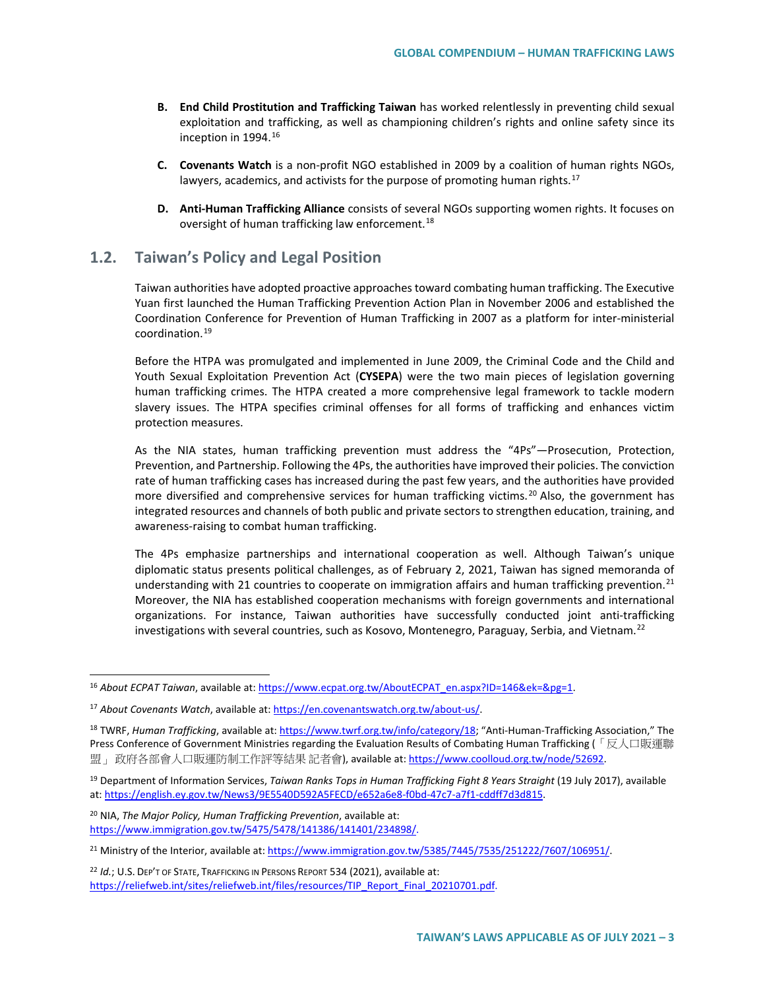- **B. End Child Prostitution and Trafficking Taiwan** has worked relentlessly in preventing child sexual exploitation and trafficking, as well as championing children's rights and online safety since its inception in 1994.[16](#page-2-0)
- **C. Covenants Watch** is a non-profit NGO established in 2009 by a coalition of human rights NGOs, lawyers, academics, and activists for the purpose of promoting human rights.<sup>[17](#page-2-1)</sup>
- **D. Anti-Human Trafficking Alliance** consists of several NGOs supporting women rights. It focuses on oversight of human trafficking law enforcement.<sup>[18](#page-2-2)</sup>

## **1.2. Taiwan's Policy and Legal Position**

Taiwan authorities have adopted proactive approaches toward combating human trafficking. The Executive Yuan first launched the Human Trafficking Prevention Action Plan in November 2006 and established the Coordination Conference for Prevention of Human Trafficking in 2007 as a platform for inter-ministerial coordination.[19](#page-2-3)

Before the HTPA was promulgated and implemented in June 2009, the Criminal Code and the Child and Youth Sexual Exploitation Prevention Act (**CYSEPA**) were the two main pieces of legislation governing human trafficking crimes. The HTPA created a more comprehensive legal framework to tackle modern slavery issues. The HTPA specifies criminal offenses for all forms of trafficking and enhances victim protection measures.

As the NIA states, human trafficking prevention must address the "4Ps"—Prosecution, Protection, Prevention, and Partnership. Following the 4Ps, the authorities have improved their policies. The conviction rate of human trafficking cases has increased during the past few years, and the authorities have provided more diversified and comprehensive services for human trafficking victims. [20](#page-2-4) Also, the government has integrated resources and channels of both public and private sectors to strengthen education, training, and awareness-raising to combat human trafficking.

The 4Ps emphasize partnerships and international cooperation as well. Although Taiwan's unique diplomatic status presents political challenges, as of February 2, 2021, Taiwan has signed memoranda of understanding with [21](#page-2-5) countries to cooperate on immigration affairs and human trafficking prevention.<sup>21</sup> Moreover, the NIA has established cooperation mechanisms with foreign governments and international organizations. For instance, Taiwan authorities have successfully conducted joint anti-trafficking investigations with several countries, such as Kosovo, Montenegro, Paraguay, Serbia, and Vietnam.<sup>[22](#page-2-6)</sup>

<span id="page-2-4"></span><sup>20</sup> NIA, *The Major Policy, Human Trafficking Prevention*, available at: [https://www.immigration.gov.tw/5475/5478/141386/141401/234898/.](https://www.immigration.gov.tw/5475/5478/141386/141401/234898/)

<span id="page-2-6"></span><sup>22</sup> *Id.*; U.S. DEP'T OF STATE, TRAFFICKING IN PERSONS REPORT 534 (2021), available at: [https://reliefweb.int/sites/reliefweb.int/files/resources/TIP\\_Report\\_Final\\_20210701.pdf.](https://reliefweb.int/sites/reliefweb.int/files/resources/TIP_Report_Final_20210701.pdf)

<span id="page-2-0"></span><sup>&</sup>lt;sup>16</sup> About ECPAT Taiwan, available at: https://www.ecpat.org.tw/AboutECPAT\_en.aspx?ID=146&ek=&pg=1.

<span id="page-2-1"></span><sup>17</sup> *About Covenants Watch*, available at: [https://en.covenantswatch.org.tw/about-us/.](https://en.covenantswatch.org.tw/about-us/)

<span id="page-2-2"></span><sup>18</sup> TWRF, *Human Trafficking*, available at: [https://www.twrf.org.tw/info/category/18;](https://www.twrf.org.tw/info/category/18) "Anti-Human-Trafficking Association," The Press Conference of Government Ministries regarding the Evaluation Results of Combating Human Trafficking (「反人口販運聯 盟」政府各部會人口販運防制工作評等結果 記者會), available at[: https://www.coolloud.org.tw/node/52692.](https://www.coolloud.org.tw/node/52692)

<span id="page-2-3"></span><sup>19</sup> Department of Information Services, *Taiwan Ranks Tops in Human Trafficking Fight 8 Years Straight* (19 July 2017), available at: [https://english.ey.gov.tw/News3/9E5540D592A5FECD/e652a6e8-f0bd-47c7-a7f1-cddff7d3d815.](https://english.ey.gov.tw/News3/9E5540D592A5FECD/e652a6e8-f0bd-47c7-a7f1-cddff7d3d815) 

<span id="page-2-5"></span><sup>&</sup>lt;sup>21</sup> Ministry of the Interior, available at[: https://www.immigration.gov.tw/5385/7445/7535/251222/7607/106951/.](https://www.immigration.gov.tw/5385/7445/7535/251222/7607/106951/)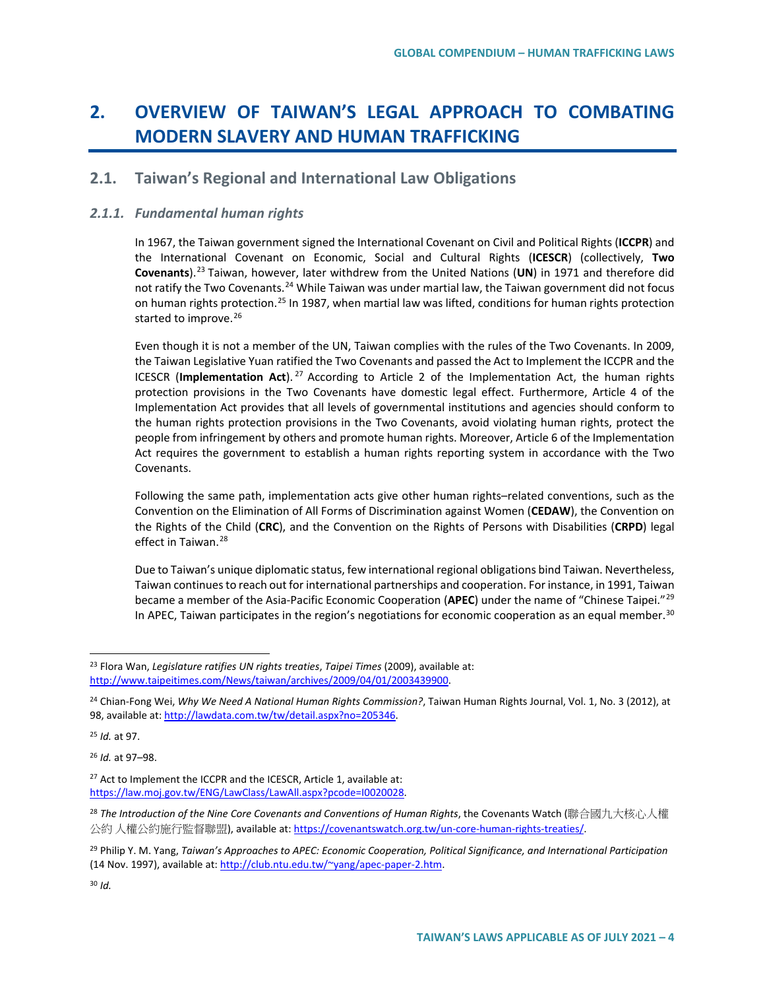# **2. OVERVIEW OF TAIWAN'S LEGAL APPROACH TO COMBATING MODERN SLAVERY AND HUMAN TRAFFICKING**

## **2.1. Taiwan's Regional and International Law Obligations**

### *2.1.1. Fundamental human rights*

In 1967, the Taiwan government signed the International Covenant on Civil and Political Rights (**ICCPR**) and the International Covenant on Economic, Social and Cultural Rights (**ICESCR**) (collectively, **Two Covenants**).[23](#page-3-0) Taiwan, however, later withdrew from the United Nations (**UN**) in 1971 and therefore did not ratify the Two Covenants.<sup>[24](#page-3-1)</sup> While Taiwan was under martial law, the Taiwan government did not focus on human rights protection.<sup>25</sup> In 1987, when martial law was lifted, conditions for human rights protection started to improve.<sup>[26](#page-3-3)</sup>

Even though it is not a member of the UN, Taiwan complies with the rules of the Two Covenants. In 2009, the Taiwan Legislative Yuan ratified the Two Covenants and passed the Act to Implement the ICCPR and the ICESCR (**Implementation Act**). [27](#page-3-4) According to Article 2 of the Implementation Act, the human rights protection provisions in the Two Covenants have domestic legal effect. Furthermore, Article 4 of the Implementation Act provides that all levels of governmental institutions and agencies should conform to the human rights protection provisions in the Two Covenants, avoid violating human rights, protect the people from infringement by others and promote human rights. Moreover, Article 6 of the Implementation Act requires the government to establish a human rights reporting system in accordance with the Two Covenants.

Following the same path, implementation acts give other human rights–related conventions, such as the Convention on the Elimination of All Forms of Discrimination against Women (**CEDAW**), the Convention on the Rights of the Child (**CRC**), and the Convention on the Rights of Persons with Disabilities (**CRPD**) legal effect in Taiwan.<sup>[28](#page-3-5)</sup>

Due to Taiwan's unique diplomatic status, few international regional obligations bind Taiwan. Nevertheless, Taiwan continues to reach out for international partnerships and cooperation. For instance, in 1991, Taiwan became a member of the Asia-Pacific Economic Cooperation (**APEC**) under the name of "Chinese Taipei."[29](#page-3-6) In APEC, Taiwan participates in the region's negotiations for economic cooperation as an equal member.<sup>[30](#page-3-7)</sup>

<span id="page-3-2"></span><sup>25</sup> *Id.* at 97.

<span id="page-3-3"></span><sup>26</sup> *Id.* at 97–98.

<span id="page-3-0"></span> <sup>23</sup> Flora Wan, *Legislature ratifies UN rights treaties*, *Taipei Times* (2009), available at: [http://www.taipeitimes.com/News/taiwan/archives/2009/04/01/2003439900.](http://www.taipeitimes.com/News/taiwan/archives/2009/04/01/2003439900)

<span id="page-3-1"></span><sup>24</sup> Chian-Fong Wei, *Why We Need A National Human Rights Commission?*, Taiwan Human Rights Journal, Vol. 1, No. 3 (2012), at 98, available at[: http://lawdata.com.tw/tw/detail.aspx?no=205346.](http://lawdata.com.tw/tw/detail.aspx?no=205346)

<span id="page-3-4"></span><sup>&</sup>lt;sup>27</sup> Act to Implement the ICCPR and the ICESCR, Article 1, available at: [https://law.moj.gov.tw/ENG/LawClass/LawAll.aspx?pcode=I0020028.](https://law.moj.gov.tw/ENG/LawClass/LawAll.aspx?pcode=I0020028)

<span id="page-3-5"></span><sup>&</sup>lt;sup>28</sup> The Introduction of the Nine Core Covenants and Conventions of Human Rights, the Covenants Watch (聯合國九大核心人權 公約 人權公約施行監督聯盟), available at[: https://covenantswatch.org.tw/un-core-human-rights-treaties/.](https://covenantswatch.org.tw/un-core-human-rights-treaties/) 

<span id="page-3-6"></span><sup>29</sup> Philip Y. M. Yang, *Taiwan's Approaches to APEC: Economic Cooperation, Political Significance, and International Participation* (14 Nov. 1997), available at[: http://club.ntu.edu.tw/~yang/apec-paper-2.htm.](http://club.ntu.edu.tw/%7Eyang/apec-paper-2.htm)

<span id="page-3-7"></span><sup>30</sup> *Id.*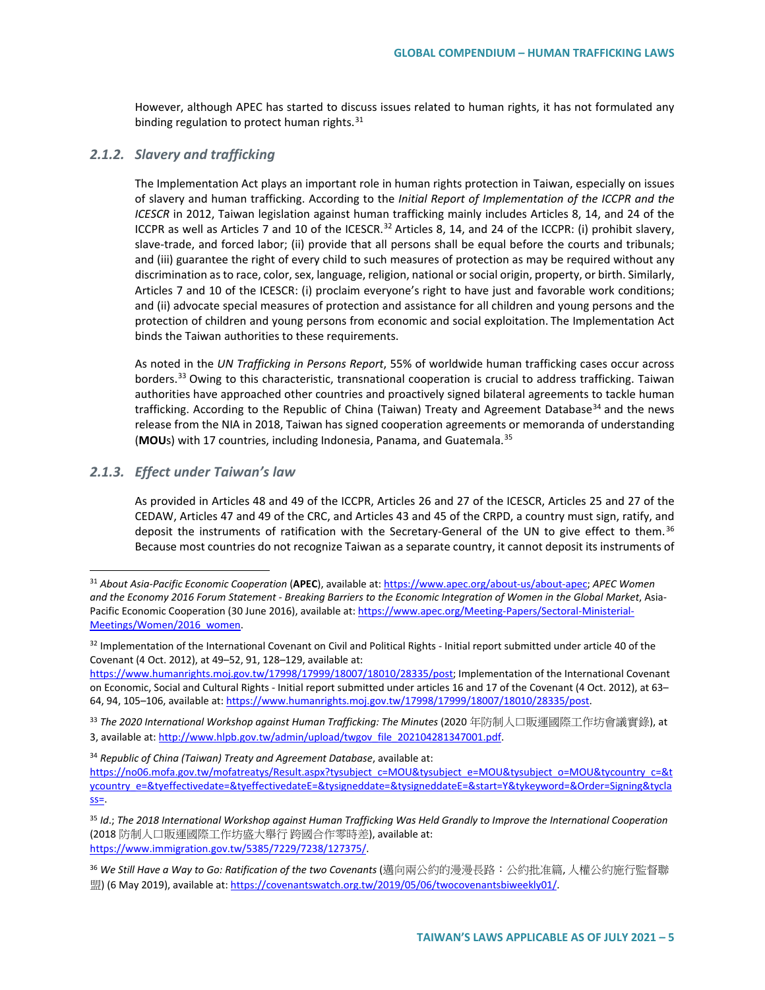However, although APEC has started to discuss issues related to human rights, it has not formulated any binding regulation to protect human rights. $31$ 

#### *2.1.2. Slavery and trafficking*

The Implementation Act plays an important role in human rights protection in Taiwan, especially on issues of slavery and human trafficking. According to the *Initial Report of Implementation of the ICCPR and the ICESCR* in 2012, Taiwan legislation against human trafficking mainly includes Articles 8, 14, and 24 of the ICCPR as well as Articles 7 and 10 of the ICESCR.<sup>[32](#page-4-1)</sup> Articles 8, 14, and 24 of the ICCPR: (i) prohibit slavery, slave-trade, and forced labor; (ii) provide that all persons shall be equal before the courts and tribunals; and (iii) guarantee the right of every child to such measures of protection as may be required without any discrimination as to race, color, sex, language, religion, national or social origin, property, or birth. Similarly, Articles 7 and 10 of the ICESCR: (i) proclaim everyone's right to have just and favorable work conditions; and (ii) advocate special measures of protection and assistance for all children and young persons and the protection of children and young persons from economic and social exploitation. The Implementation Act binds the Taiwan authorities to these requirements.

As noted in the *UN Trafficking in Persons Report*, 55% of worldwide human trafficking cases occur across borders.[33](#page-4-2) Owing to this characteristic, transnational cooperation is crucial to address trafficking. Taiwan authorities have approached other countries and proactively signed bilateral agreements to tackle human trafficking. According to the Republic of China (Taiwan) Treaty and Agreement Database<sup>[34](#page-4-3)</sup> and the news release from the NIA in 2018, Taiwan has signed cooperation agreements or memoranda of understanding (MOU<sub>S</sub>) with 17 countries, including Indonesia, Panama, and Guatemala.<sup>[35](#page-4-4)</sup>

#### *2.1.3. Effect under Taiwan's law*

As provided in Articles 48 and 49 of the ICCPR, Articles 26 and 27 of the ICESCR, Articles 25 and 27 of the CEDAW, Articles 47 and 49 of the CRC, and Articles 43 and 45 of the CRPD, a country must sign, ratify, and deposit the instruments of ratification with the Secretary-General of the UN to give effect to them. [36](#page-4-5) Because most countries do not recognize Taiwan as a separate country, it cannot deposit its instruments of

[https://www.humanrights.moj.gov.tw/17998/17999/18007/18010/28335/post;](https://www.humanrights.moj.gov.tw/17998/17999/18007/18010/28335/post) Implementation of the International Covenant on Economic, Social and Cultural Rights - Initial report submitted under articles 16 and 17 of the Covenant (4 Oct. 2012), at 63– 64, 94, 105–106, available at[: https://www.humanrights.moj.gov.tw/17998/17999/18007/18010/28335/post.](https://www.humanrights.moj.gov.tw/17998/17999/18007/18010/28335/post)

<span id="page-4-3"></span><sup>34</sup> *Republic of China (Taiwan) Treaty and Agreement Database*, available at:

<span id="page-4-0"></span> <sup>31</sup> *About Asia-Pacific Economic Cooperation* (**APEC**), available at[: https://www.apec.org/about-us/about-apec;](https://www.apec.org/about-us/about-apec) *APEC Women and the Economy 2016 Forum Statement - Breaking Barriers to the Economic Integration of Women in the Global Market*, Asia-Pacific Economic Cooperation (30 June 2016), available at[: https://www.apec.org/Meeting-Papers/Sectoral-Ministerial-](https://www.apec.org/Meeting-Papers/Sectoral-Ministerial-Meetings/Women/2016_women)[Meetings/Women/2016\\_women.](https://www.apec.org/Meeting-Papers/Sectoral-Ministerial-Meetings/Women/2016_women)

<span id="page-4-1"></span><sup>32</sup> Implementation of the International Covenant on Civil and Political Rights - Initial report submitted under article 40 of the Covenant (4 Oct. 2012), at 49–52, 91, 128–129, available at:

<span id="page-4-2"></span><sup>33</sup> *The 2020 International Workshop against Human Trafficking: The Minutes* (2020 年防制人口販運國際工作坊會議實錄), at 3, available at[: http://www.hlpb.gov.tw/admin/upload/twgov\\_file\\_202104281347001.pdf.](http://www.hlpb.gov.tw/admin/upload/twgov_file_202104281347001.pdf)

[https://no06.mofa.gov.tw/mofatreatys/Result.aspx?tysubject\\_c=MOU&tysubject\\_e=MOU&tysubject\\_o=MOU&tycountry\\_c=&t](https://no06.mofa.gov.tw/mofatreatys/Result.aspx?tysubject_c=MOU&tysubject_e=MOU&tysubject_o=MOU&tycountry_c=&tycountry_e=&tyeffectivedate=&tyeffectivedateE=&tysigneddate=&tysigneddateE=&start=Y&tykeyword=&Order=Signing&tyclass) [ycountry\\_e=&tyeffectivedate=&tyeffectivedateE=&tysigneddate=&tysigneddateE=&start=Y&tykeyword=&Order=Signing&tycla](https://no06.mofa.gov.tw/mofatreatys/Result.aspx?tysubject_c=MOU&tysubject_e=MOU&tysubject_o=MOU&tycountry_c=&tycountry_e=&tyeffectivedate=&tyeffectivedateE=&tysigneddate=&tysigneddateE=&start=Y&tykeyword=&Order=Signing&tyclass)  $SS=$ .

<span id="page-4-4"></span><sup>35</sup> *Id*.; *The 2018 International Workshop against Human Trafficking Was Held Grandly to Improve the International Cooperation* (2018 防制人口販運國際工作坊盛大舉行 跨國合作零時差), available at: [https://www.immigration.gov.tw/5385/7229/7238/127375/.](https://www.immigration.gov.tw/5385/7229/7238/127375/)

<span id="page-4-5"></span><sup>&</sup>lt;sup>36</sup> We Still Have a Way to Go: Ratification of the two Covenants (邁向兩公約的漫漫長路: 公約批准篇, 人權公約施行監督聯 盟) (6 May 2019), available at[: https://covenantswatch.org.tw/2019/05/06/twocovenantsbiweekly01/.](https://covenantswatch.org.tw/2019/05/06/twocovenantsbiweekly01/)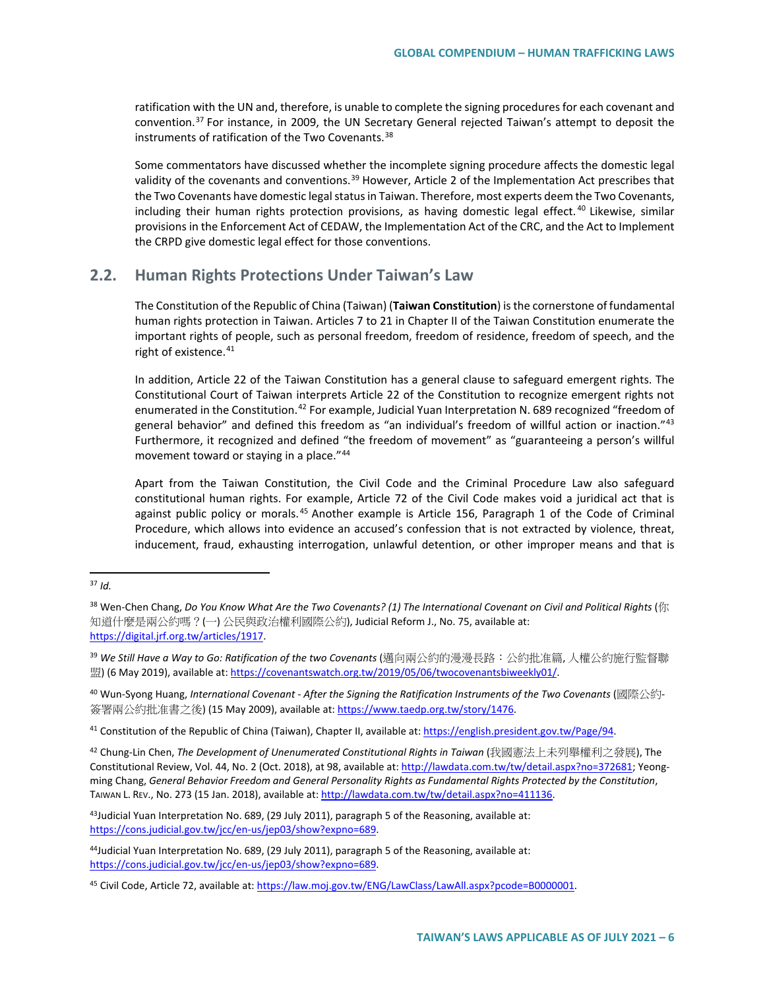ratification with the UN and, therefore, is unable to complete the signing procedures for each covenant and convention.[37](#page-5-0) For instance, in 2009, the UN Secretary General rejected Taiwan's attempt to deposit the instruments of ratification of the Two Covenants.<sup>[38](#page-5-1)</sup>

Some commentators have discussed whether the incomplete signing procedure affects the domestic legal validity of the covenants and conventions.<sup>[39](#page-5-2)</sup> However, Article 2 of the Implementation Act prescribes that the Two Covenants have domestic legal status in Taiwan. Therefore, most experts deem the Two Covenants, including their human rights protection provisions, as having domestic legal effect.<sup>[40](#page-5-3)</sup> Likewise, similar provisions in the Enforcement Act of CEDAW, the Implementation Act of the CRC, and the Act to Implement the CRPD give domestic legal effect for those conventions.

## **2.2. Human Rights Protections Under Taiwan's Law**

The Constitution of the Republic of China (Taiwan) (**Taiwan Constitution**) is the cornerstone of fundamental human rights protection in Taiwan. Articles 7 to 21 in Chapter II of the Taiwan Constitution enumerate the important rights of people, such as personal freedom, freedom of residence, freedom of speech, and the right of existence.<sup>[41](#page-5-4)</sup>

In addition, Article 22 of the Taiwan Constitution has a general clause to safeguard emergent rights. The Constitutional Court of Taiwan interprets Article 22 of the Constitution to recognize emergent rights not enumerated in the Constitution.<sup>[42](#page-5-5)</sup> For example, Judicial Yuan Interpretation N. 689 recognized "freedom of general behavior" and defined this freedom as "an individual's freedom of willful action or inaction."<sup>[43](#page-5-6)</sup> Furthermore, it recognized and defined "the freedom of movement" as "guaranteeing a person's willful movement toward or staying in a place."<sup>[44](#page-5-7)</sup>

Apart from the Taiwan Constitution, the Civil Code and the Criminal Procedure Law also safeguard constitutional human rights. For example, Article 72 of the Civil Code makes void a juridical act that is against public policy or morals.<sup>[45](#page-5-8)</sup> Another example is Article 156, Paragraph 1 of the Code of Criminal Procedure, which allows into evidence an accused's confession that is not extracted by violence, threat, inducement, fraud, exhausting interrogation, unlawful detention, or other improper means and that is

<span id="page-5-3"></span><sup>40</sup> Wun-Syong Huang, *International Covenant - After the Signing the Ratification Instruments of the Two Covenants* (國際公約-簽署兩公約批准書之後) (15 May 2009), available at[: https://www.taedp.org.tw/story/1476.](https://www.taedp.org.tw/story/1476)

<span id="page-5-4"></span><sup>41</sup> Constitution of the Republic of China (Taiwan), Chapter II, available at[: https://english.president.gov.tw/Page/94.](https://english.president.gov.tw/Page/94)

<span id="page-5-5"></span><sup>42</sup> Chung-Lin Chen, *The Development of Unenumerated Constitutional Rights in Taiwan* (我國憲法上未列舉權利之發展), The Constitutional Review, Vol. 44, No. 2 (Oct. 2018), at 98, available at[: http://lawdata.com.tw/tw/detail.aspx?no=372681;](http://lawdata.com.tw/tw/detail.aspx?no=372681) Yeongming Chang, *General Behavior Freedom and General Personality Rights as Fundamental Rights Protected by the Constitution*, TAIWAN L. REV., No. 273 (15 Jan. 2018), available at[: http://lawdata.com.tw/tw/detail.aspx?no=411136.](http://lawdata.com.tw/tw/detail.aspx?no=411136)

<span id="page-5-6"></span><sup>43</sup>Judicial Yuan Interpretation No. 689, (29 July 2011), paragraph 5 of the Reasoning, available at: [https://cons.judicial.gov.tw/jcc/en-us/jep03/show?expno=689.](https://cons.judicial.gov.tw/jcc/en-us/jep03/show?expno=689)

<span id="page-5-0"></span> <sup>37</sup> *Id.*

<span id="page-5-1"></span><sup>38</sup> Wen-Chen Chang, *Do You Know What Are the Two Covenants? (1) The International Covenant on Civil and Political Rights* (你 知道什麼是兩公約嗎?(一) 公民與政治權利國際公約), Judicial Reform J., No. 75, available at: [https://digital.jrf.org.tw/articles/1917.](https://digital.jrf.org.tw/articles/1917)

<span id="page-5-2"></span><sup>&</sup>lt;sup>39</sup> We Still Have a Way to Go: Ratification of the two Covenants (邁向兩公約的漫漫長路: 公約批准篇, 人權公約施行監督聯 盟) (6 May 2019), available at[: https://covenantswatch.org.tw/2019/05/06/twocovenantsbiweekly01/.](https://covenantswatch.org.tw/2019/05/06/twocovenantsbiweekly01/)

<span id="page-5-7"></span><sup>44</sup>Judicial Yuan Interpretation No. 689, (29 July 2011), paragraph 5 of the Reasoning, available at: [https://cons.judicial.gov.tw/jcc/en-us/jep03/show?expno=689.](https://cons.judicial.gov.tw/jcc/en-us/jep03/show?expno=689)

<span id="page-5-8"></span><sup>45</sup> Civil Code, Article 72, available at[: https://law.moj.gov.tw/ENG/LawClass/LawAll.aspx?pcode=B0000001.](https://law.moj.gov.tw/ENG/LawClass/LawAll.aspx?pcode=B0000001)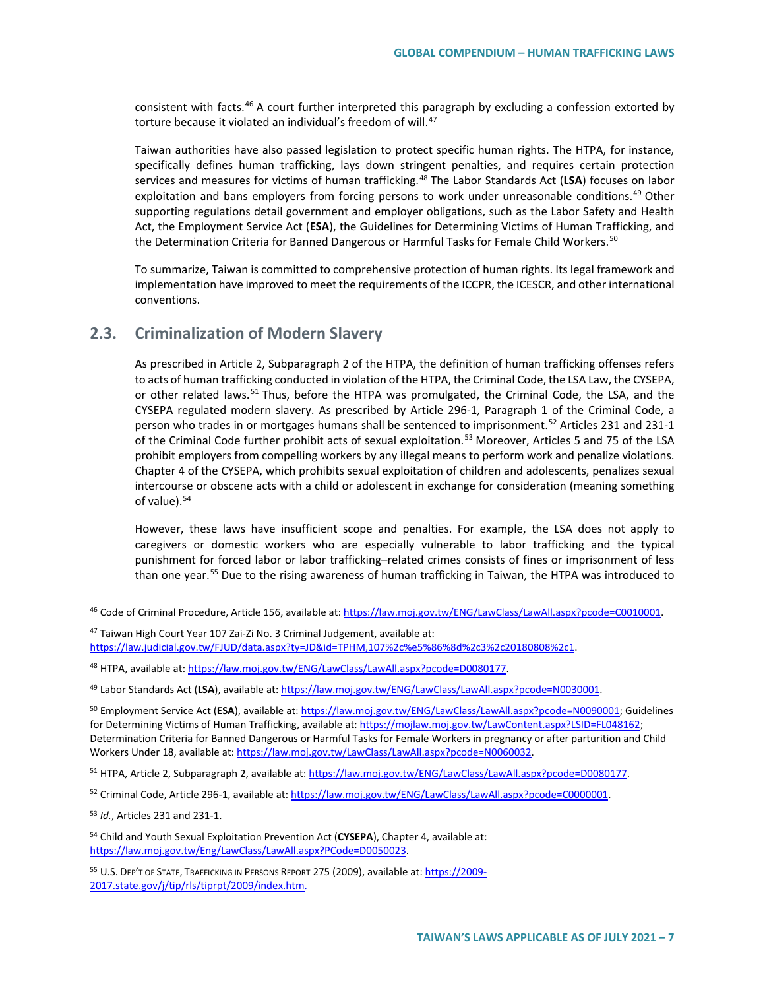consistent with facts.[46](#page-6-0) A court further interpreted this paragraph by excluding a confession extorted by torture because it violated an individual's freedom of will.<sup>[47](#page-6-1)</sup>

Taiwan authorities have also passed legislation to protect specific human rights. The HTPA, for instance, specifically defines human trafficking, lays down stringent penalties, and requires certain protection services and measures for victims of human trafficking.[48](#page-6-2) The Labor Standards Act (**LSA**) focuses on labor exploitation and bans employers from forcing persons to work under unreasonable conditions.<sup>[49](#page-6-3)</sup> Other supporting regulations detail government and employer obligations, such as the Labor Safety and Health Act, the Employment Service Act (**ESA**), the Guidelines for Determining Victims of Human Trafficking, and the Determination Criteria for Banned Dangerous or Harmful Tasks for Female Child Workers.<sup>[50](#page-6-4)</sup>

To summarize, Taiwan is committed to comprehensive protection of human rights. Its legal framework and implementation have improved to meet the requirements of the ICCPR, the ICESCR, and other international conventions.

## **2.3. Criminalization of Modern Slavery**

As prescribed in Article 2, Subparagraph 2 of the HTPA, the definition of human trafficking offenses refers to acts of human trafficking conducted in violation of the HTPA, the Criminal Code, the LSA Law, the CYSEPA, or other related laws.<sup>[51](#page-6-5)</sup> Thus, before the HTPA was promulgated, the Criminal Code, the LSA, and the CYSEPA regulated modern slavery. As prescribed by Article 296-1, Paragraph 1 of the Criminal Code, a person who trades in or mortgages humans shall be sentenced to imprisonment.<sup>[52](#page-6-6)</sup> Articles 231 and 231-1 of the Criminal Code further prohibit acts of sexual exploitation.<sup>[53](#page-6-7)</sup> Moreover, Articles 5 and 75 of the LSA prohibit employers from compelling workers by any illegal means to perform work and penalize violations. Chapter 4 of the CYSEPA, which prohibits sexual exploitation of children and adolescents, penalizes sexual intercourse or obscene acts with a child or adolescent in exchange for consideration (meaning something of value).<sup>54</sup>

However, these laws have insufficient scope and penalties. For example, the LSA does not apply to caregivers or domestic workers who are especially vulnerable to labor trafficking and the typical punishment for forced labor or labor trafficking–related crimes consists of fines or imprisonment of less than one year.<sup>[55](#page-6-9)</sup> Due to the rising awareness of human trafficking in Taiwan, the HTPA was introduced to

<span id="page-6-4"></span><sup>50</sup> Employment Service Act (**ESA**), available at[: https://law.moj.gov.tw/ENG/LawClass/LawAll.aspx?pcode=N0090001;](https://law.moj.gov.tw/ENG/LawClass/LawAll.aspx?pcode=N0090001) Guidelines for Determining Victims of Human Trafficking, available at: https://mojlaw.moj.gov.tw/LawContent.aspx?LSID=FL048162; Determination Criteria for Banned Dangerous or Harmful Tasks for Female Workers in pregnancy or after parturition and Child Workers Under 18, available at[: https://law.moj.gov.tw/LawClass/LawAll.aspx?pcode=N0060032.](https://law.moj.gov.tw/LawClass/LawAll.aspx?pcode=N0060032) 

<span id="page-6-7"></span><sup>53</sup> *Id.*, Articles 231 and 231-1.

<span id="page-6-9"></span>55 U.S. DEP'T OF STATE, TRAFFICKING IN PERSONS REPORT 275 (2009), available at: https://2009-2017.state.gov/j/tip/rls/tiprpt/2009/index.htm.

<span id="page-6-0"></span><sup>46</sup> Code of Criminal Procedure, Article 156, available at[: https://law.moj.gov.tw/ENG/LawClass/LawAll.aspx?pcode=C0010001.](https://law.moj.gov.tw/ENG/LawClass/LawAll.aspx?pcode=C0010001)

<span id="page-6-1"></span><sup>47</sup> Taiwan High Court Year 107 Zai-Zi No. 3 Criminal Judgement, available at: [https://law.judicial.gov.tw/FJUD/data.aspx?ty=JD&id=TPHM,107%2c%e5%86%8d%2c3%2c20180808%2c1.](https://law.judicial.gov.tw/FJUD/data.aspx?ty=JD&id=TPHM,107%2c%e5%86%8d%2c3%2c20180808%2c1)

<span id="page-6-2"></span><sup>48</sup> HTPA, available at[: https://law.moj.gov.tw/ENG/LawClass/LawAll.aspx?pcode=D0080177.](https://law.moj.gov.tw/ENG/LawClass/LawAll.aspx?pcode=D0080177) 

<span id="page-6-3"></span><sup>49</sup> Labor Standards Act (**LSA**), available at[: https://law.moj.gov.tw/ENG/LawClass/LawAll.aspx?pcode=N0030001.](https://law.moj.gov.tw/ENG/LawClass/LawAll.aspx?pcode=N0030001)

<span id="page-6-5"></span><sup>51</sup> HTPA, Article 2, Subparagraph 2, available at[: https://law.moj.gov.tw/ENG/LawClass/LawAll.aspx?pcode=D0080177.](https://law.moj.gov.tw/ENG/LawClass/LawAll.aspx?pcode=D0080177)

<span id="page-6-6"></span><sup>52</sup> Criminal Code, Article 296-1, available at: [https://law.moj.gov.tw/ENG/LawClass/LawAll.aspx?pcode=C0000001.](https://law.moj.gov.tw/ENG/LawClass/LawAll.aspx?pcode=C0000001)

<span id="page-6-8"></span><sup>54</sup> Child and Youth Sexual Exploitation Prevention Act (**CYSEPA**), Chapter 4, available at: [https://law.moj.gov.tw/Eng/LawClass/LawAll.aspx?PCode=D0050023.](https://law.moj.gov.tw/Eng/LawClass/LawAll.aspx?PCode=D0050023)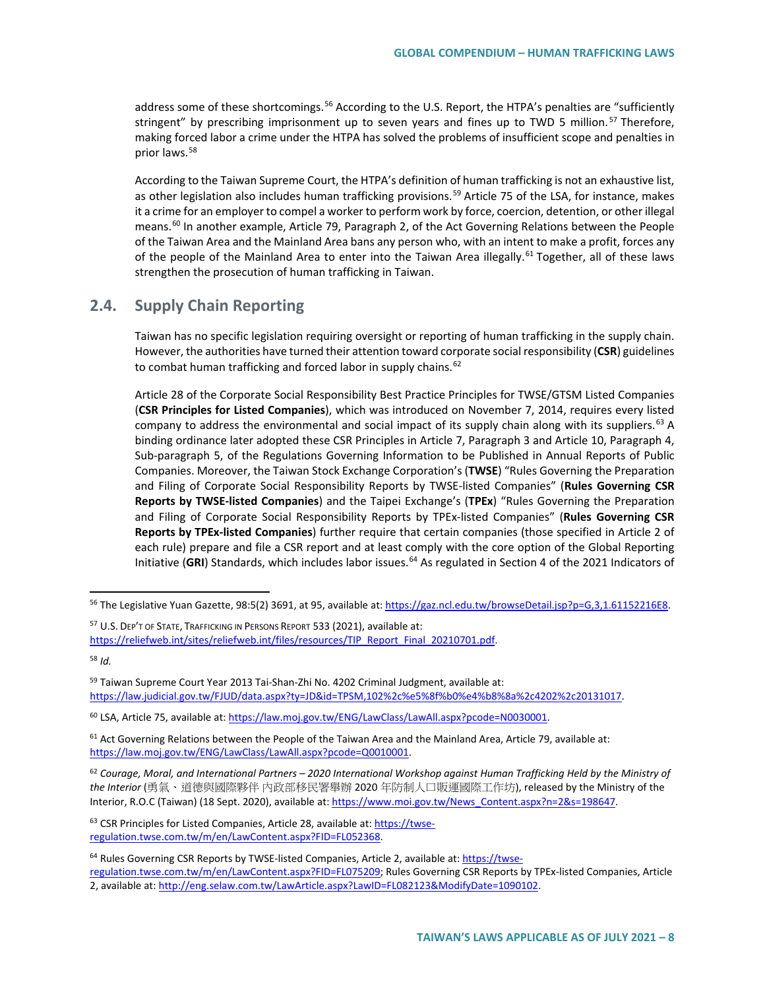address some of these shortcomings.<sup>[56](#page-7-0)</sup> According to the U.S. Report, the HTPA's penalties are "sufficiently stringent" by prescribing imprisonment up to seven years and fines up to TWD 5 million.<sup>[57](#page-7-1)</sup> Therefore, making forced labor a crime under the HTPA has solved the problems of insufficient scope and penalties in prior laws.[58](#page-7-2)

According to the Taiwan Supreme Court, the HTPA's definition of human trafficking is not an exhaustive list, as other legislation also includes human trafficking provisions.<sup>[59](#page-7-3)</sup> Article 75 of the LSA, for instance, makes it a crime for an employer to compel a worker to perform work by force, coercion, detention, or other illegal means.<sup>[60](#page-7-4)</sup> In another example, Article 79, Paragraph 2, of the Act Governing Relations between the People of the Taiwan Area and the Mainland Area bans any person who, with an intent to make a profit, forces any of the people of the Mainland Area to enter into the Taiwan Area illegally.<sup>[61](#page-7-5)</sup> Together, all of these laws strengthen the prosecution of human trafficking in Taiwan.

## **2.4. Supply Chain Reporting**

Taiwan has no specific legislation requiring oversight or reporting of human trafficking in the supply chain. However, the authorities have turned their attention toward corporate social responsibility (**CSR**) guidelines to combat human trafficking and forced labor in supply chains.<sup>[62](#page-7-6)</sup>

Article 28 of the Corporate Social Responsibility Best Practice Principles for TWSE/GTSM Listed Companies (**CSR Principles for Listed Companies**), which was introduced on November 7, 2014, requires every listed company to address the environmental and social impact of its supply chain along with its suppliers.<sup>[63](#page-7-7)</sup> A binding ordinance later adopted these CSR Principles in Article 7, Paragraph 3 and Article 10, Paragraph 4, Sub-paragraph 5, of the Regulations Governing Information to be Published in Annual Reports of Public Companies. Moreover, the Taiwan Stock Exchange Corporation's (**TWSE**) "Rules Governing the Preparation and Filing of Corporate Social Responsibility Reports by TWSE-listed Companies" (**Rules Governing CSR Reports by TWSE-listed Companies**) and the Taipei Exchange's (**TPEx**) "Rules Governing the Preparation and Filing of Corporate Social Responsibility Reports by TPEx-listed Companies" (**Rules Governing CSR Reports by TPEx-listed Companies**) further require that certain companies (those specified in Article 2 of each rule) prepare and file a CSR report and at least comply with the core option of the Global Reporting Initiative (GRI) Standards, which includes labor issues.<sup>[64](#page-7-8)</sup> As regulated in Section 4 of the 2021 Indicators of

<span id="page-7-2"></span><sup>58</sup> *Id.*

<span id="page-7-7"></span><sup>63</sup> CSR Principles for Listed Companies, Article 28, available at: [https://twse](https://twse-regulation.twse.com.tw/m/en/LawContent.aspx?FID=FL052368)[regulation.twse.com.tw/m/en/LawContent.aspx?FID=FL052368.](https://twse-regulation.twse.com.tw/m/en/LawContent.aspx?FID=FL052368) 

<span id="page-7-0"></span><sup>&</sup>lt;sup>56</sup> The Legislative Yuan Gazette, 98:5(2) 3691, at 95, available at[: https://gaz.ncl.edu.tw/browseDetail.jsp?p=G,3,1.61152216E8.](https://gaz.ncl.edu.tw/browseDetail.jsp?p=G,3,1.61152216E8)

<span id="page-7-1"></span><sup>&</sup>lt;sup>57</sup> U.S. DEP'T OF STATE, TRAFFICKING IN PERSONS REPORT 533 (2021), available at: [https://reliefweb.int/sites/reliefweb.int/files/resources/TIP\\_Report\\_Final\\_20210701.pdf.](https://reliefweb.int/sites/reliefweb.int/files/resources/TIP_Report_Final_20210701.pdf)

<span id="page-7-3"></span><sup>59</sup> Taiwan Supreme Court Year 2013 Tai-Shan-Zhi No. 4202 Criminal Judgment, available at: [https://law.judicial.gov.tw/FJUD/data.aspx?ty=JD&id=TPSM,102%2c%e5%8f%b0%e4%b8%8a%2c4202%2c20131017.](https://law.judicial.gov.tw/FJUD/data.aspx?ty=JD&id=TPSM,102%2c%e5%8f%b0%e4%b8%8a%2c4202%2c20131017) 

<span id="page-7-4"></span><sup>&</sup>lt;sup>60</sup> LSA, Article 75, available at: [https://law.moj.gov.tw/ENG/LawClass/LawAll.aspx?pcode=N0030001.](https://law.moj.gov.tw/ENG/LawClass/LawAll.aspx?pcode=N0030001)

<span id="page-7-5"></span> $61$  Act Governing Relations between the People of the Taiwan Area and the Mainland Area, Article 79, available at: [https://law.moj.gov.tw/ENG/LawClass/LawAll.aspx?pcode=Q0010001.](https://law.moj.gov.tw/ENG/LawClass/LawAll.aspx?pcode=Q0010001) 

<span id="page-7-6"></span><sup>62</sup> *Courage, Moral, and International Partners – 2020 International Workshop against Human Trafficking Held by the Ministry of the Interior* (勇氣、道德與國際夥伴 內政部移民署舉辦 2020 年防制人口販運國際工作坊), released by the Ministry of the Interior, R.O.C (Taiwan) (18 Sept. 2020), available at: [https://www.moi.gov.tw/News\\_Content.aspx?n=2&s=198647.](https://www.moi.gov.tw/News_Content.aspx?n=2&s=198647) 

<span id="page-7-8"></span><sup>&</sup>lt;sup>64</sup> Rules Governing CSR Reports by TWSE-listed Companies, Article 2, available at[: https://twse](https://twse-regulation.twse.com.tw/m/en/LawContent.aspx?FID=FL075209)[regulation.twse.com.tw/m/en/LawContent.aspx?FID=FL075209;](https://twse-regulation.twse.com.tw/m/en/LawContent.aspx?FID=FL075209) Rules Governing CSR Reports by TPEx-listed Companies, Article 2, available at: [http://eng.selaw.com.tw/LawArticle.aspx?LawID=FL082123&ModifyDate=1090102.](http://eng.selaw.com.tw/LawArticle.aspx?LawID=FL082123&ModifyDate=1090102)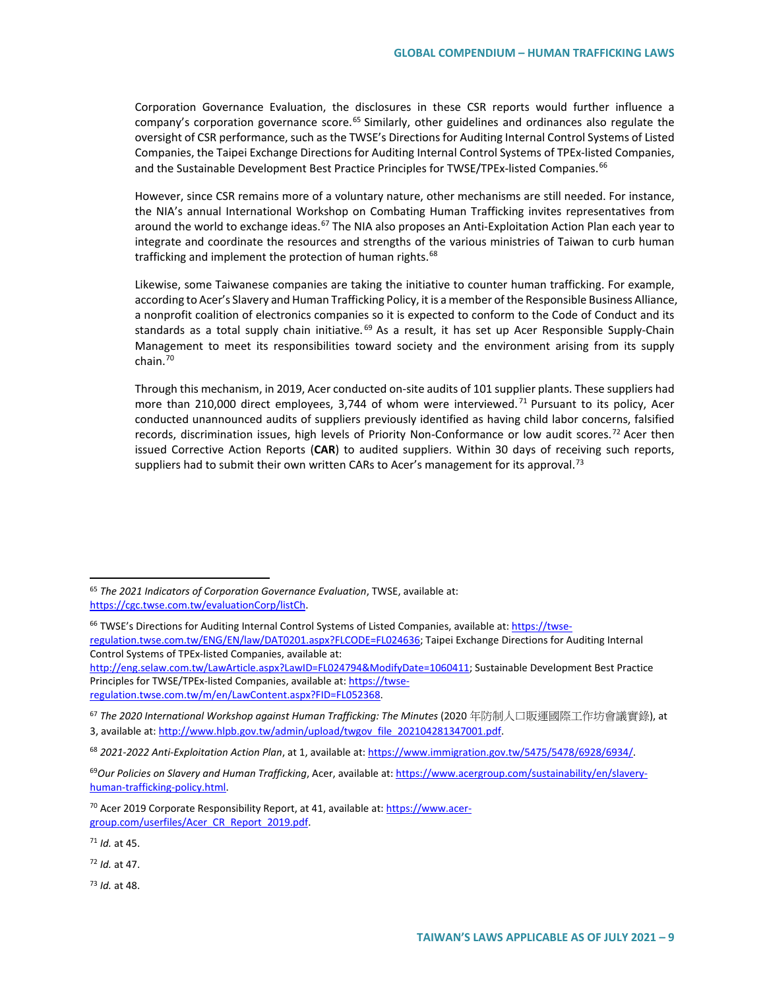Corporation Governance Evaluation, the disclosures in these CSR reports would further influence a company's corporation governance score.<sup>[65](#page-8-0)</sup> Similarly, other guidelines and ordinances also regulate the oversight of CSR performance, such as the TWSE's Directions for Auditing Internal Control Systems of Listed Companies, the Taipei Exchange Directions for Auditing Internal Control Systems of TPEx-listed Companies, and the Sustainable Development Best Practice Principles for TWSE/TPEx-listed Companies.<sup>[66](#page-8-1)</sup>

However, since CSR remains more of a voluntary nature, other mechanisms are still needed. For instance, the NIA's annual International Workshop on Combating Human Trafficking invites representatives from around the world to exchange ideas.<sup>[67](#page-8-2)</sup> The NIA also proposes an Anti-Exploitation Action Plan each year to integrate and coordinate the resources and strengths of the various ministries of Taiwan to curb human trafficking and implement the protection of human rights.<sup>[68](#page-8-3)</sup>

Likewise, some Taiwanese companies are taking the initiative to counter human trafficking. For example, according to Acer's Slavery and Human Trafficking Policy, it is a member of the Responsible Business Alliance, a nonprofit coalition of electronics companies so it is expected to conform to the Code of Conduct and its standards as a total supply chain initiative.<sup>[69](#page-8-4)</sup> As a result, it has set up Acer Responsible Supply-Chain Management to meet its responsibilities toward society and the environment arising from its supply  $chain<sup>70</sup>$  $chain<sup>70</sup>$  $chain<sup>70</sup>$ 

Through this mechanism, in 2019, Acer conducted on-site audits of 101 supplier plants. These suppliers had more than 210,000 direct employees, 3,744 of whom were interviewed.<sup>[71](#page-8-6)</sup> Pursuant to its policy, Acer conducted unannounced audits of suppliers previously identified as having child labor concerns, falsified records, discrimination issues, high levels of Priority Non-Conformance or low audit scores.<sup>[72](#page-8-7)</sup> Acer then issued Corrective Action Reports (**CAR**) to audited suppliers. Within 30 days of receiving such reports, suppliers had to submit their own written CARs to Acer's management for its approval.<sup>[73](#page-8-8)</sup>

[http://eng.selaw.com.tw/LawArticle.aspx?LawID=FL024794&ModifyDate=1060411;](http://eng.selaw.com.tw/LawArticle.aspx?LawID=FL024794&ModifyDate=1060411) Sustainable Development Best Practice Principles for TWSE/TPEx-listed Companies, available at[: https://twse](https://twse-regulation.twse.com.tw/m/en/LawContent.aspx?FID=FL052368)[regulation.twse.com.tw/m/en/LawContent.aspx?FID=FL052368.](https://twse-regulation.twse.com.tw/m/en/LawContent.aspx?FID=FL052368) 

<span id="page-8-6"></span><sup>71</sup> *Id.* at 45.

<span id="page-8-7"></span><sup>72</sup> *Id.* at 47.

<span id="page-8-8"></span><sup>73</sup> *Id.* at 48.

<span id="page-8-0"></span> <sup>65</sup> *The 2021 Indicators of Corporation Governance Evaluation*, TWSE, available at: [https://cgc.twse.com.tw/evaluationCorp/listCh.](https://cgc.twse.com.tw/evaluationCorp/listCh) 

<span id="page-8-1"></span><sup>&</sup>lt;sup>66</sup> TWSE's Directions for Auditing Internal Control Systems of Listed Companies, available at[: https://twse](https://twse-regulation.twse.com.tw/ENG/EN/law/DAT0201.aspx?FLCODE=FL024636)[regulation.twse.com.tw/ENG/EN/law/DAT0201.aspx?FLCODE=FL024636;](https://twse-regulation.twse.com.tw/ENG/EN/law/DAT0201.aspx?FLCODE=FL024636) Taipei Exchange Directions for Auditing Internal Control Systems of TPEx-listed Companies, available at:

<span id="page-8-2"></span><sup>67</sup> *The 2020 International Workshop against Human Trafficking: The Minutes* (2020 年防制人口販運國際工作坊會議實錄), at 3, available at[: http://www.hlpb.gov.tw/admin/upload/twgov\\_file\\_202104281347001.pdf.](http://www.hlpb.gov.tw/admin/upload/twgov_file_202104281347001.pdf)

<span id="page-8-3"></span><sup>68</sup> *2021-2022 Anti-Exploitation Action Plan*, at 1, available at[: https://www.immigration.gov.tw/5475/5478/6928/6934/.](https://www.immigration.gov.tw/5475/5478/6928/6934/)

<span id="page-8-4"></span><sup>69</sup>*Our Policies on Slavery and Human Trafficking*, Acer, available at: [https://www.acergroup.com/sustainability/en/slavery](https://www.acergroup.com/sustainability/en/slavery-human-trafficking-policy.html)[human-trafficking-policy.html.](https://www.acergroup.com/sustainability/en/slavery-human-trafficking-policy.html)

<span id="page-8-5"></span><sup>&</sup>lt;sup>70</sup> Acer 2019 Corporate Responsibility Report, at 41, available at[: https://www.acer](https://www.acer-group.com/userfiles/Acer_CR_Report_2019.pdf)[group.com/userfiles/Acer\\_CR\\_Report\\_2019.pdf.](https://www.acer-group.com/userfiles/Acer_CR_Report_2019.pdf)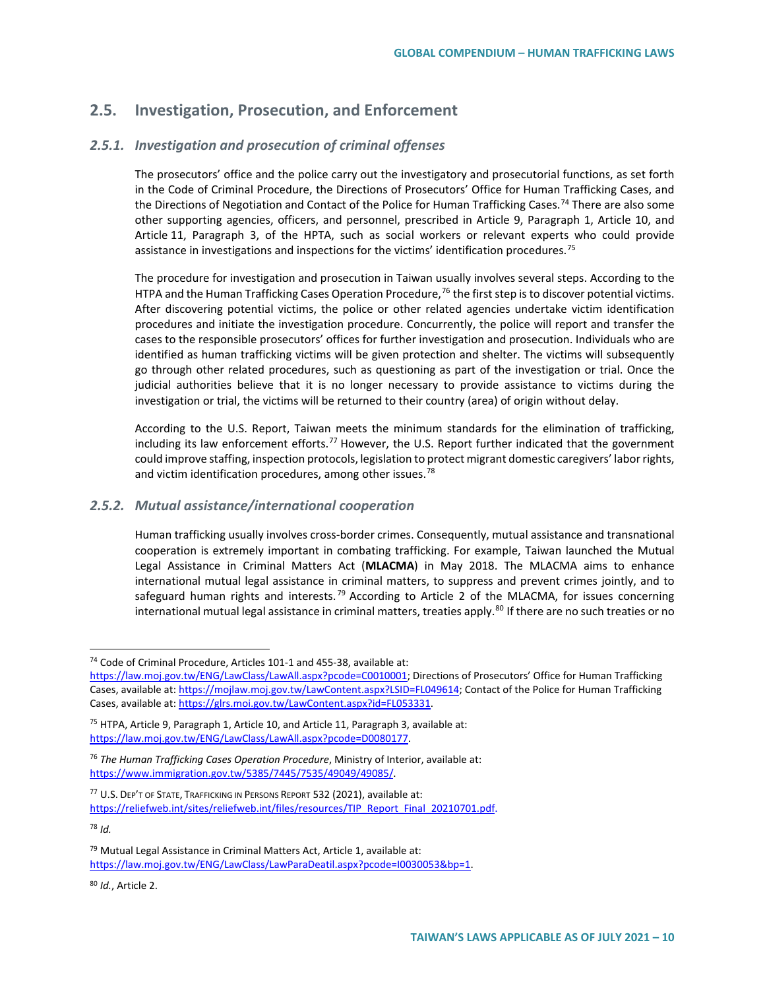## **2.5. Investigation, Prosecution, and Enforcement**

### *2.5.1. Investigation and prosecution of criminal offenses*

The prosecutors' office and the police carry out the investigatory and prosecutorial functions, as set forth in the Code of Criminal Procedure, the Directions of Prosecutors' Office for Human Trafficking Cases, and the Directions of Negotiation and Contact of the Police for Human Trafficking Cases.<sup>[74](#page-9-0)</sup> There are also some other supporting agencies, officers, and personnel, prescribed in Article 9, Paragraph 1, Article 10, and Article 11, Paragraph 3, of the HPTA, such as social workers or relevant experts who could provide assistance in investigations and inspections for the victims' identification procedures.<sup>[75](#page-9-1)</sup>

The procedure for investigation and prosecution in Taiwan usually involves several steps. According to the HTPA and the Human Trafficking Cases Operation Procedure,<sup>[76](#page-9-2)</sup> the first step is to discover potential victims. After discovering potential victims, the police or other related agencies undertake victim identification procedures and initiate the investigation procedure. Concurrently, the police will report and transfer the cases to the responsible prosecutors' offices for further investigation and prosecution. Individuals who are identified as human trafficking victims will be given protection and shelter. The victims will subsequently go through other related procedures, such as questioning as part of the investigation or trial. Once the judicial authorities believe that it is no longer necessary to provide assistance to victims during the investigation or trial, the victims will be returned to their country (area) of origin without delay.

According to the U.S. Report, Taiwan meets the minimum standards for the elimination of trafficking, including its law enforcement efforts.<sup>[77](#page-9-3)</sup> However, the U.S. Report further indicated that the government could improve staffing, inspection protocols, legislation to protect migrant domestic caregivers' labor rights, and victim identification procedures, among other issues.<sup>[78](#page-9-4)</sup>

#### *2.5.2. Mutual assistance/international cooperation*

Human trafficking usually involves cross-border crimes. Consequently, mutual assistance and transnational cooperation is extremely important in combating trafficking. For example, Taiwan launched the Mutual Legal Assistance in Criminal Matters Act (**MLACMA**) in May 2018. The MLACMA aims to enhance international mutual legal assistance in criminal matters, to suppress and prevent crimes jointly, and to safeguard human rights and interests.<sup>[79](#page-9-5)</sup> According to Article 2 of the MLACMA, for issues concerning international mutual legal assistance in criminal matters, treaties apply.<sup>[80](#page-9-6)</sup> If there are no such treaties or no

<span id="page-9-0"></span> <sup>74</sup> Code of Criminal Procedure, Articles 101-1 and 455-38, available at:

[https://law.moj.gov.tw/ENG/LawClass/LawAll.aspx?pcode=C0010001;](https://law.moj.gov.tw/ENG/LawClass/LawAll.aspx?pcode=C0010001) Directions of Prosecutors' Office for Human Trafficking Cases, available at[: https://mojlaw.moj.gov.tw/LawContent.aspx?LSID=FL049614;](https://mojlaw.moj.gov.tw/LawContent.aspx?LSID=FL049614) Contact of the Police for Human Trafficking Cases, available at[: https://glrs.moi.gov.tw/LawContent.aspx?id=FL053331.](https://glrs.moi.gov.tw/LawContent.aspx?id=FL053331)

<span id="page-9-1"></span><sup>&</sup>lt;sup>75</sup> HTPA, Article 9, Paragraph 1, Article 10, and Article 11, Paragraph 3, available at: [https://law.moj.gov.tw/ENG/LawClass/LawAll.aspx?pcode=D0080177.](https://law.moj.gov.tw/ENG/LawClass/LawAll.aspx?pcode=D0080177)

<span id="page-9-2"></span><sup>76</sup> *The Human Trafficking Cases Operation Procedure*, Ministry of Interior, available at: [https://www.immigration.gov.tw/5385/7445/7535/49049/49085/.](https://www.immigration.gov.tw/5385/7445/7535/49049/49085/)

<span id="page-9-3"></span><sup>77</sup> U.S. DEP'T OF STATE, TRAFFICKING IN PERSONS REPORT 532 (2021), available at: [https://reliefweb.int/sites/reliefweb.int/files/resources/TIP\\_Report\\_Final\\_20210701.pdf.](https://reliefweb.int/sites/reliefweb.int/files/resources/TIP_Report_Final_20210701.pdf)

<span id="page-9-4"></span><sup>78</sup> *Id.*

<span id="page-9-5"></span> $79$  Mutual Legal Assistance in Criminal Matters Act, Article 1, available at: [https://law.moj.gov.tw/ENG/LawClass/LawParaDeatil.aspx?pcode=I0030053&bp=1.](https://law.moj.gov.tw/ENG/LawClass/LawParaDeatil.aspx?pcode=I0030053&bp=1)

<span id="page-9-6"></span><sup>80</sup> *Id.*, Article 2.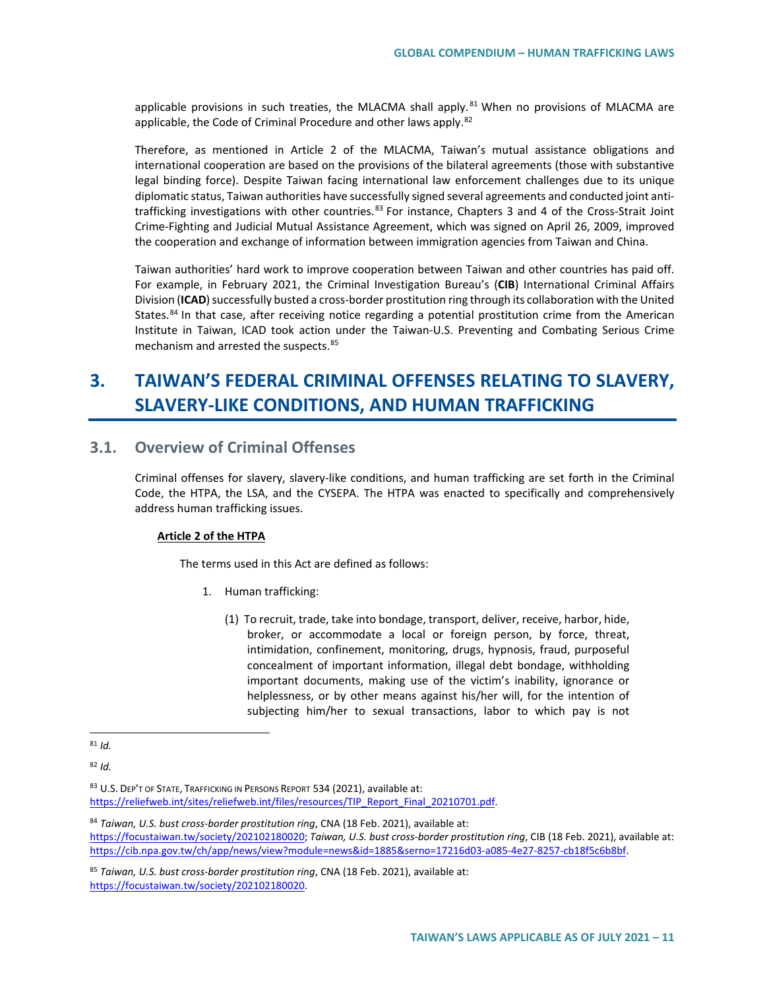applicable provisions in such treaties, the MLACMA shall apply. $81$  When no provisions of MLACMA are applicable, the Code of Criminal Procedure and other laws apply.<sup>[82](#page-10-1)</sup>

Therefore, as mentioned in Article 2 of the MLACMA, Taiwan's mutual assistance obligations and international cooperation are based on the provisions of the bilateral agreements (those with substantive legal binding force). Despite Taiwan facing international law enforcement challenges due to its unique diplomatic status, Taiwan authorities have successfully signed several agreements and conducted joint anti-trafficking investigations with other countries.<sup>[83](#page-10-2)</sup> For instance, Chapters 3 and 4 of the Cross-Strait Joint Crime-Fighting and Judicial Mutual Assistance Agreement, which was signed on April 26, 2009, improved the cooperation and exchange of information between immigration agencies from Taiwan and China.

Taiwan authorities' hard work to improve cooperation between Taiwan and other countries has paid off. For example, in February 2021, the Criminal Investigation Bureau's (**CIB**) International Criminal Affairs Division (**ICAD**) successfully busted a cross-border prostitution ring through its collaboration with the United States.<sup>[84](#page-10-3)</sup> In that case, after receiving notice regarding a potential prostitution crime from the American Institute in Taiwan, ICAD took action under the Taiwan-U.S. Preventing and Combating Serious Crime mechanism and arrested the suspects.<sup>[85](#page-10-4)</sup>

# **3. TAIWAN'S FEDERAL CRIMINAL OFFENSES RELATING TO SLAVERY, SLAVERY-LIKE CONDITIONS, AND HUMAN TRAFFICKING**

## **3.1. Overview of Criminal Offenses**

Criminal offenses for slavery, slavery-like conditions, and human trafficking are set forth in the Criminal Code, the HTPA, the LSA, and the CYSEPA. The HTPA was enacted to specifically and comprehensively address human trafficking issues.

#### **Article 2 of the HTPA**

The terms used in this Act are defined as follows:

- 1. Human trafficking:
	- (1) To recruit, trade, take into bondage, transport, deliver, receive, harbor, hide, broker, or accommodate a local or foreign person, by force, threat, intimidation, confinement, monitoring, drugs, hypnosis, fraud, purposeful concealment of important information, illegal debt bondage, withholding important documents, making use of the victim's inability, ignorance or helplessness, or by other means against his/her will, for the intention of subjecting him/her to sexual transactions, labor to which pay is not

<span id="page-10-1"></span><sup>82</sup> *Id.*

<span id="page-10-2"></span>83 U.S. DEP'T OF STATE, TRAFFICKING IN PERSONS REPORT 534 (2021), available at: [https://reliefweb.int/sites/reliefweb.int/files/resources/TIP\\_Report\\_Final\\_20210701.pdf.](https://reliefweb.int/sites/reliefweb.int/files/resources/TIP_Report_Final_20210701.pdf)

<span id="page-10-3"></span><sup>84</sup> *Taiwan, U.S. bust cross-border prostitution ring*, CNA (18 Feb. 2021), available at: [https://focustaiwan.tw/society/202102180020;](https://focustaiwan.tw/society/202102180020) *Taiwan, U.S. bust cross-border prostitution ring*, CIB (18 Feb. 2021), available at: [https://cib.npa.gov.tw/ch/app/news/view?module=news&id=1885&serno=17216d03-a085-4e27-8257-cb18f5c6b8bf.](https://cib.npa.gov.tw/ch/app/news/view?module=news&id=1885&serno=17216d03-a085-4e27-8257-cb18f5c6b8bf)

<span id="page-10-4"></span><sup>85</sup> *Taiwan, U.S. bust cross-border prostitution ring*, CNA (18 Feb. 2021), available at: [https://focustaiwan.tw/society/202102180020.](https://focustaiwan.tw/society/202102180020)

<span id="page-10-0"></span> $81$  *Id.*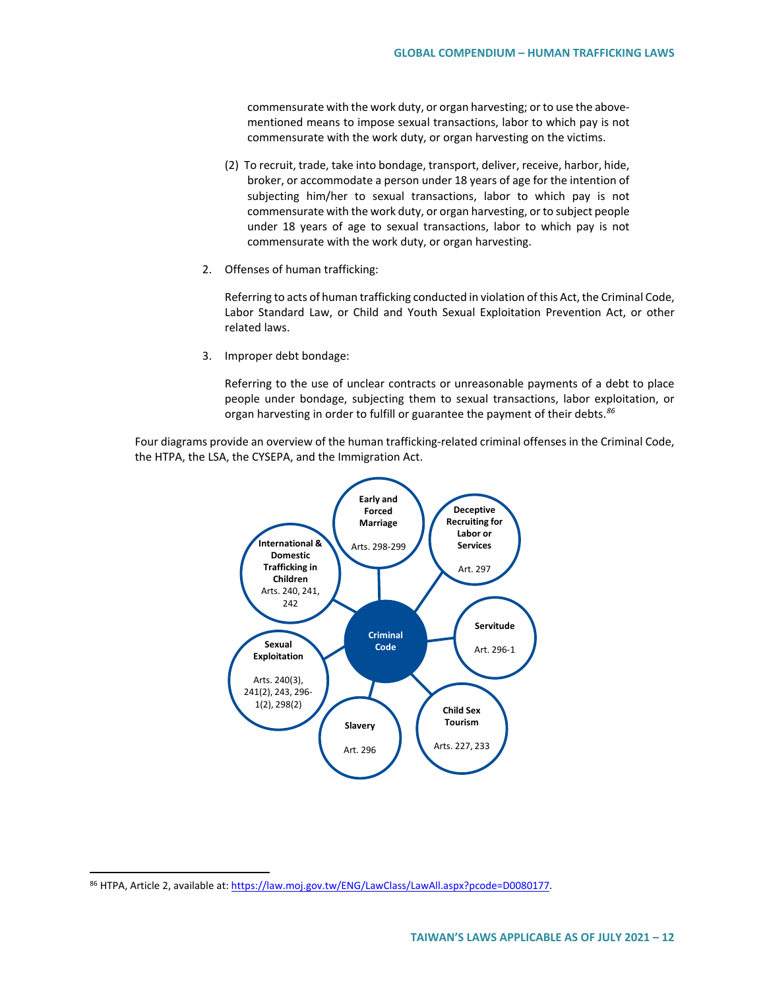commensurate with the work duty, or organ harvesting; or to use the abovementioned means to impose sexual transactions, labor to which pay is not commensurate with the work duty, or organ harvesting on the victims.

- (2) To recruit, trade, take into bondage, transport, deliver, receive, harbor, hide, broker, or accommodate a person under 18 years of age for the intention of subjecting him/her to sexual transactions, labor to which pay is not commensurate with the work duty, or organ harvesting, or to subject people under 18 years of age to sexual transactions, labor to which pay is not commensurate with the work duty, or organ harvesting.
- 2. Offenses of human trafficking:

Referring to acts of human trafficking conducted in violation of this Act, the Criminal Code, Labor Standard Law, or Child and Youth Sexual Exploitation Prevention Act, or other related laws.

3. Improper debt bondage:

Referring to the use of unclear contracts or unreasonable payments of a debt to place people under bondage, subjecting them to sexual transactions, labor exploitation, or organ harvesting in order to fulfill or guarantee the payment of their debts.*[86](#page-11-0)*

Four diagrams provide an overview of the human trafficking-related criminal offenses in the Criminal Code, the HTPA, the LSA, the CYSEPA, and the Immigration Act.



<span id="page-11-0"></span><sup>86</sup> HTPA, Article 2, available at[: https://law.moj.gov.tw/ENG/LawClass/LawAll.aspx?pcode=D0080177.](https://law.moj.gov.tw/ENG/LawClass/LawAll.aspx?pcode=D0080177)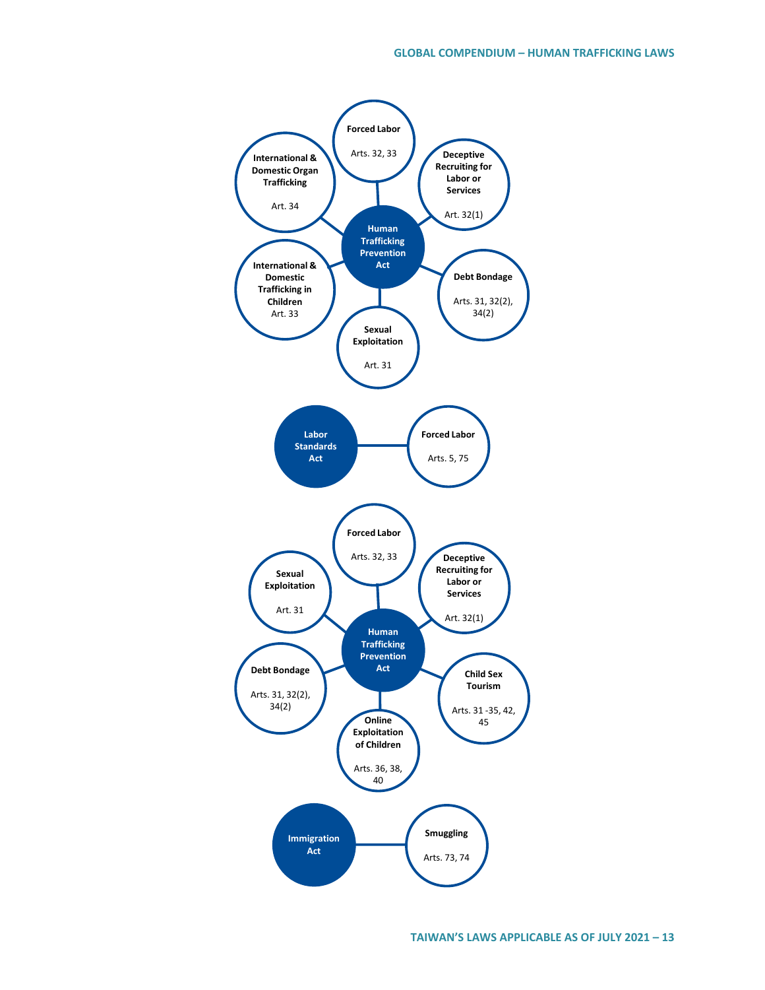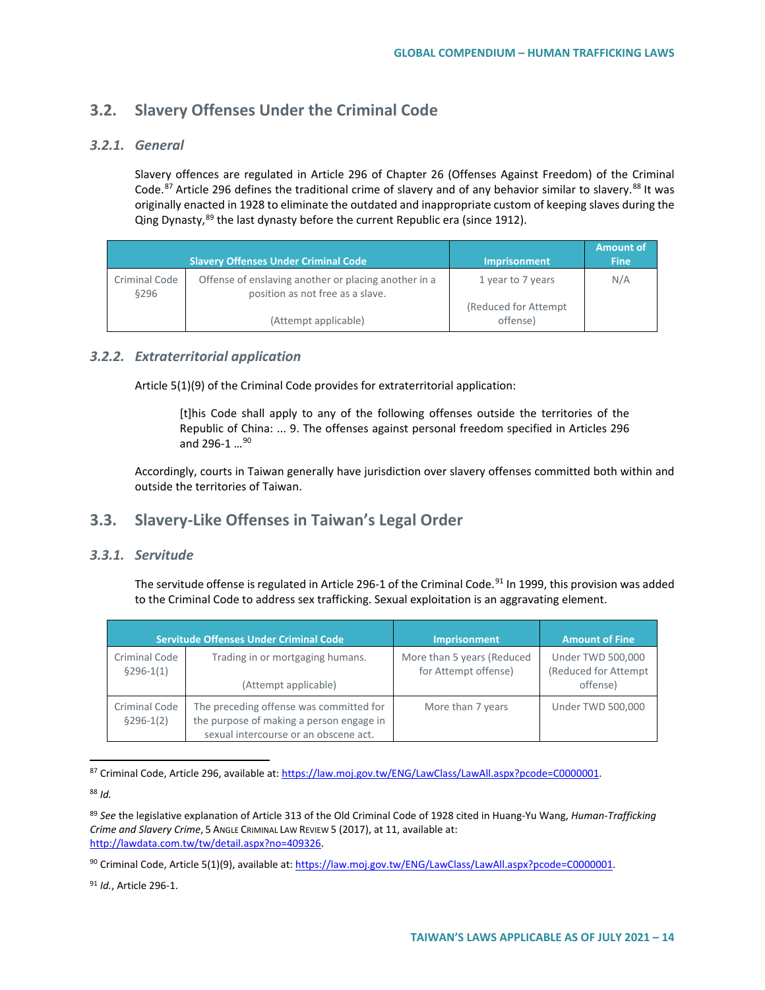## **3.2. Slavery Offenses Under the Criminal Code**

## *3.2.1. General*

Slavery offences are regulated in Article 296 of Chapter 26 (Offenses Against Freedom) of the Criminal Code.<sup>[87](#page-13-0)</sup> Article 296 defines the traditional crime of slavery and of any behavior similar to slavery.<sup>[88](#page-13-1)</sup> It was originally enacted in 1928 to eliminate the outdated and inappropriate custom of keeping slaves during the Qing Dynasty,<sup>[89](#page-13-2)</sup> the last dynasty before the current Republic era (since 1912).

|                       |                                                                                          |                                            | <b>Amount of</b> |
|-----------------------|------------------------------------------------------------------------------------------|--------------------------------------------|------------------|
|                       | <b>Slavery Offenses Under Criminal Code</b>                                              | <b>Imprisonment</b>                        | <b>Fine</b>      |
| Criminal Code<br>§296 | Offense of enslaving another or placing another in a<br>position as not free as a slave. | 1 year to 7 years<br>(Reduced for Attempt) | N/A              |
|                       | (Attempt applicable)                                                                     | offense)                                   |                  |

## *3.2.2. Extraterritorial application*

Article 5(1)(9) of the Criminal Code provides for extraterritorial application:

[t]his Code shall apply to any of the following offenses outside the territories of the Republic of China: ... 9. The offenses against personal freedom specified in Articles 296 and 296-1 ...<sup>[90](#page-13-3)</sup>

Accordingly, courts in Taiwan generally have jurisdiction over slavery offenses committed both within and outside the territories of Taiwan.

## **3.3. Slavery-Like Offenses in Taiwan's Legal Order**

### *3.3.1. Servitude*

The servitude offense is regulated in Article 296-1 of the Criminal Code.<sup>[91](#page-13-4)</sup> In 1999, this provision was added to the Criminal Code to address sex trafficking. Sexual exploitation is an aggravating element.

|                              | Servitude Offenses Under Criminal Code                                                                                       | <b>Imprisonment</b>                                | <b>Amount of Fine</b>                                        |
|------------------------------|------------------------------------------------------------------------------------------------------------------------------|----------------------------------------------------|--------------------------------------------------------------|
| Criminal Code<br>$§296-1(1)$ | Trading in or mortgaging humans.<br>(Attempt applicable)                                                                     | More than 5 years (Reduced<br>for Attempt offense) | <b>Under TWD 500,000</b><br>(Reduced for Attempt<br>offense) |
| Criminal Code<br>$§296-1(2)$ | The preceding offense was committed for<br>the purpose of making a person engage in<br>sexual intercourse or an obscene act. | More than 7 years                                  | Under TWD 500,000                                            |

<span id="page-13-0"></span>87 Criminal Code, Article 296, available at[: https://law.moj.gov.tw/ENG/LawClass/LawAll.aspx?pcode=C0000001.](https://law.moj.gov.tw/ENG/LawClass/LawAll.aspx?pcode=C0000001) 

<span id="page-13-1"></span><sup>88</sup> *Id.*

<span id="page-13-2"></span><sup>89</sup> *See* the legislative explanation of Article 313 of the Old Criminal Code of 1928 cited in Huang-Yu Wang, *Human-Trafficking Crime and Slavery Crime*, 5 ANGLE CRIMINAL LAW REVIEW 5 (2017), at 11, available at: [http://lawdata.com.tw/tw/detail.aspx?no=409326.](http://lawdata.com.tw/tw/detail.aspx?no=409326)

<span id="page-13-3"></span><sup>90</sup> Criminal Code, Article 5(1)(9), available at[: https://law.moj.gov.tw/ENG/LawClass/LawAll.aspx?pcode=C0000001.](https://law.moj.gov.tw/ENG/LawClass/LawAll.aspx?pcode=C0000001) 

<span id="page-13-4"></span><sup>91</sup> *Id.*, Article 296-1.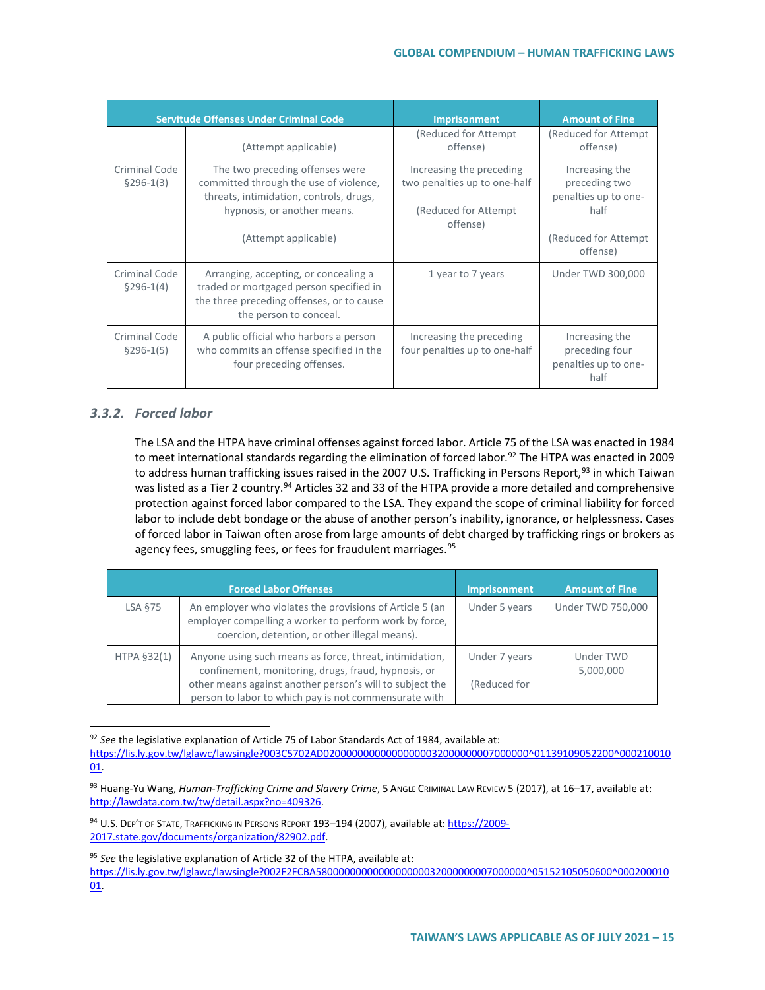| <b>Servitude Offenses Under Criminal Code</b> |                                                                                                                                                                             | Imprisonment                                                                                  | <b>Amount of Fine</b>                                                                               |
|-----------------------------------------------|-----------------------------------------------------------------------------------------------------------------------------------------------------------------------------|-----------------------------------------------------------------------------------------------|-----------------------------------------------------------------------------------------------------|
|                                               | (Attempt applicable)                                                                                                                                                        | (Reduced for Attempt)<br>offense)                                                             | (Reduced for Attempt)<br>offense)                                                                   |
| Criminal Code<br>$§296-1(3)$                  | The two preceding offenses were<br>committed through the use of violence,<br>threats, intimidation, controls, drugs,<br>hypnosis, or another means.<br>(Attempt applicable) | Increasing the preceding<br>two penalties up to one-half<br>(Reduced for Attempt)<br>offense) | Increasing the<br>preceding two<br>penalties up to one-<br>half<br>(Reduced for Attempt<br>offense) |
| Criminal Code<br>$§296-1(4)$                  | Arranging, accepting, or concealing a<br>traded or mortgaged person specified in<br>the three preceding offenses, or to cause<br>the person to conceal.                     | 1 year to 7 years                                                                             | Under TWD 300,000                                                                                   |
| Criminal Code<br>$$296-1(5)$                  | A public official who harbors a person<br>who commits an offense specified in the<br>four preceding offenses.                                                               | Increasing the preceding<br>four penalties up to one-half                                     | Increasing the<br>preceding four<br>penalties up to one-<br>half                                    |

## *3.3.2. Forced labor*

The LSA and the HTPA have criminal offenses against forced labor. Article 75 of the LSA was enacted in 1984 to meet international standards regarding the elimination of forced labor.<sup>[92](#page-14-0)</sup> The HTPA was enacted in 2009 to address human trafficking issues raised in the 2007 U.S. Trafficking in Persons Report,<sup>[93](#page-14-1)</sup> in which Taiwan was listed as a Tier 2 country.<sup>[94](#page-14-2)</sup> Articles 32 and 33 of the HTPA provide a more detailed and comprehensive protection against forced labor compared to the LSA. They expand the scope of criminal liability for forced labor to include debt bondage or the abuse of another person's inability, ignorance, or helplessness. Cases of forced labor in Taiwan often arose from large amounts of debt charged by trafficking rings or brokers as agency fees, smuggling fees, or fees for fraudulent marriages.<sup>[95](#page-14-3)</sup>

|             | <b>Forced Labor Offenses</b>                                                                                                                                                                                                        | Imprisonment                  | <b>Amount of Fine</b>    |
|-------------|-------------------------------------------------------------------------------------------------------------------------------------------------------------------------------------------------------------------------------------|-------------------------------|--------------------------|
| LSA §75     | An employer who violates the provisions of Article 5 (an<br>employer compelling a worker to perform work by force,<br>coercion, detention, or other illegal means).                                                                 | Under 5 years                 | <b>Under TWD 750,000</b> |
| HTPA §32(1) | Anyone using such means as force, threat, intimidation,<br>confinement, monitoring, drugs, fraud, hypnosis, or<br>other means against another person's will to subject the<br>person to labor to which pay is not commensurate with | Under 7 years<br>(Reduced for | Under TWD<br>5,000,000   |

<span id="page-14-0"></span> <sup>92</sup> *See* the legislative explanation of Article 75 of Labor Standards Act of 1984, available at:

[https://lis.ly.gov.tw/lglawc/lawsingle?003C5702AD020000000000000000032000000007000000^01139109052200^000210010](https://lis.ly.gov.tw/lglawc/lawsingle?003C5702AD020000000000000000032000000007000000%5e01139109052200%5e00021001001) [01.](https://lis.ly.gov.tw/lglawc/lawsingle?003C5702AD020000000000000000032000000007000000%5e01139109052200%5e00021001001)

<span id="page-14-1"></span><sup>93</sup> Huang-Yu Wang, *Human-Trafficking Crime and Slavery Crime*, 5 ANGLE CRIMINAL LAW REVIEW 5 (2017), at 16–17, available at: [http://lawdata.com.tw/tw/detail.aspx?no=409326.](http://lawdata.com.tw/tw/detail.aspx?no=409326)

<span id="page-14-2"></span><sup>94</sup> U.S. DEP'T OF STATE, TRAFFICKING IN PERSONS REPORT 193-194 (2007), available at[: https://2009-](https://2009-2017.state.gov/documents/organization/82902.pdf) [2017.state.gov/documents/organization/82902.pdf.](https://2009-2017.state.gov/documents/organization/82902.pdf) 

<span id="page-14-3"></span><sup>95</sup> *See* the legislative explanation of Article 32 of the HTPA, available at:

[https://lis.ly.gov.tw/lglawc/lawsingle?002F2FCBA5800000000000000000032000000007000000^05152105050600^000200010](https://lis.ly.gov.tw/lglawc/lawsingle?002F2FCBA5800000000000000000032000000007000000%5e05152105050600%5e00020001001) [01.](https://lis.ly.gov.tw/lglawc/lawsingle?002F2FCBA5800000000000000000032000000007000000%5e05152105050600%5e00020001001)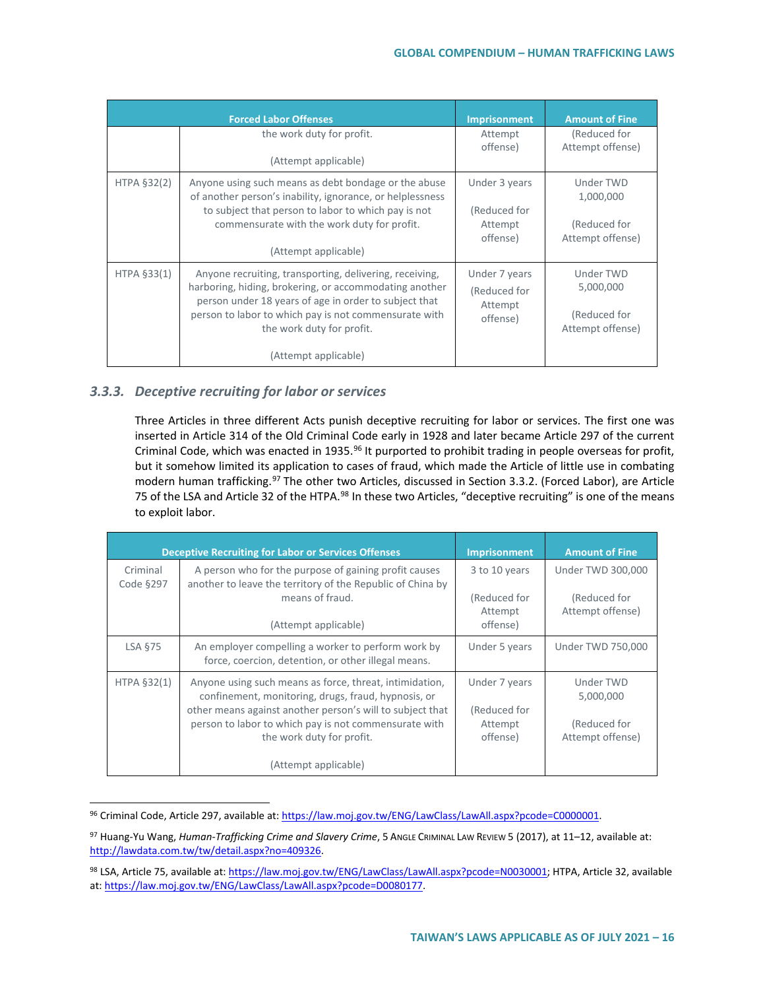|               | <b>Forced Labor Offenses</b>                                                                                                                                                                                                                                                             | <b>Imprisonment</b>                                  | <b>Amount of Fine</b>                                      |
|---------------|------------------------------------------------------------------------------------------------------------------------------------------------------------------------------------------------------------------------------------------------------------------------------------------|------------------------------------------------------|------------------------------------------------------------|
|               | the work duty for profit.                                                                                                                                                                                                                                                                | Attempt<br>offense)                                  | (Reduced for<br>Attempt offense)                           |
|               | (Attempt applicable)                                                                                                                                                                                                                                                                     |                                                      |                                                            |
| HTPA $§32(2)$ | Anyone using such means as debt bondage or the abuse<br>of another person's inability, ignorance, or helplessness<br>to subject that person to labor to which pay is not<br>commensurate with the work duty for profit.<br>(Attempt applicable)                                          | Under 3 years<br>(Reduced for<br>Attempt<br>offense) | Under TWD<br>1,000,000<br>(Reduced for<br>Attempt offense) |
| HTPA §33(1)   | Anyone recruiting, transporting, delivering, receiving,<br>harboring, hiding, brokering, or accommodating another<br>person under 18 years of age in order to subject that<br>person to labor to which pay is not commensurate with<br>the work duty for profit.<br>(Attempt applicable) | Under 7 years<br>(Reduced for<br>Attempt<br>offense) | Under TWD<br>5,000,000<br>(Reduced for<br>Attempt offense) |

### *3.3.3. Deceptive recruiting for labor or services*

Three Articles in three different Acts punish deceptive recruiting for labor or services. The first one was inserted in Article 314 of the Old Criminal Code early in 1928 and later became Article 297 of the current Criminal Code, which was enacted in 1935.<sup>[96](#page-15-0)</sup> It purported to prohibit trading in people overseas for profit, but it somehow limited its application to cases of fraud, which made the Article of little use in combating modern human trafficking.<sup>[97](#page-15-1)</sup> The other two Articles, discussed in Section 3.3.2. (Forced Labor), are Article 75 of the LSA and Article 32 of the HTPA.<sup>[98](#page-15-2)</sup> In these two Articles, "deceptive recruiting" is one of the means to exploit labor.

|                       | <b>Deceptive Recruiting for Labor or Services Offenses</b>                                                                                                                                                                                                        | Imprisonment                                         | <b>Amount of Fine</b>                                      |
|-----------------------|-------------------------------------------------------------------------------------------------------------------------------------------------------------------------------------------------------------------------------------------------------------------|------------------------------------------------------|------------------------------------------------------------|
| Criminal<br>Code §297 | A person who for the purpose of gaining profit causes<br>another to leave the territory of the Republic of China by<br>means of fraud.                                                                                                                            | 3 to 10 years<br>(Reduced for<br>Attempt<br>offense) | Under TWD 300,000<br>(Reduced for<br>Attempt offense)      |
|                       | (Attempt applicable)                                                                                                                                                                                                                                              |                                                      |                                                            |
| LSA §75               | An employer compelling a worker to perform work by<br>force, coercion, detention, or other illegal means.                                                                                                                                                         | Under 5 years                                        | Under TWD 750,000                                          |
| HTPA §32(1)           | Anyone using such means as force, threat, intimidation,<br>confinement, monitoring, drugs, fraud, hypnosis, or<br>other means against another person's will to subject that<br>person to labor to which pay is not commensurate with<br>the work duty for profit. | Under 7 years<br>(Reduced for<br>Attempt<br>offense) | Under TWD<br>5,000,000<br>(Reduced for<br>Attempt offense) |
|                       | (Attempt applicable)                                                                                                                                                                                                                                              |                                                      |                                                            |

<span id="page-15-0"></span><sup>96</sup> Criminal Code, Article 297, available at: https://law.moj.gov.tw/ENG/LawClass/LawAll.aspx?pcode=C0000001.

<span id="page-15-1"></span><sup>97</sup> Huang-Yu Wang, *Human-Trafficking Crime and Slavery Crime*, 5 Angle CRIMINAL LAW REVIEW 5 (2017), at 11–12, available at: [http://lawdata.com.tw/tw/detail.aspx?no=409326.](http://lawdata.com.tw/tw/detail.aspx?no=409326)

<span id="page-15-2"></span><sup>98</sup> LSA, Article 75, available at: [https://law.moj.gov.tw/ENG/LawClass/LawAll.aspx?pcode=N0030001;](https://law.moj.gov.tw/ENG/LawClass/LawAll.aspx?pcode=N0030001) HTPA, Article 32, available at: [https://law.moj.gov.tw/ENG/LawClass/LawAll.aspx?pcode=D0080177.](https://law.moj.gov.tw/ENG/LawClass/LawAll.aspx?pcode=D0080177)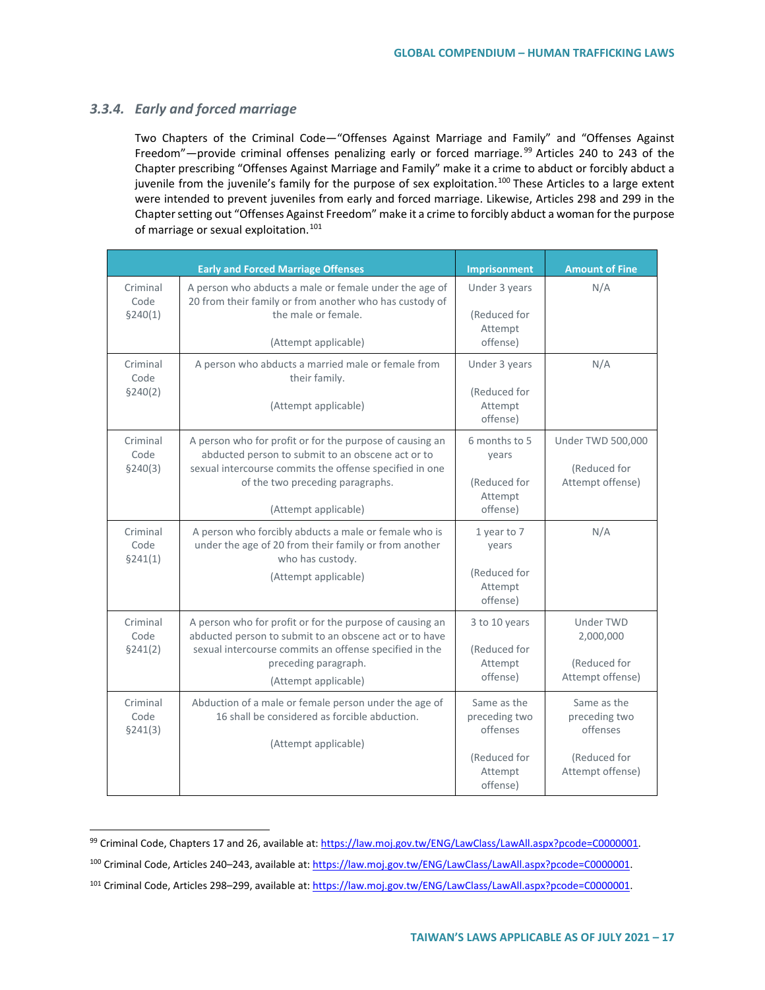#### *3.3.4. Early and forced marriage*

Two Chapters of the Criminal Code—"Offenses Against Marriage and Family" and "Offenses Against Freedom"—provide criminal offenses penalizing early or forced marriage.<sup>[99](#page-16-0)</sup> Articles 240 to 243 of the Chapter prescribing "Offenses Against Marriage and Family" make it a crime to abduct or forcibly abduct a juvenile from the juvenile's family for the purpose of sex exploitation.<sup>[100](#page-16-1)</sup> These Articles to a large extent were intended to prevent juveniles from early and forced marriage. Likewise, Articles 298 and 299 in the Chapter setting out "Offenses Against Freedom" make it a crime to forcibly abduct a woman for the purpose of marriage or sexual exploitation.<sup>[101](#page-16-2)</sup>

|                              | <b>Early and Forced Marriage Offenses</b>                                                                                                                                                                                            | <b>Imprisonment</b>                                                             | <b>Amount of Fine</b>                                                        |
|------------------------------|--------------------------------------------------------------------------------------------------------------------------------------------------------------------------------------------------------------------------------------|---------------------------------------------------------------------------------|------------------------------------------------------------------------------|
| Criminal<br>Code<br>\$240(1) | A person who abducts a male or female under the age of<br>20 from their family or from another who has custody of<br>the male or female.<br>(Attempt applicable)                                                                     | Under 3 years<br>(Reduced for<br>Attempt<br>offense)                            | N/A                                                                          |
| Criminal<br>Code<br>\$240(2) | A person who abducts a married male or female from<br>their family.<br>(Attempt applicable)                                                                                                                                          | Under 3 years<br>(Reduced for<br>Attempt<br>offense)                            | N/A                                                                          |
| Criminal<br>Code<br>\$240(3) | A person who for profit or for the purpose of causing an<br>abducted person to submit to an obscene act or to<br>sexual intercourse commits the offense specified in one<br>of the two preceding paragraphs.<br>(Attempt applicable) | 6 months to 5<br>years<br>(Reduced for<br>Attempt<br>offense)                   | <b>Under TWD 500,000</b><br>(Reduced for<br>Attempt offense)                 |
| Criminal<br>Code<br>\$241(1) | A person who forcibly abducts a male or female who is<br>under the age of 20 from their family or from another<br>who has custody.<br>(Attempt applicable)                                                                           | 1 year to 7<br>years<br>(Reduced for<br>Attempt<br>offense)                     | N/A                                                                          |
| Criminal<br>Code<br>§241(2)  | A person who for profit or for the purpose of causing an<br>abducted person to submit to an obscene act or to have<br>sexual intercourse commits an offense specified in the<br>preceding paragraph.<br>(Attempt applicable)         | 3 to 10 years<br>(Reduced for<br>Attempt<br>offense)                            | <b>Under TWD</b><br>2,000,000<br>(Reduced for<br>Attempt offense)            |
| Criminal<br>Code<br>\$241(3) | Abduction of a male or female person under the age of<br>16 shall be considered as forcible abduction.<br>(Attempt applicable)                                                                                                       | Same as the<br>preceding two<br>offenses<br>(Reduced for<br>Attempt<br>offense) | Same as the<br>preceding two<br>offenses<br>(Reduced for<br>Attempt offense) |

<span id="page-16-0"></span><sup>99</sup> Criminal Code, Chapters 17 and 26, available at: [https://law.moj.gov.tw/ENG/LawClass/LawAll.aspx?pcode=C0000001.](https://law.moj.gov.tw/ENG/LawClass/LawAll.aspx?pcode=C0000001)

<span id="page-16-1"></span><sup>100</sup> Criminal Code, Articles 240–243, available at[: https://law.moj.gov.tw/ENG/LawClass/LawAll.aspx?pcode=C0000001.](https://law.moj.gov.tw/ENG/LawClass/LawAll.aspx?pcode=C0000001) 

<span id="page-16-2"></span><sup>101</sup> Criminal Code, Articles 298-299, available at: https://law.moj.gov.tw/ENG/LawClass/LawAll.aspx?pcode=C0000001.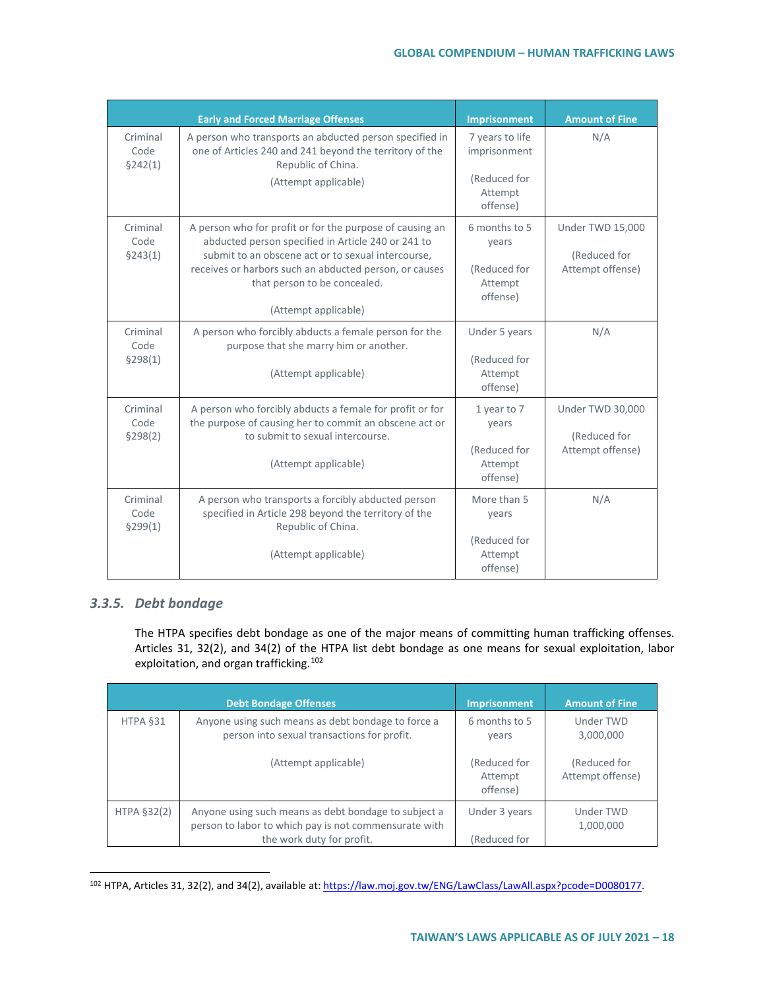|                              | <b>Early and Forced Marriage Offenses</b>                                                                                                                                                                                                                                              | Imprisonment                                                           | <b>Amount of Fine</b>                                |
|------------------------------|----------------------------------------------------------------------------------------------------------------------------------------------------------------------------------------------------------------------------------------------------------------------------------------|------------------------------------------------------------------------|------------------------------------------------------|
| Criminal<br>Code<br>\$242(1) | A person who transports an abducted person specified in<br>one of Articles 240 and 241 beyond the territory of the<br>Republic of China.<br>(Attempt applicable)                                                                                                                       | 7 years to life<br>imprisonment<br>(Reduced for<br>Attempt<br>offense) | N/A                                                  |
| Criminal<br>Code<br>§243(1)  | A person who for profit or for the purpose of causing an<br>abducted person specified in Article 240 or 241 to<br>submit to an obscene act or to sexual intercourse,<br>receives or harbors such an abducted person, or causes<br>that person to be concealed.<br>(Attempt applicable) | 6 months to 5<br>years<br>(Reduced for<br>Attempt<br>offense)          | Under TWD 15,000<br>(Reduced for<br>Attempt offense) |
| Criminal<br>Code<br>\$298(1) | A person who forcibly abducts a female person for the<br>purpose that she marry him or another.<br>(Attempt applicable)                                                                                                                                                                | Under 5 years<br>(Reduced for<br>Attempt<br>offense)                   | N/A                                                  |
| Criminal<br>Code<br>\$298(2) | A person who forcibly abducts a female for profit or for<br>the purpose of causing her to commit an obscene act or<br>to submit to sexual intercourse.<br>(Attempt applicable)                                                                                                         | 1 year to 7<br>years<br>(Reduced for<br>Attempt<br>offense)            | Under TWD 30,000<br>(Reduced for<br>Attempt offense) |
| Criminal<br>Code<br>\$299(1) | A person who transports a forcibly abducted person<br>specified in Article 298 beyond the territory of the<br>Republic of China.<br>(Attempt applicable)                                                                                                                               | More than 5<br>years<br>(Reduced for<br>Attempt<br>offense)            | N/A                                                  |

### *3.3.5. Debt bondage*

The HTPA specifies debt bondage as one of the major means of committing human trafficking offenses. Articles 31, 32(2), and 34(2) of the HTPA list debt bondage as one means for sexual exploitation, labor exploitation, and organ trafficking.[102](#page-17-0)

|             | <b>Debt Bondage Offenses</b>                                                                                                               | Imprisonment                        | <b>Amount of Fine</b>            |
|-------------|--------------------------------------------------------------------------------------------------------------------------------------------|-------------------------------------|----------------------------------|
| HTPA §31    | Anyone using such means as debt bondage to force a<br>person into sexual transactions for profit.                                          | 6 months to 5<br>years              | Under TWD<br>3,000,000           |
|             | (Attempt applicable)                                                                                                                       | (Reduced for<br>Attempt<br>offense) | (Reduced for<br>Attempt offense) |
| HTPA §32(2) | Anyone using such means as debt bondage to subject a<br>person to labor to which pay is not commensurate with<br>the work duty for profit. | Under 3 years<br>Reduced for)       | Under TWD<br>1,000,000           |

<span id="page-17-0"></span><sup>102</sup> HTPA, Articles 31, 32(2), and 34(2), available at: [https://law.moj.gov.tw/ENG/LawClass/LawAll.aspx?pcode=D0080177.](https://law.moj.gov.tw/ENG/LawClass/LawAll.aspx?pcode=D0080177)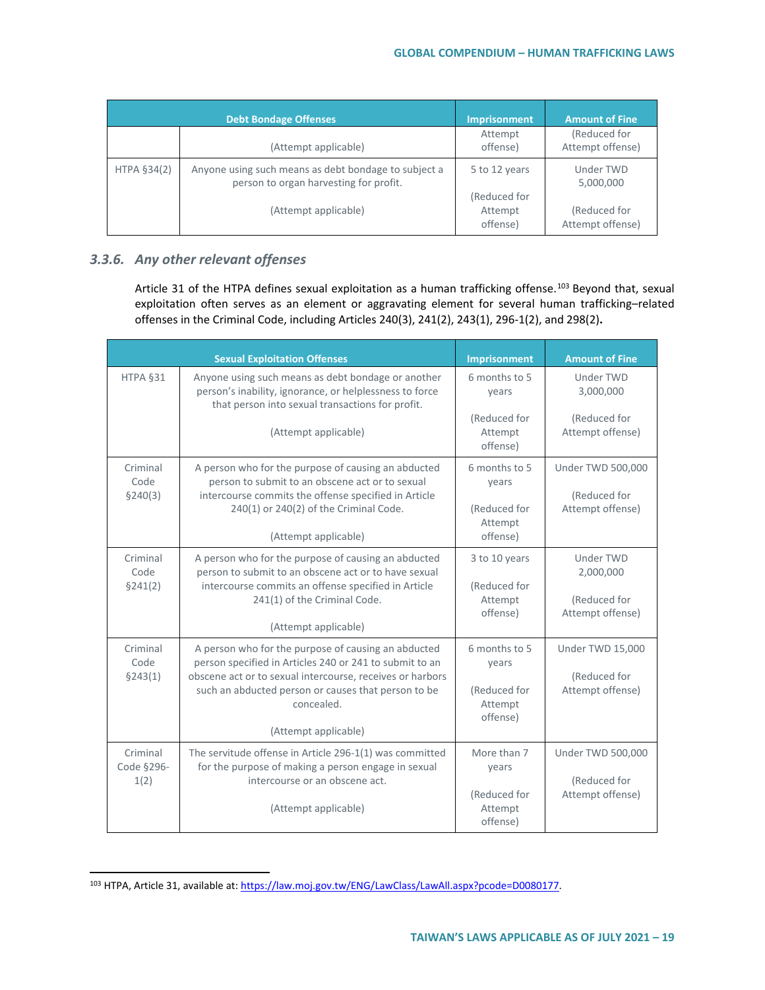|             | <b>Debt Bondage Offenses</b>                                                                   | <b>Imprisonment</b>                 | <b>Amount of Fine</b>            |
|-------------|------------------------------------------------------------------------------------------------|-------------------------------------|----------------------------------|
|             | (Attempt applicable)                                                                           | Attempt<br>offense)                 | (Reduced for<br>Attempt offense) |
| HTPA §34(2) | Anyone using such means as debt bondage to subject a<br>person to organ harvesting for profit. | 5 to 12 years                       | Under TWD<br>5,000,000           |
|             | (Attempt applicable)                                                                           | (Reduced for<br>Attempt<br>offense) | (Reduced for<br>Attempt offense) |

## *3.3.6. Any other relevant offenses*

Article 31 of the HTPA defines sexual exploitation as a human trafficking offense.<sup>[103](#page-18-0)</sup> Beyond that, sexual exploitation often serves as an element or aggravating element for several human trafficking–related offenses in the Criminal Code, including Articles 240(3), 241(2), 243(1), 296-1(2), and 298(2)**.**

|                                | <b>Sexual Exploitation Offenses</b>                                                                                                                                                                                                                                      | Imprisonment                                                  | <b>Amount of Fine</b>                                        |
|--------------------------------|--------------------------------------------------------------------------------------------------------------------------------------------------------------------------------------------------------------------------------------------------------------------------|---------------------------------------------------------------|--------------------------------------------------------------|
| HTPA §31                       | Anyone using such means as debt bondage or another<br>person's inability, ignorance, or helplessness to force<br>that person into sexual transactions for profit.                                                                                                        | 6 months to 5<br>years                                        | Under TWD<br>3,000,000                                       |
|                                | (Attempt applicable)                                                                                                                                                                                                                                                     | (Reduced for<br>Attempt<br>offense)                           | (Reduced for<br>Attempt offense)                             |
| Criminal<br>Code<br>§240(3)    | A person who for the purpose of causing an abducted<br>person to submit to an obscene act or to sexual<br>intercourse commits the offense specified in Article<br>240(1) or 240(2) of the Criminal Code.<br>(Attempt applicable)                                         | 6 months to 5<br>vears<br>(Reduced for<br>Attempt<br>offense) | <b>Under TWD 500,000</b><br>(Reduced for<br>Attempt offense) |
| Criminal<br>Code<br>\$241(2)   | A person who for the purpose of causing an abducted<br>person to submit to an obscene act or to have sexual<br>intercourse commits an offense specified in Article<br>241(1) of the Criminal Code.<br>(Attempt applicable)                                               | 3 to 10 years<br>(Reduced for<br>Attempt<br>offense)          | Under TWD<br>2,000,000<br>(Reduced for<br>Attempt offense)   |
| Criminal<br>Code<br>\$243(1)   | A person who for the purpose of causing an abducted<br>person specified in Articles 240 or 241 to submit to an<br>obscene act or to sexual intercourse, receives or harbors<br>such an abducted person or causes that person to be<br>concealed.<br>(Attempt applicable) | 6 months to 5<br>years<br>(Reduced for<br>Attempt<br>offense) | Under TWD 15,000<br>(Reduced for<br>Attempt offense)         |
| Criminal<br>Code §296-<br>1(2) | The servitude offense in Article 296-1(1) was committed<br>for the purpose of making a person engage in sexual<br>intercourse or an obscene act.<br>(Attempt applicable)                                                                                                 | More than 7<br>vears<br>(Reduced for<br>Attempt<br>offense)   | Under TWD 500,000<br>(Reduced for<br>Attempt offense)        |

<span id="page-18-0"></span><sup>103</sup> HTPA, Article 31, available at: https://law.moj.gov.tw/ENG/LawClass/LawAll.aspx?pcode=D0080177.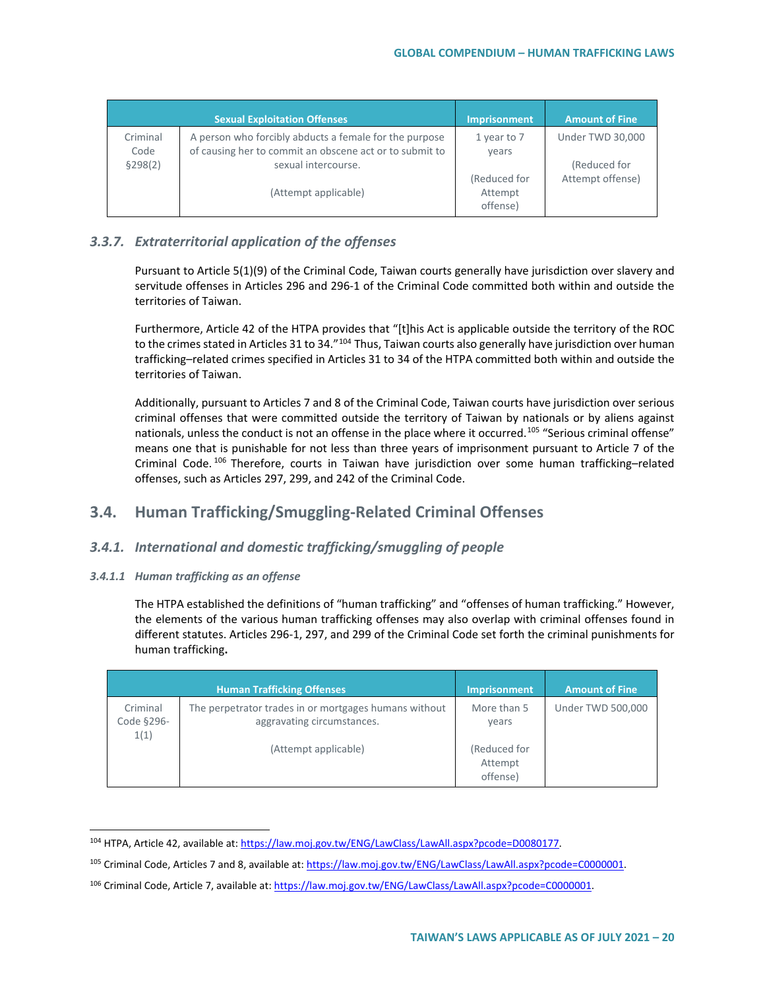|                  | <b>Sexual Exploitation Offenses</b>                                                                               | <b>Imprisonment</b>  | <b>Amount of Fine</b>            |
|------------------|-------------------------------------------------------------------------------------------------------------------|----------------------|----------------------------------|
| Criminal<br>Code | A person who forcibly abducts a female for the purpose<br>of causing her to commit an obscene act or to submit to | 1 year to 7<br>years | Under TWD 30,000                 |
| \$298(2)         | sexual intercourse.                                                                                               | (Reduced for         | (Reduced for<br>Attempt offense) |
|                  | (Attempt applicable)                                                                                              | Attempt<br>offense)  |                                  |

## *3.3.7. Extraterritorial application of the offenses*

Pursuant to Article 5(1)(9) of the Criminal Code, Taiwan courts generally have jurisdiction over slavery and servitude offenses in Articles 296 and 296-1 of the Criminal Code committed both within and outside the territories of Taiwan.

Furthermore, Article 42 of the HTPA provides that "[t]his Act is applicable outside the territory of the ROC to the crimes stated in Articles 31 to 34."<sup>[104](#page-19-0)</sup> Thus, Taiwan courts also generally have jurisdiction over human trafficking–related crimes specified in Articles 31 to 34 of the HTPA committed both within and outside the territories of Taiwan.

Additionally, pursuant to Articles 7 and 8 of the Criminal Code, Taiwan courts have jurisdiction over serious criminal offenses that were committed outside the territory of Taiwan by nationals or by aliens against nationals, unless the conduct is not an offense in the place where it occurred.<sup>[105](#page-19-1)</sup> "Serious criminal offense" means one that is punishable for not less than three years of imprisonment pursuant to Article 7 of the Criminal Code. [106](#page-19-2) Therefore, courts in Taiwan have jurisdiction over some human trafficking–related offenses, such as Articles 297, 299, and 242 of the Criminal Code.

## **3.4. Human Trafficking/Smuggling-Related Criminal Offenses**

### *3.4.1. International and domestic trafficking/smuggling of people*

#### *3.4.1.1 Human trafficking as an offense*

The HTPA established the definitions of "human trafficking" and "offenses of human trafficking." However, the elements of the various human trafficking offenses may also overlap with criminal offenses found in different statutes. Articles 296-1, 297, and 299 of the Criminal Code set forth the criminal punishments for human trafficking**.**

|                                | <b>Human Trafficking Offenses</b>                                                   | <b>Imprisonment</b>                 | <b>Amount of Fine</b> |
|--------------------------------|-------------------------------------------------------------------------------------|-------------------------------------|-----------------------|
| Criminal<br>Code §296-<br>1(1) | The perpetrator trades in or mortgages humans without<br>aggravating circumstances. | More than 5<br>years                | Under TWD 500,000     |
|                                | (Attempt applicable)                                                                | (Reduced for<br>Attempt<br>offense) |                       |

<span id="page-19-0"></span><sup>104</sup> HTPA, Article 42, available at: https://law.moj.gov.tw/ENG/LawClass/LawAll.aspx?pcode=D0080177.

<span id="page-19-1"></span><sup>&</sup>lt;sup>105</sup> Criminal Code, Articles 7 and 8, available at: https://law.moj.gov.tw/ENG/LawClass/LawAll.aspx?pcode=C0000001.

<span id="page-19-2"></span><sup>106</sup> Criminal Code, Article 7, available at: https://law.moj.gov.tw/ENG/LawClass/LawAll.aspx?pcode=C0000001.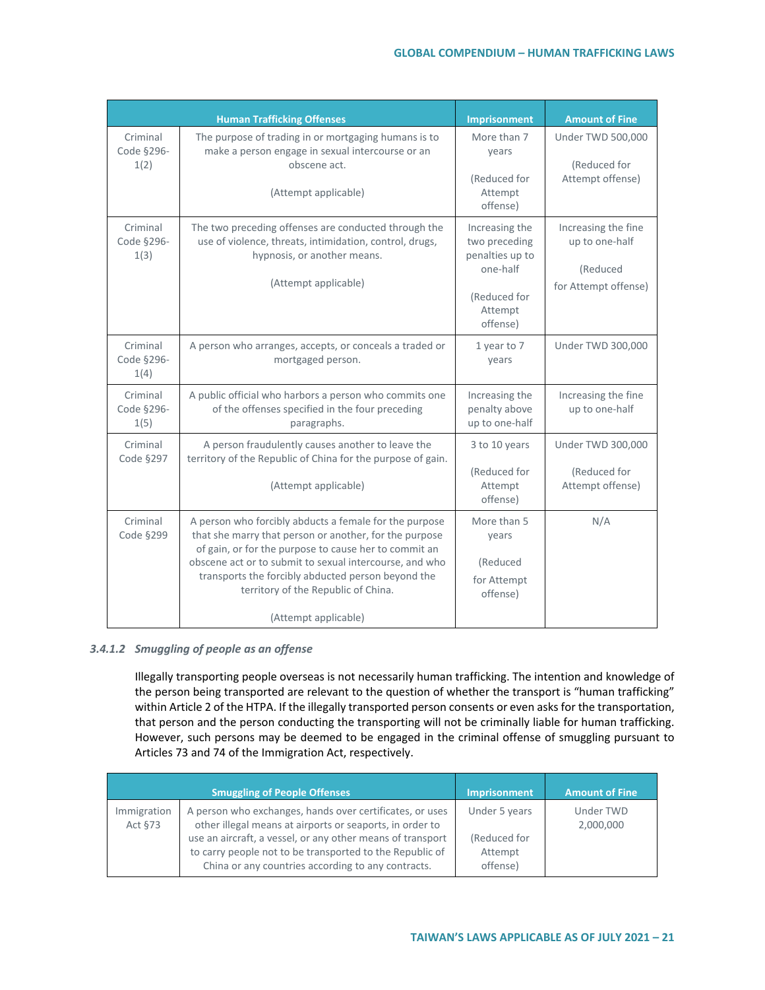|                                | <b>Human Trafficking Offenses</b>                                                                                                                                                                                                                                                                                                                         | <b>Imprisonment</b>                                                                                   | <b>Amount of Fine</b>                                                     |
|--------------------------------|-----------------------------------------------------------------------------------------------------------------------------------------------------------------------------------------------------------------------------------------------------------------------------------------------------------------------------------------------------------|-------------------------------------------------------------------------------------------------------|---------------------------------------------------------------------------|
| Criminal<br>Code §296-<br>1(2) | The purpose of trading in or mortgaging humans is to<br>make a person engage in sexual intercourse or an<br>obscene act.<br>(Attempt applicable)                                                                                                                                                                                                          | More than 7<br>years<br>(Reduced for<br>Attempt<br>offense)                                           | <b>Under TWD 500,000</b><br>(Reduced for<br>Attempt offense)              |
| Criminal<br>Code §296-<br>1(3) | The two preceding offenses are conducted through the<br>use of violence, threats, intimidation, control, drugs,<br>hypnosis, or another means.<br>(Attempt applicable)                                                                                                                                                                                    | Increasing the<br>two preceding<br>penalties up to<br>one-half<br>(Reduced for<br>Attempt<br>offense) | Increasing the fine<br>up to one-half<br>(Reduced<br>for Attempt offense) |
| Criminal<br>Code §296-<br>1(4) | A person who arranges, accepts, or conceals a traded or<br>mortgaged person.                                                                                                                                                                                                                                                                              | 1 year to 7<br>years                                                                                  | <b>Under TWD 300,000</b>                                                  |
| Criminal<br>Code §296-<br>1(5) | A public official who harbors a person who commits one<br>of the offenses specified in the four preceding<br>paragraphs.                                                                                                                                                                                                                                  | Increasing the<br>penalty above<br>up to one-half                                                     | Increasing the fine<br>up to one-half                                     |
| Criminal<br>Code §297          | A person fraudulently causes another to leave the<br>territory of the Republic of China for the purpose of gain.<br>(Attempt applicable)                                                                                                                                                                                                                  | 3 to 10 years<br>(Reduced for<br>Attempt<br>offense)                                                  | <b>Under TWD 300,000</b><br>(Reduced for<br>Attempt offense)              |
| Criminal<br>Code §299          | A person who forcibly abducts a female for the purpose<br>that she marry that person or another, for the purpose<br>of gain, or for the purpose to cause her to commit an<br>obscene act or to submit to sexual intercourse, and who<br>transports the forcibly abducted person beyond the<br>territory of the Republic of China.<br>(Attempt applicable) | More than 5<br>years<br>(Reduced<br>for Attempt<br>offense)                                           | N/A                                                                       |

#### *3.4.1.2 Smuggling of people as an offense*

Illegally transporting people overseas is not necessarily human trafficking. The intention and knowledge of the person being transported are relevant to the question of whether the transport is "human trafficking" within Article 2 of the HTPA. If the illegally transported person consents or even asks for the transportation, that person and the person conducting the transporting will not be criminally liable for human trafficking. However, such persons may be deemed to be engaged in the criminal offense of smuggling pursuant to Articles 73 and 74 of the Immigration Act, respectively.

|                        | <b>Smuggling of People Offenses</b>                                                                                                                                                                                                                                                                  | <b>Imprisonment</b>                                  | <b>Amount of Fine</b>  |
|------------------------|------------------------------------------------------------------------------------------------------------------------------------------------------------------------------------------------------------------------------------------------------------------------------------------------------|------------------------------------------------------|------------------------|
| Immigration<br>Act §73 | A person who exchanges, hands over certificates, or uses<br>other illegal means at airports or seaports, in order to<br>use an aircraft, a vessel, or any other means of transport<br>to carry people not to be transported to the Republic of<br>China or any countries according to any contracts. | Under 5 years<br>(Reduced for<br>Attempt<br>offense) | Under TWD<br>2,000,000 |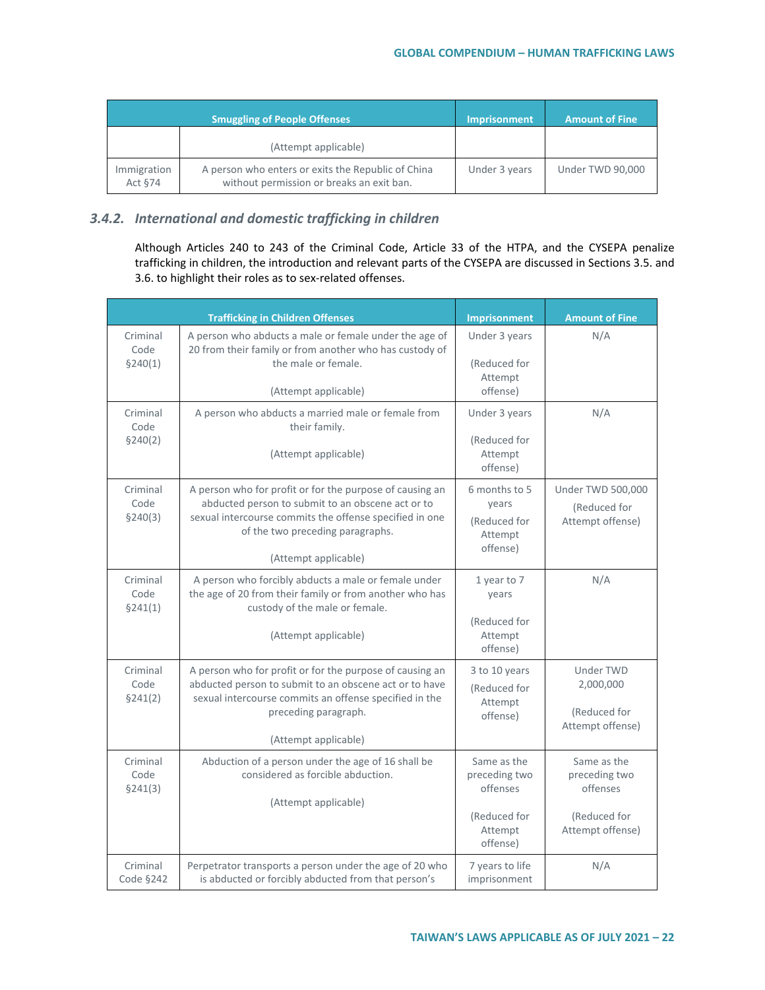|                        | <b>Smuggling of People Offenses</b>                                                             | Imprisonment, | <b>Amount of Fine</b> |
|------------------------|-------------------------------------------------------------------------------------------------|---------------|-----------------------|
|                        | (Attempt applicable)                                                                            |               |                       |
| Immigration<br>Act §74 | A person who enters or exits the Republic of China<br>without permission or breaks an exit ban. | Under 3 years | Under TWD 90,000      |

## *3.4.2. International and domestic trafficking in children*

Although Articles 240 to 243 of the Criminal Code, Article 33 of the HTPA, and the CYSEPA penalize trafficking in children, the introduction and relevant parts of the CYSEPA are discussed in Sections 3.5. and 3.6. to highlight their roles as to sex-related offenses.

|                              | <b>Trafficking in Children Offenses</b>                                                                                                                                                                                              | Imprisonment                                                                    | <b>Amount of Fine</b>                                                        |
|------------------------------|--------------------------------------------------------------------------------------------------------------------------------------------------------------------------------------------------------------------------------------|---------------------------------------------------------------------------------|------------------------------------------------------------------------------|
| Criminal<br>Code<br>\$240(1) | A person who abducts a male or female under the age of<br>20 from their family or from another who has custody of<br>the male or female.                                                                                             | Under 3 years<br>(Reduced for<br>Attempt                                        | N/A                                                                          |
| Criminal<br>Code<br>\$240(2) | (Attempt applicable)<br>A person who abducts a married male or female from<br>their family.<br>(Attempt applicable)                                                                                                                  | offense)<br>Under 3 years<br>(Reduced for<br>Attempt<br>offense)                | N/A                                                                          |
| Criminal<br>Code<br>\$240(3) | A person who for profit or for the purpose of causing an<br>abducted person to submit to an obscene act or to<br>sexual intercourse commits the offense specified in one<br>of the two preceding paragraphs.<br>(Attempt applicable) | 6 months to 5<br>years<br>(Reduced for<br>Attempt<br>offense)                   | Under TWD 500,000<br>(Reduced for<br>Attempt offense)                        |
| Criminal<br>Code<br>\$241(1) | A person who forcibly abducts a male or female under<br>the age of 20 from their family or from another who has<br>custody of the male or female.<br>(Attempt applicable)                                                            | 1 year to 7<br>years<br>(Reduced for<br>Attempt<br>offense)                     | N/A                                                                          |
| Criminal<br>Code<br>\$241(2) | A person who for profit or for the purpose of causing an<br>abducted person to submit to an obscene act or to have<br>sexual intercourse commits an offense specified in the<br>preceding paragraph.<br>(Attempt applicable)         | 3 to 10 years<br>(Reduced for<br>Attempt<br>offense)                            | <b>Under TWD</b><br>2,000,000<br>(Reduced for<br>Attempt offense)            |
| Criminal<br>Code<br>\$241(3) | Abduction of a person under the age of 16 shall be<br>considered as forcible abduction.<br>(Attempt applicable)                                                                                                                      | Same as the<br>preceding two<br>offenses<br>(Reduced for<br>Attempt<br>offense) | Same as the<br>preceding two<br>offenses<br>(Reduced for<br>Attempt offense) |
| Criminal<br>Code §242        | Perpetrator transports a person under the age of 20 who<br>is abducted or forcibly abducted from that person's                                                                                                                       | 7 years to life<br>imprisonment                                                 | N/A                                                                          |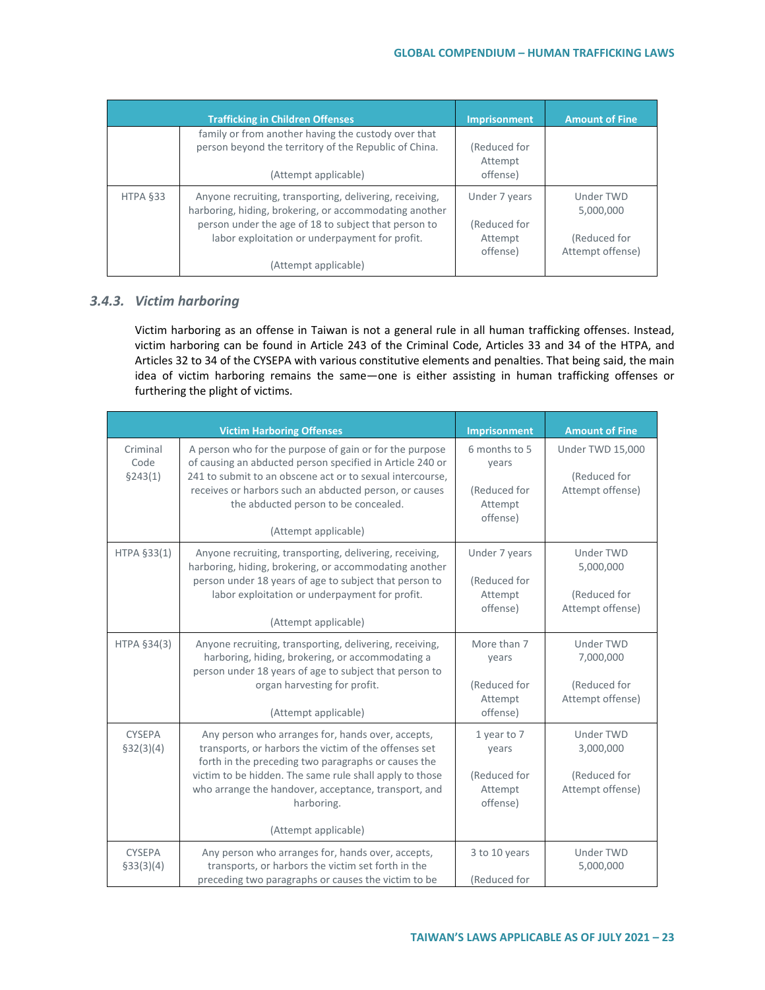|          | <b>Trafficking in Children Offenses</b>                                                                                                                                                                                                             | <b>Imprisonment</b>                                  | <b>Amount of Fine</b>                                      |
|----------|-----------------------------------------------------------------------------------------------------------------------------------------------------------------------------------------------------------------------------------------------------|------------------------------------------------------|------------------------------------------------------------|
|          | family or from another having the custody over that<br>person beyond the territory of the Republic of China.<br>(Attempt applicable)                                                                                                                | (Reduced for<br>Attempt<br>offense)                  |                                                            |
| HTPA §33 | Anyone recruiting, transporting, delivering, receiving,<br>harboring, hiding, brokering, or accommodating another<br>person under the age of 18 to subject that person to<br>labor exploitation or underpayment for profit.<br>(Attempt applicable) | Under 7 years<br>(Reduced for<br>Attempt<br>offense) | Under TWD<br>5,000,000<br>(Reduced for<br>Attempt offense) |

### *3.4.3. Victim harboring*

Victim harboring as an offense in Taiwan is not a general rule in all human trafficking offenses. Instead, victim harboring can be found in Article 243 of the Criminal Code, Articles 33 and 34 of the HTPA, and Articles 32 to 34 of the CYSEPA with various constitutive elements and penalties. That being said, the main idea of victim harboring remains the same—one is either assisting in human trafficking offenses or furthering the plight of victims.

|                              | <b>Victim Harboring Offenses</b>                                                                                                                                                                                                                                                                                           | <b>Imprisonment</b>                                           | <b>Amount of Fine</b>                                             |
|------------------------------|----------------------------------------------------------------------------------------------------------------------------------------------------------------------------------------------------------------------------------------------------------------------------------------------------------------------------|---------------------------------------------------------------|-------------------------------------------------------------------|
| Criminal<br>Code<br>\$243(1) | A person who for the purpose of gain or for the purpose<br>of causing an abducted person specified in Article 240 or<br>241 to submit to an obscene act or to sexual intercourse,<br>receives or harbors such an abducted person, or causes<br>the abducted person to be concealed.<br>(Attempt applicable)                | 6 months to 5<br>years<br>(Reduced for<br>Attempt<br>offense) | Under TWD 15,000<br>(Reduced for<br>Attempt offense)              |
| HTPA §33(1)                  | Anyone recruiting, transporting, delivering, receiving,<br>harboring, hiding, brokering, or accommodating another<br>person under 18 years of age to subject that person to<br>labor exploitation or underpayment for profit.<br>(Attempt applicable)                                                                      | Under 7 years<br>(Reduced for<br>Attempt<br>offense)          | <b>Under TWD</b><br>5,000,000<br>(Reduced for<br>Attempt offense) |
| HTPA §34(3)                  | Anyone recruiting, transporting, delivering, receiving,<br>harboring, hiding, brokering, or accommodating a<br>person under 18 years of age to subject that person to<br>organ harvesting for profit.<br>(Attempt applicable)                                                                                              | More than 7<br>years<br>(Reduced for<br>Attempt<br>offense)   | <b>Under TWD</b><br>7,000,000<br>(Reduced for<br>Attempt offense) |
| <b>CYSEPA</b><br>\$32(3)(4)  | Any person who arranges for, hands over, accepts,<br>transports, or harbors the victim of the offenses set<br>forth in the preceding two paragraphs or causes the<br>victim to be hidden. The same rule shall apply to those<br>who arrange the handover, acceptance, transport, and<br>harboring.<br>(Attempt applicable) | 1 year to 7<br>years<br>(Reduced for<br>Attempt<br>offense)   | <b>Under TWD</b><br>3,000,000<br>(Reduced for<br>Attempt offense) |
| <b>CYSEPA</b><br>\$33(3)(4)  | Any person who arranges for, hands over, accepts,<br>transports, or harbors the victim set forth in the<br>preceding two paragraphs or causes the victim to be                                                                                                                                                             | 3 to 10 years<br>(Reduced for                                 | <b>Under TWD</b><br>5,000,000                                     |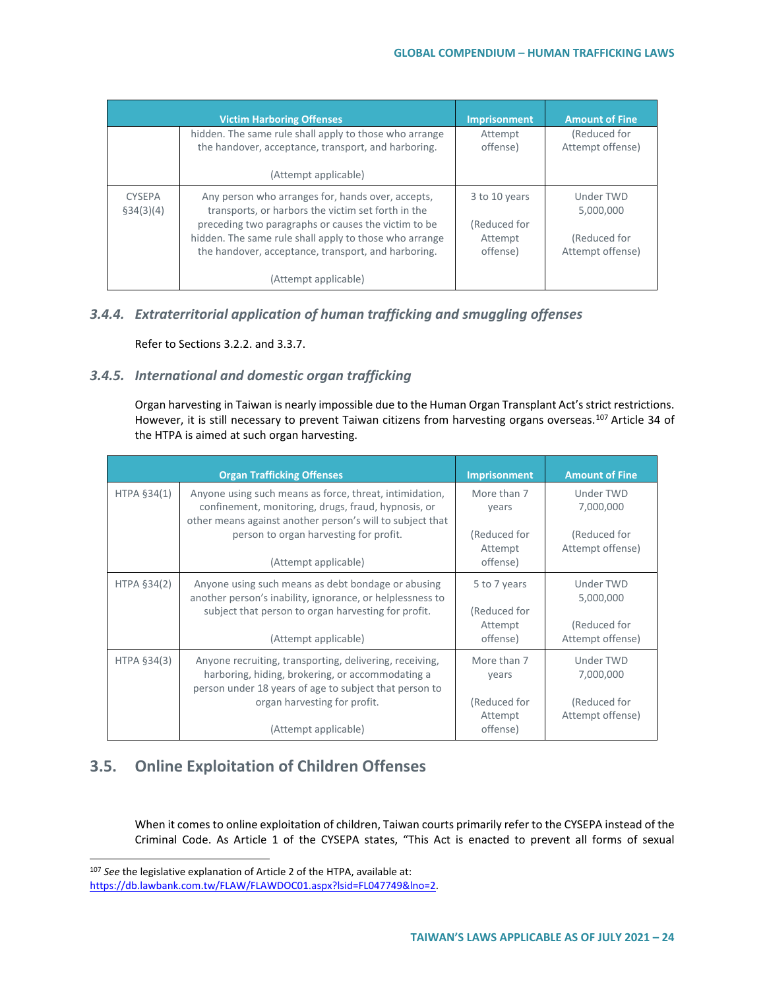|                            | <b>Victim Harboring Offenses</b>                                                                                                                                                                                                                                                | <b>Imprisonment</b>                                  | <b>Amount of Fine</b>                                      |
|----------------------------|---------------------------------------------------------------------------------------------------------------------------------------------------------------------------------------------------------------------------------------------------------------------------------|------------------------------------------------------|------------------------------------------------------------|
|                            | hidden. The same rule shall apply to those who arrange<br>the handover, acceptance, transport, and harboring.                                                                                                                                                                   | Attempt<br>offense)                                  | (Reduced for<br>Attempt offense)                           |
|                            | (Attempt applicable)                                                                                                                                                                                                                                                            |                                                      |                                                            |
| <b>CYSEPA</b><br>§34(3)(4) | Any person who arranges for, hands over, accepts,<br>transports, or harbors the victim set forth in the<br>preceding two paragraphs or causes the victim to be<br>hidden. The same rule shall apply to those who arrange<br>the handover, acceptance, transport, and harboring. | 3 to 10 years<br>(Reduced for<br>Attempt<br>offense) | Under TWD<br>5,000,000<br>(Reduced for<br>Attempt offense) |
|                            | (Attempt applicable)                                                                                                                                                                                                                                                            |                                                      |                                                            |

### *3.4.4. Extraterritorial application of human trafficking and smuggling offenses*

Refer to Sections 3.2.2. and 3.3.7.

## *3.4.5. International and domestic organ trafficking*

Organ harvesting in Taiwan is nearly impossible due to the Human Organ Transplant Act's strict restrictions. However, it is still necessary to prevent Taiwan citizens from harvesting organs overseas.<sup>[107](#page-23-0)</sup> Article 34 of the HTPA is aimed at such organ harvesting.

|             | <b>Organ Trafficking Offenses</b>                                                                                                                                           | <b>Imprisonment</b>                 | <b>Amount of Fine</b>            |
|-------------|-----------------------------------------------------------------------------------------------------------------------------------------------------------------------------|-------------------------------------|----------------------------------|
| HTPA §34(1) | Anyone using such means as force, threat, intimidation,<br>confinement, monitoring, drugs, fraud, hypnosis, or<br>other means against another person's will to subject that | More than 7<br>years                | Under TWD<br>7,000,000           |
|             | person to organ harvesting for profit.<br>(Attempt applicable)                                                                                                              | (Reduced for<br>Attempt<br>offense) | (Reduced for<br>Attempt offense) |
|             |                                                                                                                                                                             |                                     |                                  |
| HTPA §34(2) | Anyone using such means as debt bondage or abusing<br>another person's inability, ignorance, or helplessness to<br>subject that person to organ harvesting for profit.      | 5 to 7 years<br>(Reduced for        | Under TWD<br>5,000,000           |
|             | (Attempt applicable)                                                                                                                                                        | Attempt<br>offense)                 | (Reduced for<br>Attempt offense) |
| HTPA §34(3) | Anyone recruiting, transporting, delivering, receiving,<br>harboring, hiding, brokering, or accommodating a<br>person under 18 years of age to subject that person to       | More than 7<br>years                | Under TWD<br>7,000,000           |
|             | organ harvesting for profit.                                                                                                                                                | (Reduced for<br>Attempt             | (Reduced for<br>Attempt offense) |
|             | (Attempt applicable)                                                                                                                                                        | offense)                            |                                  |

## **3.5. Online Exploitation of Children Offenses**

When it comes to online exploitation of children, Taiwan courts primarily refer to the CYSEPA instead of the Criminal Code. As Article 1 of the CYSEPA states, "This Act is enacted to prevent all forms of sexual

<span id="page-23-0"></span> <sup>107</sup> *See* the legislative explanation of Article 2 of the HTPA, available at:

[https://db.lawbank.com.tw/FLAW/FLAWDOC01.aspx?lsid=FL047749&lno=2.](https://db.lawbank.com.tw/FLAW/FLAWDOC01.aspx?lsid=FL047749&lno=2)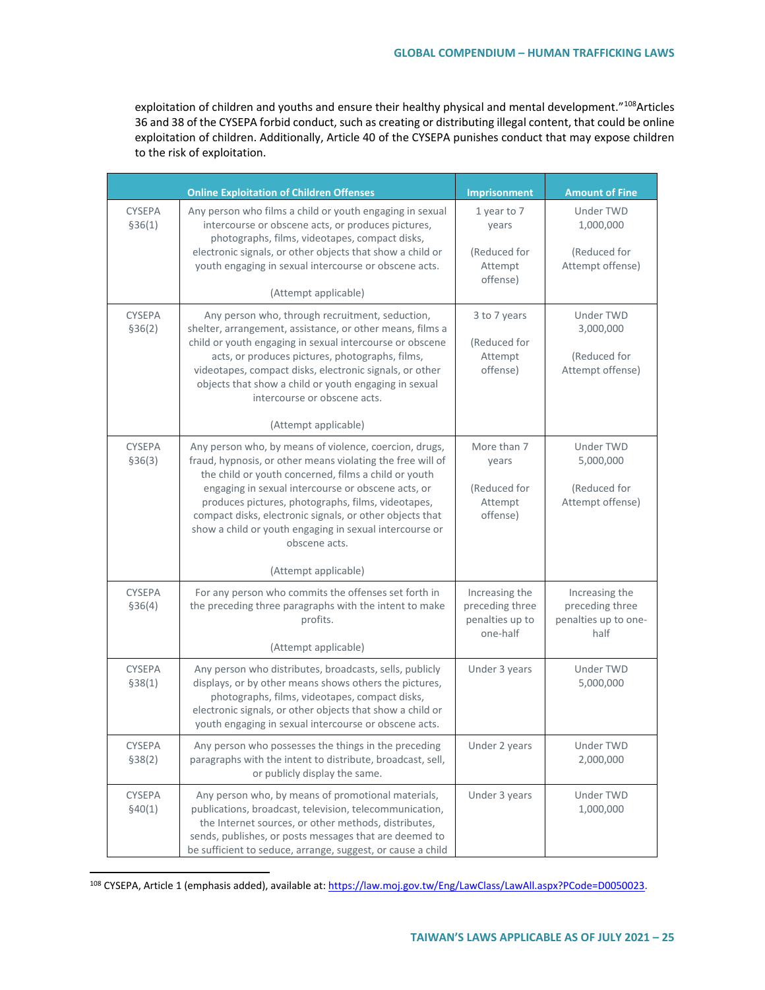exploitation of children and youths and ensure their healthy physical and mental development."108 Articles 36 and 38 of the CYSEPA forbid conduct, such as creating or distributing illegal content, that could be online exploitation of children. Additionally, Article 40 of the CYSEPA punishes conduct that may expose children to the risk of exploitation.

|                          | <b>Online Exploitation of Children Offenses</b>                                                                                                                                                                                                                                                                                                                                                                                                          | <b>Imprisonment</b>                                              | <b>Amount of Fine</b>                                             |
|--------------------------|----------------------------------------------------------------------------------------------------------------------------------------------------------------------------------------------------------------------------------------------------------------------------------------------------------------------------------------------------------------------------------------------------------------------------------------------------------|------------------------------------------------------------------|-------------------------------------------------------------------|
| <b>CYSEPA</b><br>\$36(1) | Any person who films a child or youth engaging in sexual<br>intercourse or obscene acts, or produces pictures,<br>photographs, films, videotapes, compact disks,<br>electronic signals, or other objects that show a child or<br>youth engaging in sexual intercourse or obscene acts.<br>(Attempt applicable)                                                                                                                                           | 1 year to 7<br>years<br>(Reduced for<br>Attempt<br>offense)      | Under TWD<br>1,000,000<br>(Reduced for<br>Attempt offense)        |
| <b>CYSEPA</b><br>\$36(2) | Any person who, through recruitment, seduction,<br>shelter, arrangement, assistance, or other means, films a<br>child or youth engaging in sexual intercourse or obscene<br>acts, or produces pictures, photographs, films,<br>videotapes, compact disks, electronic signals, or other<br>objects that show a child or youth engaging in sexual<br>intercourse or obscene acts.<br>(Attempt applicable)                                                  | 3 to 7 years<br>(Reduced for<br>Attempt<br>offense)              | Under TWD<br>3,000,000<br>(Reduced for<br>Attempt offense)        |
| <b>CYSEPA</b><br>\$36(3) | Any person who, by means of violence, coercion, drugs,<br>fraud, hypnosis, or other means violating the free will of<br>the child or youth concerned, films a child or youth<br>engaging in sexual intercourse or obscene acts, or<br>produces pictures, photographs, films, videotapes,<br>compact disks, electronic signals, or other objects that<br>show a child or youth engaging in sexual intercourse or<br>obscene acts.<br>(Attempt applicable) | More than 7<br>years<br>(Reduced for<br>Attempt<br>offense)      | Under TWD<br>5,000,000<br>(Reduced for<br>Attempt offense)        |
| <b>CYSEPA</b><br>\$36(4) | For any person who commits the offenses set forth in<br>the preceding three paragraphs with the intent to make<br>profits.<br>(Attempt applicable)                                                                                                                                                                                                                                                                                                       | Increasing the<br>preceding three<br>penalties up to<br>one-half | Increasing the<br>preceding three<br>penalties up to one-<br>half |
| <b>CYSEPA</b><br>\$38(1) | Any person who distributes, broadcasts, sells, publicly<br>displays, or by other means shows others the pictures,<br>photographs, films, videotapes, compact disks,<br>electronic signals, or other objects that show a child or<br>youth engaging in sexual intercourse or obscene acts.                                                                                                                                                                | Under 3 years                                                    | Under TWD<br>5,000,000                                            |
| <b>CYSEPA</b><br>\$38(2) | Any person who possesses the things in the preceding<br>paragraphs with the intent to distribute, broadcast, sell,<br>or publicly display the same.                                                                                                                                                                                                                                                                                                      | Under 2 years                                                    | Under TWD<br>2,000,000                                            |
| CYSEPA<br>\$40(1)        | Any person who, by means of promotional materials,<br>publications, broadcast, television, telecommunication,<br>the Internet sources, or other methods, distributes,<br>sends, publishes, or posts messages that are deemed to<br>be sufficient to seduce, arrange, suggest, or cause a child                                                                                                                                                           | Under 3 years                                                    | Under TWD<br>1,000,000                                            |

<span id="page-24-0"></span><sup>108</sup> CYSEPA, Article 1 (emphasis added), available at: [https://law.moj.gov.tw/Eng/LawClass/LawAll.aspx?PCode=D0050023.](https://law.moj.gov.tw/Eng/LawClass/LawAll.aspx?PCode=D0050023)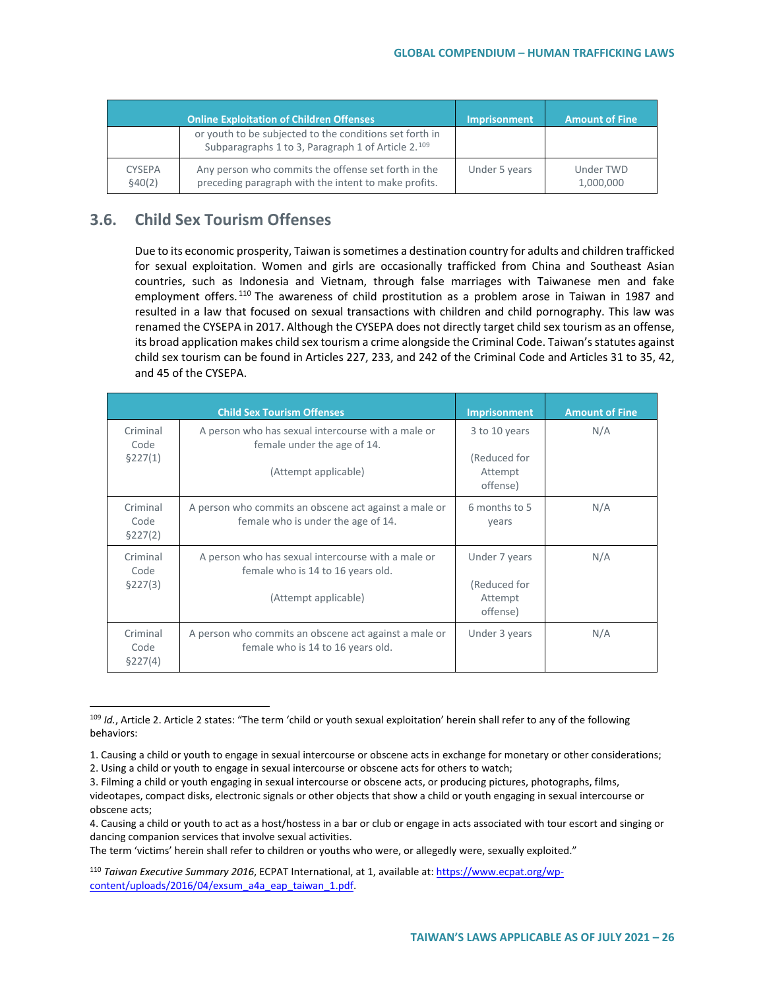|                          | <b>Online Exploitation of Children Offenses</b>                                                               | <b>Imprisonment</b> | <b>Amount of Fine</b>  |
|--------------------------|---------------------------------------------------------------------------------------------------------------|---------------------|------------------------|
|                          | or youth to be subjected to the conditions set forth in<br>Subparagraphs 1 to 3, Paragraph 1 of Article 2.109 |                     |                        |
| <b>CYSEPA</b><br>\$40(2) | Any person who commits the offense set forth in the<br>preceding paragraph with the intent to make profits.   | Under 5 years       | Under TWD<br>1,000,000 |

## **3.6. Child Sex Tourism Offenses**

Due to its economic prosperity, Taiwan is sometimes a destination country for adults and children trafficked for sexual exploitation. Women and girls are occasionally trafficked from China and Southeast Asian countries, such as Indonesia and Vietnam, through false marriages with Taiwanese men and fake employment offers.<sup>[110](#page-25-1)</sup> The awareness of child prostitution as a problem arose in Taiwan in 1987 and resulted in a law that focused on sexual transactions with children and child pornography. This law was renamed the CYSEPA in 2017. Although the CYSEPA does not directly target child sex tourism as an offense, its broad application makes child sex tourism a crime alongside the Criminal Code. Taiwan's statutes against child sex tourism can be found in Articles 227, 233, and 242 of the Criminal Code and Articles 31 to 35, 42, and 45 of the CYSEPA.

|                              | <b>Child Sex Tourism Offenses</b>                                                                               | Imprisonment                                         | <b>Amount of Fine</b> |
|------------------------------|-----------------------------------------------------------------------------------------------------------------|------------------------------------------------------|-----------------------|
| Criminal<br>Code<br>\$227(1) | A person who has sexual intercourse with a male or<br>female under the age of 14.<br>(Attempt applicable)       | 3 to 10 years<br>(Reduced for<br>Attempt<br>offense) | N/A                   |
| Criminal<br>Code<br>\$227(2) | A person who commits an obscene act against a male or<br>female who is under the age of 14.                     | 6 months to 5<br>years                               | N/A                   |
| Criminal<br>Code<br>\$227(3) | A person who has sexual intercourse with a male or<br>female who is 14 to 16 years old.<br>(Attempt applicable) | Under 7 years<br>(Reduced for<br>Attempt<br>offense) | N/A                   |
| Criminal<br>Code<br>\$227(4) | A person who commits an obscene act against a male or<br>female who is 14 to 16 years old.                      | Under 3 years                                        | N/A                   |

<span id="page-25-0"></span> <sup>109</sup> *Id.*, Article 2. Article 2 states: "The term 'child or youth sexual exploitation' herein shall refer to any of the following behaviors:

The term 'victims' herein shall refer to children or youths who were, or allegedly were, sexually exploited."

<sup>1.</sup> Causing a child or youth to engage in sexual intercourse or obscene acts in exchange for monetary or other considerations;

<sup>2.</sup> Using a child or youth to engage in sexual intercourse or obscene acts for others to watch;

<sup>3.</sup> Filming a child or youth engaging in sexual intercourse or obscene acts, or producing pictures, photographs, films, videotapes, compact disks, electronic signals or other objects that show a child or youth engaging in sexual intercourse or obscene acts;

<sup>4.</sup> Causing a child or youth to act as a host/hostess in a bar or club or engage in acts associated with tour escort and singing or dancing companion services that involve sexual activities.

<span id="page-25-1"></span><sup>110</sup> *Taiwan Executive Summary 2016*, ECPAT International, at 1, available at[: https://www.ecpat.org/wp](https://www.ecpat.org/wp-content/uploads/2016/04/exsum_a4a_eap_taiwan_1.pdf)[content/uploads/2016/04/exsum\\_a4a\\_eap\\_taiwan\\_1.pdf.](https://www.ecpat.org/wp-content/uploads/2016/04/exsum_a4a_eap_taiwan_1.pdf)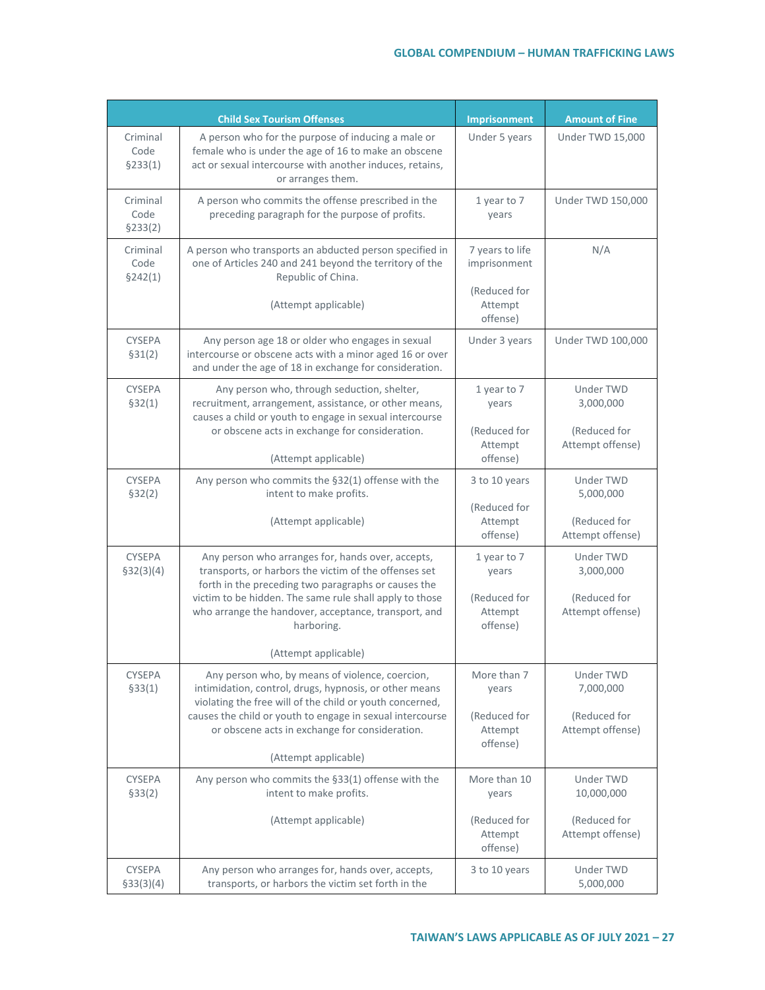|                              | <b>Child Sex Tourism Offenses</b>                                                                                                                                                                                                                                                                  | <b>Imprisonment</b>                                         | <b>Amount of Fine</b>                                             |
|------------------------------|----------------------------------------------------------------------------------------------------------------------------------------------------------------------------------------------------------------------------------------------------------------------------------------------------|-------------------------------------------------------------|-------------------------------------------------------------------|
| Criminal<br>Code<br>\$233(1) | A person who for the purpose of inducing a male or<br>female who is under the age of 16 to make an obscene<br>act or sexual intercourse with another induces, retains,<br>or arranges them.                                                                                                        | Under 5 years                                               | Under TWD 15,000                                                  |
| Criminal<br>Code<br>\$233(2) | A person who commits the offense prescribed in the<br>preceding paragraph for the purpose of profits.                                                                                                                                                                                              | 1 year to 7<br>years                                        | <b>Under TWD 150,000</b>                                          |
| Criminal<br>Code<br>\$242(1) | A person who transports an abducted person specified in<br>one of Articles 240 and 241 beyond the territory of the<br>Republic of China.                                                                                                                                                           | 7 years to life<br>imprisonment                             | N/A                                                               |
|                              | (Attempt applicable)                                                                                                                                                                                                                                                                               | (Reduced for<br>Attempt<br>offense)                         |                                                                   |
| <b>CYSEPA</b><br>\$31(2)     | Any person age 18 or older who engages in sexual<br>intercourse or obscene acts with a minor aged 16 or over<br>and under the age of 18 in exchange for consideration.                                                                                                                             | Under 3 years                                               | Under TWD 100,000                                                 |
| <b>CYSEPA</b><br>\$32(1)     | Any person who, through seduction, shelter,<br>recruitment, arrangement, assistance, or other means,<br>causes a child or youth to engage in sexual intercourse<br>or obscene acts in exchange for consideration.                                                                                  |                                                             | <b>Under TWD</b><br>3,000,000<br>(Reduced for<br>Attempt offense) |
|                              | (Attempt applicable)                                                                                                                                                                                                                                                                               | Attempt<br>offense)                                         |                                                                   |
| <b>CYSEPA</b><br>\$32(2)     | Any person who commits the §32(1) offense with the<br>intent to make profits.                                                                                                                                                                                                                      | 3 to 10 years                                               | <b>Under TWD</b><br>5,000,000                                     |
|                              | (Attempt applicable)                                                                                                                                                                                                                                                                               | (Reduced for<br>Attempt<br>offense)                         | (Reduced for<br>Attempt offense)                                  |
| <b>CYSEPA</b><br>\$32(3)(4)  | Any person who arranges for, hands over, accepts,<br>transports, or harbors the victim of the offenses set<br>forth in the preceding two paragraphs or causes the<br>victim to be hidden. The same rule shall apply to those<br>who arrange the handover, acceptance, transport, and<br>harboring. | 1 year to 7<br>years<br>(Reduced for<br>Attempt<br>offense) | <b>Under TWD</b><br>3,000,000<br>(Reduced for<br>Attempt offense) |
|                              | (Attempt applicable)                                                                                                                                                                                                                                                                               |                                                             |                                                                   |
| <b>CYSEPA</b><br>\$33(1)     | Any person who, by means of violence, coercion,<br>intimidation, control, drugs, hypnosis, or other means<br>violating the free will of the child or youth concerned,<br>causes the child or youth to engage in sexual intercourse<br>or obscene acts in exchange for consideration.               | More than 7<br>years<br>(Reduced for<br>Attempt<br>offense) | Under TWD<br>7,000,000<br>(Reduced for<br>Attempt offense)        |
|                              | (Attempt applicable)                                                                                                                                                                                                                                                                               |                                                             |                                                                   |
| <b>CYSEPA</b><br>\$33(2)     | Any person who commits the §33(1) offense with the<br>intent to make profits.                                                                                                                                                                                                                      | More than 10<br>years                                       | Under TWD<br>10,000,000                                           |
|                              | (Attempt applicable)                                                                                                                                                                                                                                                                               | (Reduced for<br>Attempt<br>offense)                         | (Reduced for<br>Attempt offense)                                  |
| <b>CYSEPA</b><br>\$33(3)(4)  | Any person who arranges for, hands over, accepts,<br>transports, or harbors the victim set forth in the                                                                                                                                                                                            | 3 to 10 years                                               | Under TWD<br>5,000,000                                            |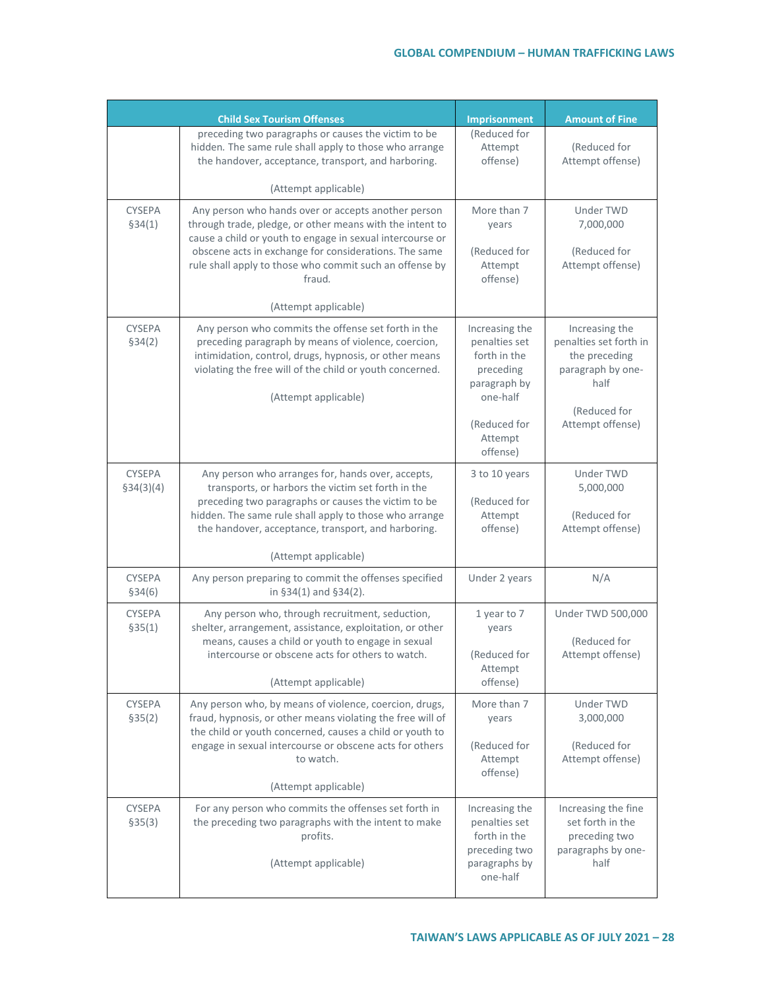|                             | <b>Child Sex Tourism Offenses</b>                                                                                                                                                                                                                                                                                                  | Imprisonment                                                                                                                    | <b>Amount of Fine</b>                                                                                                      |
|-----------------------------|------------------------------------------------------------------------------------------------------------------------------------------------------------------------------------------------------------------------------------------------------------------------------------------------------------------------------------|---------------------------------------------------------------------------------------------------------------------------------|----------------------------------------------------------------------------------------------------------------------------|
|                             | preceding two paragraphs or causes the victim to be<br>hidden. The same rule shall apply to those who arrange<br>the handover, acceptance, transport, and harboring.                                                                                                                                                               | (Reduced for<br>Attempt<br>offense)                                                                                             | (Reduced for<br>Attempt offense)                                                                                           |
|                             | (Attempt applicable)                                                                                                                                                                                                                                                                                                               |                                                                                                                                 |                                                                                                                            |
| <b>CYSEPA</b><br>\$34(1)    | Any person who hands over or accepts another person<br>through trade, pledge, or other means with the intent to<br>cause a child or youth to engage in sexual intercourse or<br>obscene acts in exchange for considerations. The same<br>rule shall apply to those who commit such an offense by<br>fraud.<br>(Attempt applicable) | More than 7<br>years<br>(Reduced for<br>Attempt<br>offense)                                                                     | <b>Under TWD</b><br>7,000,000<br>(Reduced for<br>Attempt offense)                                                          |
| <b>CYSEPA</b><br>\$34(2)    | Any person who commits the offense set forth in the<br>preceding paragraph by means of violence, coercion,<br>intimidation, control, drugs, hypnosis, or other means<br>violating the free will of the child or youth concerned.<br>(Attempt applicable)                                                                           | Increasing the<br>penalties set<br>forth in the<br>preceding<br>paragraph by<br>one-half<br>(Reduced for<br>Attempt<br>offense) | Increasing the<br>penalties set forth in<br>the preceding<br>paragraph by one-<br>half<br>(Reduced for<br>Attempt offense) |
| <b>CYSEPA</b><br>\$34(3)(4) | Any person who arranges for, hands over, accepts,<br>transports, or harbors the victim set forth in the<br>preceding two paragraphs or causes the victim to be<br>hidden. The same rule shall apply to those who arrange<br>the handover, acceptance, transport, and harboring.<br>(Attempt applicable)                            | 3 to 10 years<br>(Reduced for<br>Attempt<br>offense)                                                                            | Under TWD<br>5,000,000<br>(Reduced for<br>Attempt offense)                                                                 |
| <b>CYSEPA</b><br>\$34(6)    | Any person preparing to commit the offenses specified<br>in $§34(1)$ and $§34(2)$ .                                                                                                                                                                                                                                                | Under 2 years                                                                                                                   | N/A                                                                                                                        |
| <b>CYSEPA</b><br>\$35(1)    | Any person who, through recruitment, seduction,<br>shelter, arrangement, assistance, exploitation, or other<br>means, causes a child or youth to engage in sexual<br>intercourse or obscene acts for others to watch.<br>(Attempt applicable)                                                                                      | 1 year to 7<br>years<br>(Reduced for<br>Attempt<br>offense)                                                                     | Under TWD 500,000<br>(Reduced for<br>Attempt offense)                                                                      |
| <b>CYSEPA</b><br>\$35(2)    | Any person who, by means of violence, coercion, drugs,<br>fraud, hypnosis, or other means violating the free will of<br>the child or youth concerned, causes a child or youth to<br>engage in sexual intercourse or obscene acts for others<br>to watch.<br>(Attempt applicable)                                                   | More than 7<br>years<br>(Reduced for<br>Attempt<br>offense)                                                                     | Under TWD<br>3,000,000<br>(Reduced for<br>Attempt offense)                                                                 |
| <b>CYSEPA</b><br>\$35(3)    | For any person who commits the offenses set forth in<br>the preceding two paragraphs with the intent to make<br>profits.<br>(Attempt applicable)                                                                                                                                                                                   | Increasing the<br>penalties set<br>forth in the<br>preceding two<br>paragraphs by<br>one-half                                   | Increasing the fine<br>set forth in the<br>preceding two<br>paragraphs by one-<br>half                                     |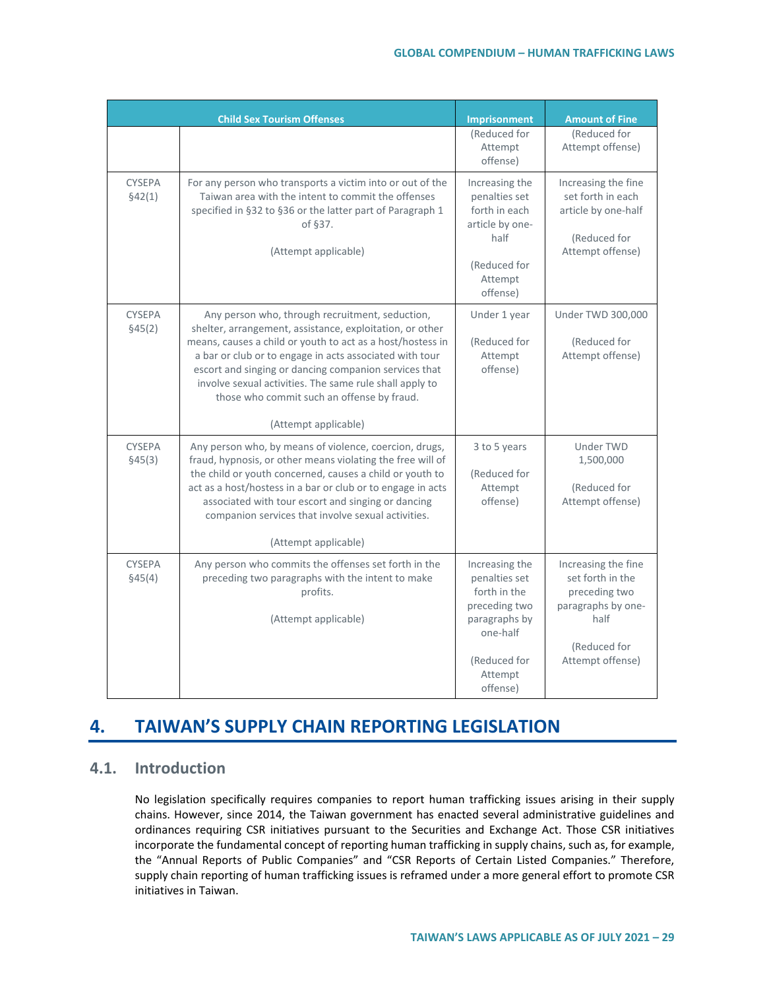|                          | <b>Child Sex Tourism Offenses</b>                                                                                                                                                                                                                                                                                                                                                                                              | Imprisonment                                                                                                                         | <b>Amount of Fine</b>                                                                                                      |
|--------------------------|--------------------------------------------------------------------------------------------------------------------------------------------------------------------------------------------------------------------------------------------------------------------------------------------------------------------------------------------------------------------------------------------------------------------------------|--------------------------------------------------------------------------------------------------------------------------------------|----------------------------------------------------------------------------------------------------------------------------|
|                          |                                                                                                                                                                                                                                                                                                                                                                                                                                | (Reduced for<br>Attempt<br>offense)                                                                                                  | (Reduced for<br>Attempt offense)                                                                                           |
| <b>CYSEPA</b><br>\$42(1) | For any person who transports a victim into or out of the<br>Taiwan area with the intent to commit the offenses<br>specified in §32 to §36 or the latter part of Paragraph 1<br>of §37.<br>(Attempt applicable)                                                                                                                                                                                                                | Increasing the<br>penalties set<br>forth in each<br>article by one-<br>half<br>(Reduced for<br>Attempt<br>offense)                   | Increasing the fine<br>set forth in each<br>article by one-half<br>(Reduced for<br>Attempt offense)                        |
| <b>CYSEPA</b><br>§45(2)  | Any person who, through recruitment, seduction,<br>shelter, arrangement, assistance, exploitation, or other<br>means, causes a child or youth to act as a host/hostess in<br>a bar or club or to engage in acts associated with tour<br>escort and singing or dancing companion services that<br>involve sexual activities. The same rule shall apply to<br>those who commit such an offense by fraud.<br>(Attempt applicable) | Under 1 year<br>(Reduced for<br>Attempt<br>offense)                                                                                  | Under TWD 300,000<br>(Reduced for<br>Attempt offense)                                                                      |
| <b>CYSEPA</b><br>§45(3)  | Any person who, by means of violence, coercion, drugs,<br>fraud, hypnosis, or other means violating the free will of<br>the child or youth concerned, causes a child or youth to<br>act as a host/hostess in a bar or club or to engage in acts<br>associated with tour escort and singing or dancing<br>companion services that involve sexual activities.<br>(Attempt applicable)                                            | 3 to 5 years<br>(Reduced for<br>Attempt<br>offense)                                                                                  | Under TWD<br>1,500,000<br>(Reduced for<br>Attempt offense)                                                                 |
| <b>CYSEPA</b><br>\$45(4) | Any person who commits the offenses set forth in the<br>preceding two paragraphs with the intent to make<br>profits.<br>(Attempt applicable)                                                                                                                                                                                                                                                                                   | Increasing the<br>penalties set<br>forth in the<br>preceding two<br>paragraphs by<br>one-half<br>(Reduced for<br>Attempt<br>offense) | Increasing the fine<br>set forth in the<br>preceding two<br>paragraphs by one-<br>half<br>(Reduced for<br>Attempt offense) |

# **4. TAIWAN'S SUPPLY CHAIN REPORTING LEGISLATION**

## **4.1. Introduction**

No legislation specifically requires companies to report human trafficking issues arising in their supply chains. However, since 2014, the Taiwan government has enacted several administrative guidelines and ordinances requiring CSR initiatives pursuant to the Securities and Exchange Act. Those CSR initiatives incorporate the fundamental concept of reporting human trafficking in supply chains, such as, for example, the "Annual Reports of Public Companies" and "CSR Reports of Certain Listed Companies." Therefore, supply chain reporting of human trafficking issues is reframed under a more general effort to promote CSR initiatives in Taiwan.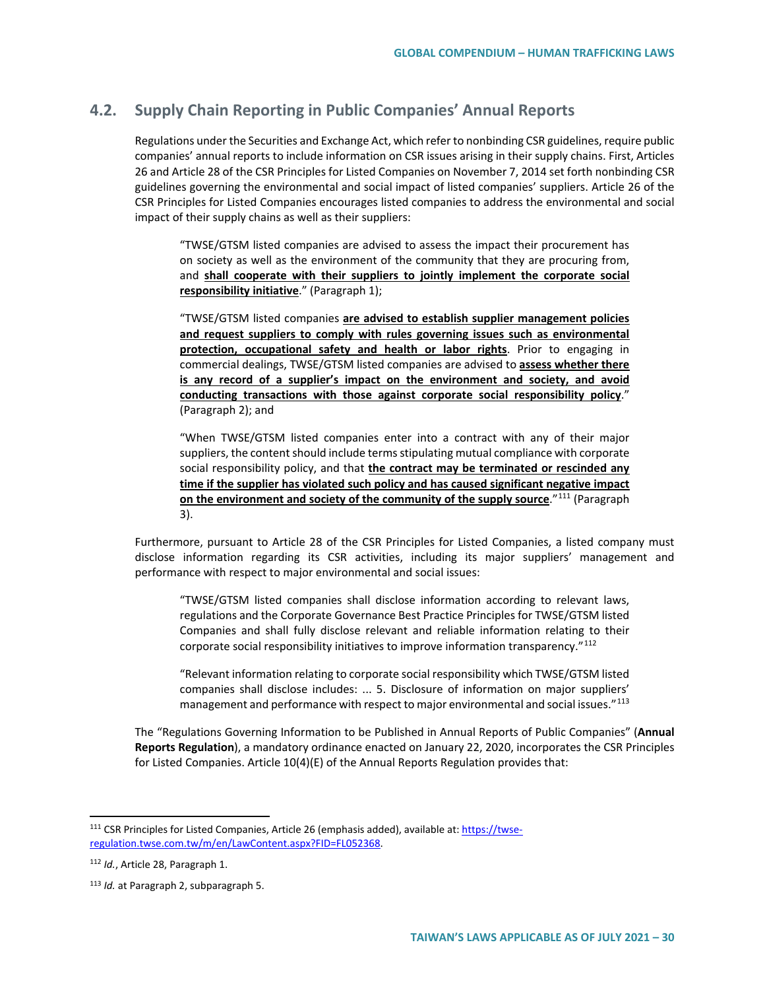## **4.2. Supply Chain Reporting in Public Companies' Annual Reports**

Regulations under the Securities and Exchange Act, which refer to nonbinding CSR guidelines, require public companies' annual reports to include information on CSR issues arising in their supply chains. First, Articles 26 and Article 28 of the CSR Principles for Listed Companies on November 7, 2014 set forth nonbinding CSR guidelines governing the environmental and social impact of listed companies' suppliers. Article 26 of the CSR Principles for Listed Companies encourages listed companies to address the environmental and social impact of their supply chains as well as their suppliers:

"TWSE/GTSM listed companies are advised to assess the impact their procurement has on society as well as the environment of the community that they are procuring from, and **shall cooperate with their suppliers to jointly implement the corporate social responsibility initiative**." (Paragraph 1);

"TWSE/GTSM listed companies **are advised to establish supplier management policies and request suppliers to comply with rules governing issues such as environmental protection, occupational safety and health or labor rights**. Prior to engaging in commercial dealings, TWSE/GTSM listed companies are advised to **assess whether there is any record of a supplier's impact on the environment and society, and avoid conducting transactions with those against corporate social responsibility policy**." (Paragraph 2); and

"When TWSE/GTSM listed companies enter into a contract with any of their major suppliers, the content should include terms stipulating mutual compliance with corporate social responsibility policy, and that **the contract may be terminated or rescinded any time if the supplier has violated such policy and has caused significant negative impact on the environment and society of the community of the supply source**."[111](#page-29-0) (Paragraph 3).

Furthermore, pursuant to Article 28 of the CSR Principles for Listed Companies, a listed company must disclose information regarding its CSR activities, including its major suppliers' management and performance with respect to major environmental and social issues:

"TWSE/GTSM listed companies shall disclose information according to relevant laws, regulations and the Corporate Governance Best Practice Principles for TWSE/GTSM listed Companies and shall fully disclose relevant and reliable information relating to their corporate social responsibility initiatives to improve information transparency."[112](#page-29-1)

"Relevant information relating to corporate social responsibility which TWSE/GTSM listed companies shall disclose includes: ... 5. Disclosure of information on major suppliers' management and performance with respect to major environmental and social issues."<sup>[113](#page-29-2)</sup>

The "Regulations Governing Information to be Published in Annual Reports of Public Companies" (**Annual Reports Regulation**), a mandatory ordinance enacted on January 22, 2020, incorporates the CSR Principles for Listed Companies. Article 10(4)(E) of the Annual Reports Regulation provides that:

<span id="page-29-0"></span> <sup>111</sup> CSR Principles for Listed Companies, Article 26 (emphasis added), available at: [https://twse](https://twse-regulation.twse.com.tw/m/en/LawContent.aspx?FID=FL052368)[regulation.twse.com.tw/m/en/LawContent.aspx?FID=FL052368.](https://twse-regulation.twse.com.tw/m/en/LawContent.aspx?FID=FL052368) 

<span id="page-29-1"></span><sup>112</sup> *Id.*, Article 28, Paragraph 1.

<span id="page-29-2"></span><sup>113</sup> *Id.* at Paragraph 2, subparagraph 5.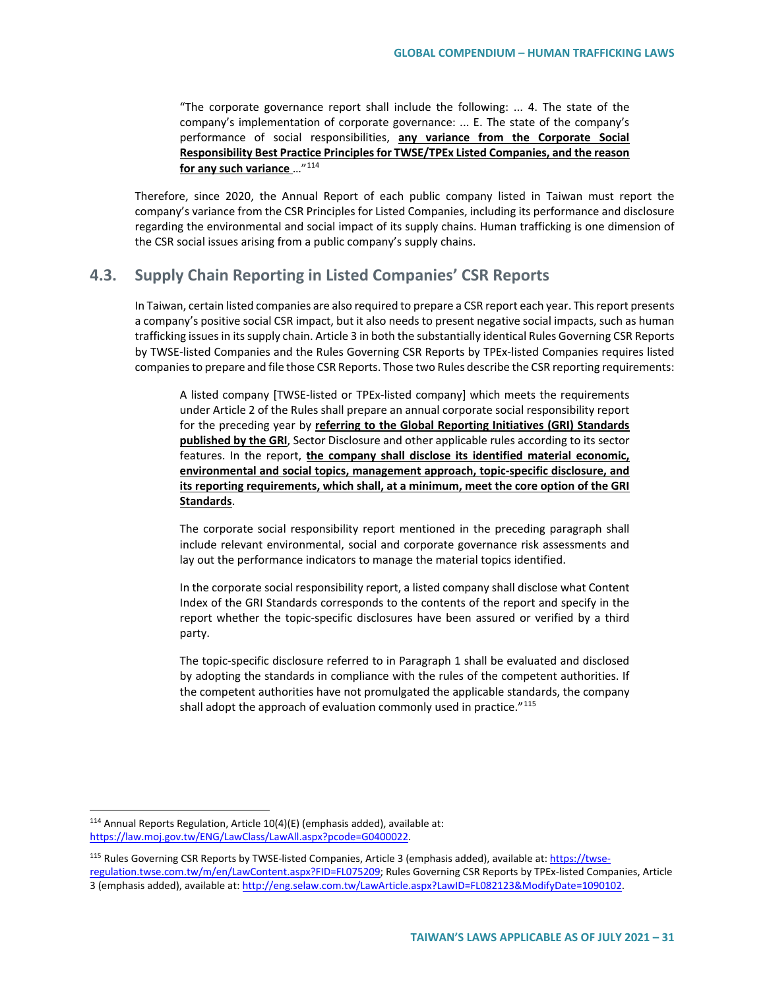"The corporate governance report shall include the following: ... 4. The state of the company's implementation of corporate governance: ... E. The state of the company's performance of social responsibilities, **any variance from the Corporate Social Responsibility Best Practice Principles for TWSE/TPEx Listed Companies, and the reason for any such variance** …"[114](#page-30-0)

Therefore, since 2020, the Annual Report of each public company listed in Taiwan must report the company's variance from the CSR Principles for Listed Companies, including its performance and disclosure regarding the environmental and social impact of its supply chains. Human trafficking is one dimension of the CSR social issues arising from a public company's supply chains.

## **4.3. Supply Chain Reporting in Listed Companies' CSR Reports**

In Taiwan, certain listed companies are also required to prepare a CSR report each year. This report presents a company's positive social CSR impact, but it also needs to present negative social impacts, such as human trafficking issues in its supply chain. Article 3 in both the substantially identical Rules Governing CSR Reports by TWSE-listed Companies and the Rules Governing CSR Reports by TPEx-listed Companies requires listed companies to prepare and file those CSR Reports. Those two Rules describe the CSR reporting requirements:

A listed company [TWSE-listed or TPEx-listed company] which meets the requirements under Article 2 of the Rules shall prepare an annual corporate social responsibility report for the preceding year by **referring to the Global Reporting Initiatives (GRI) Standards published by the GRI**, Sector Disclosure and other applicable rules according to its sector features. In the report, **the company shall disclose its identified material economic, environmental and social topics, management approach, topic-specific disclosure, and its reporting requirements, which shall, at a minimum, meet the core option of the GRI Standards**.

The corporate social responsibility report mentioned in the preceding paragraph shall include relevant environmental, social and corporate governance risk assessments and lay out the performance indicators to manage the material topics identified.

In the corporate social responsibility report, a listed company shall disclose what Content Index of the GRI Standards corresponds to the contents of the report and specify in the report whether the topic-specific disclosures have been assured or verified by a third party.

The topic-specific disclosure referred to in Paragraph 1 shall be evaluated and disclosed by adopting the standards in compliance with the rules of the competent authorities. If the competent authorities have not promulgated the applicable standards, the company shall adopt the approach of evaluation commonly used in practice."<sup>[115](#page-30-1)</sup>

<span id="page-30-0"></span> $114$  Annual Reports Regulation, Article  $10(4)(E)$  (emphasis added), available at: [https://law.moj.gov.tw/ENG/LawClass/LawAll.aspx?pcode=G0400022.](https://law.moj.gov.tw/ENG/LawClass/LawAll.aspx?pcode=G0400022)

<span id="page-30-1"></span><sup>115</sup> Rules Governing CSR Reports by TWSE-listed Companies, Article 3 (emphasis added), available at[: https://twse](https://twse-regulation.twse.com.tw/m/en/LawContent.aspx?FID=FL075209)[regulation.twse.com.tw/m/en/LawContent.aspx?FID=FL075209;](https://twse-regulation.twse.com.tw/m/en/LawContent.aspx?FID=FL075209) Rules Governing CSR Reports by TPEx-listed Companies, Article 3 (emphasis added), available at[: http://eng.selaw.com.tw/LawArticle.aspx?LawID=FL082123&ModifyDate=1090102.](http://eng.selaw.com.tw/LawArticle.aspx?LawID=FL082123&ModifyDate=1090102)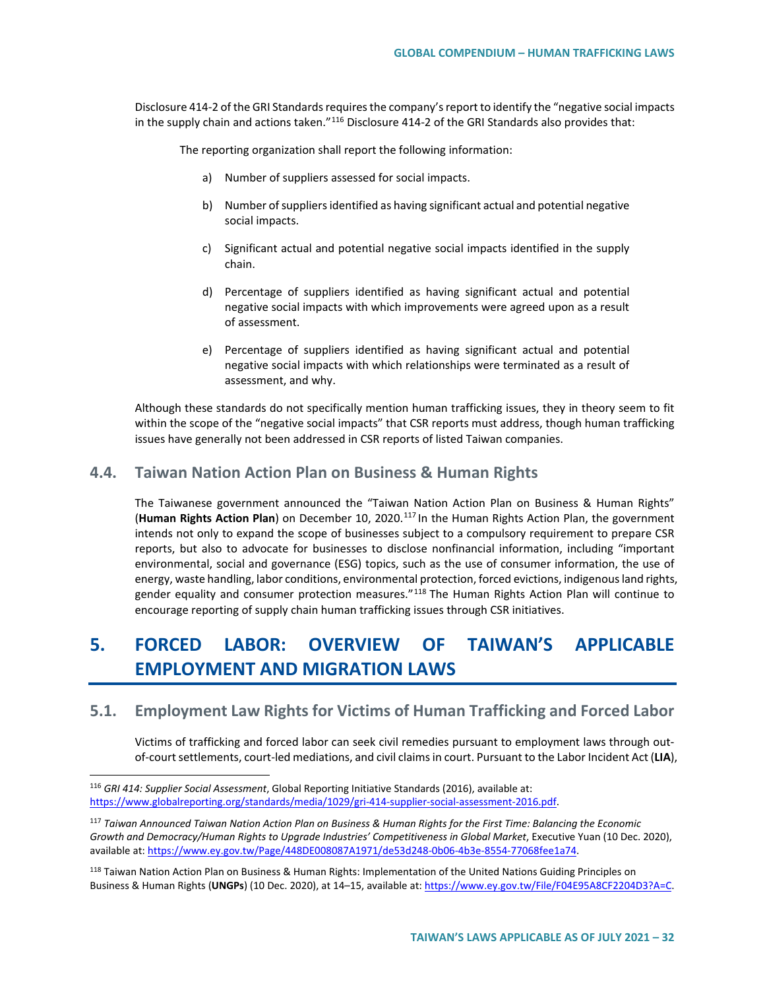Disclosure 414-2 of the GRI Standards requires the company's report to identify the "negative social impacts in the supply chain and actions taken." $^{116}$  $^{116}$  $^{116}$  Disclosure 414-2 of the GRI Standards also provides that:

The reporting organization shall report the following information:

- a) Number of suppliers assessed for social impacts.
- b) Number of suppliers identified as having significant actual and potential negative social impacts.
- c) Significant actual and potential negative social impacts identified in the supply chain.
- d) Percentage of suppliers identified as having significant actual and potential negative social impacts with which improvements were agreed upon as a result of assessment.
- e) Percentage of suppliers identified as having significant actual and potential negative social impacts with which relationships were terminated as a result of assessment, and why.

Although these standards do not specifically mention human trafficking issues, they in theory seem to fit within the scope of the "negative social impacts" that CSR reports must address, though human trafficking issues have generally not been addressed in CSR reports of listed Taiwan companies.

### **4.4. Taiwan Nation Action Plan on Business & Human Rights**

The Taiwanese government announced the "Taiwan Nation Action Plan on Business & Human Rights" (**Human Rights Action Plan**) on December 10, 2020.[117](#page-31-1) In the Human Rights Action Plan, the government intends not only to expand the scope of businesses subject to a compulsory requirement to prepare CSR reports, but also to advocate for businesses to disclose nonfinancial information, including "important environmental, social and governance (ESG) topics, such as the use of consumer information, the use of energy, waste handling, labor conditions, environmental protection, forced evictions, indigenous land rights, gender equality and consumer protection measures."<sup>[118](#page-31-2)</sup> The Human Rights Action Plan will continue to encourage reporting of supply chain human trafficking issues through CSR initiatives.

# **5. FORCED LABOR: OVERVIEW OF TAIWAN'S APPLICABLE EMPLOYMENT AND MIGRATION LAWS**

## **5.1. Employment Law Rights for Victims of Human Trafficking and Forced Labor**

Victims of trafficking and forced labor can seek civil remedies pursuant to employment laws through outof-court settlements, court-led mediations, and civil claims in court. Pursuant to the Labor Incident Act (**LIA**),

<span id="page-31-0"></span> <sup>116</sup> *GRI 414: Supplier Social Assessment*, Global Reporting Initiative Standards (2016), available at: [https://www.globalreporting.org/standards/media/1029/gri-414-supplier-social-assessment-2016.pdf.](https://www.globalreporting.org/standards/media/1029/gri-414-supplier-social-assessment-2016.pdf) 

<span id="page-31-1"></span><sup>117</sup> *Taiwan Announced Taiwan Nation Action Plan on Business & Human Rights for the First Time: Balancing the Economic Growth and Democracy/Human Rights to Upgrade Industries' Competitiveness in Global Market*, Executive Yuan (10 Dec. 2020), available at[: https://www.ey.gov.tw/Page/448DE008087A1971/de53d248-0b06-4b3e-8554-77068fee1a74.](https://www.ey.gov.tw/Page/448DE008087A1971/de53d248-0b06-4b3e-8554-77068fee1a74) 

<span id="page-31-2"></span><sup>&</sup>lt;sup>118</sup> Taiwan Nation Action Plan on Business & Human Rights: Implementation of the United Nations Guiding Principles on Business & Human Rights (**UNGPs**) (10 Dec. 2020), at 14–15, available at: [https://www.ey.gov.tw/File/F04E95A8CF2204D3?A=C.](https://www.ey.gov.tw/File/F04E95A8CF2204D3?A=C)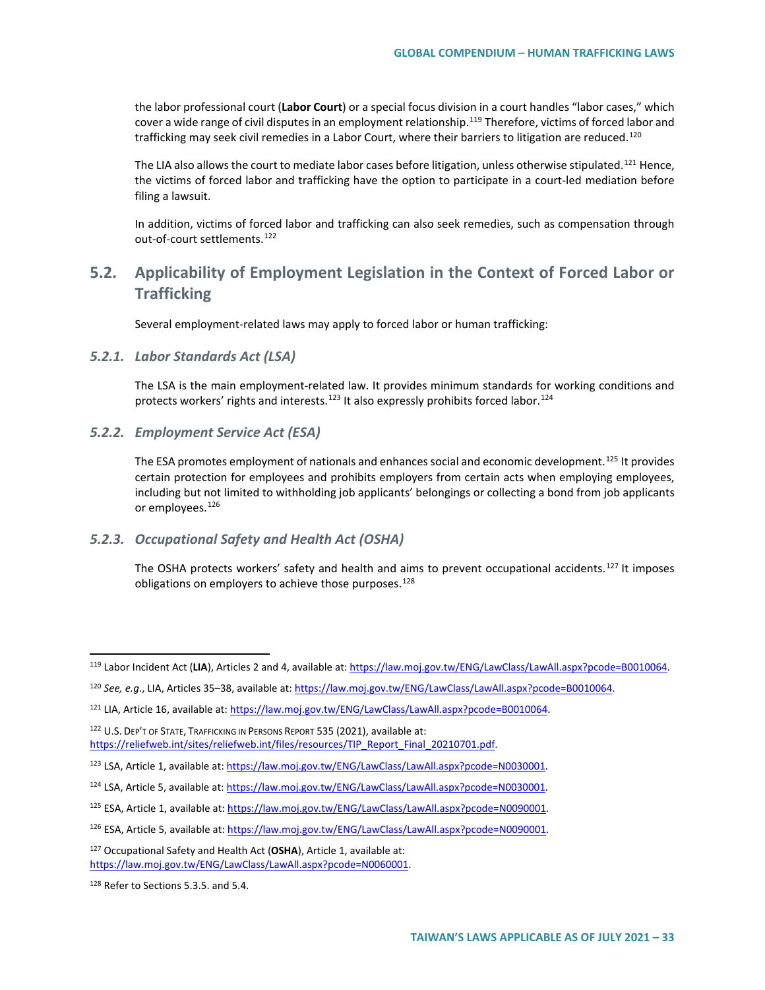the labor professional court (**Labor Court**) or a special focus division in a court handles "labor cases," which cover a wide range of civil disputes in an employment relationship.<sup>[119](#page-32-0)</sup> Therefore, victims of forced labor and trafficking may seek civil remedies in a Labor Court, where their barriers to litigation are reduced.<sup>[120](#page-32-1)</sup>

The LIA also allows the court to mediate labor cases before litigation, unless otherwise stipulated.<sup>[121](#page-32-2)</sup> Hence, the victims of forced labor and trafficking have the option to participate in a court-led mediation before filing a lawsuit.

In addition, victims of forced labor and trafficking can also seek remedies, such as compensation through out-of-court settlements.<sup>[122](#page-32-3)</sup>

## **5.2. Applicability of Employment Legislation in the Context of Forced Labor or Trafficking**

Several employment-related laws may apply to forced labor or human trafficking:

#### *5.2.1. Labor Standards Act (LSA)*

The LSA is the main employment-related law. It provides minimum standards for working conditions and protects workers' rights and interests.<sup>[123](#page-32-4)</sup> It also expressly prohibits forced labor.<sup>[124](#page-32-5)</sup>

#### *5.2.2. Employment Service Act (ESA)*

The ESA promotes employment of nationals and enhances social and economic development.<sup>[125](#page-32-6)</sup> It provides certain protection for employees and prohibits employers from certain acts when employing employees, including but not limited to withholding job applicants' belongings or collecting a bond from job applicants or employees.<sup>[126](#page-32-7)</sup>

### *5.2.3. Occupational Safety and Health Act (OSHA)*

The OSHA protects workers' safety and health and aims to prevent occupational accidents.<sup>[127](#page-32-8)</sup> It imposes obligations on employers to achieve those purposes.<sup>[128](#page-32-9)</sup>

<span id="page-32-3"></span>122 U.S. DEP'T OF STATE, TRAFFICKING IN PERSONS REPORT 535 (2021), available at: [https://reliefweb.int/sites/reliefweb.int/files/resources/TIP\\_Report\\_Final\\_20210701.pdf.](https://reliefweb.int/sites/reliefweb.int/files/resources/TIP_Report_Final_20210701.pdf)

<span id="page-32-0"></span> <sup>119</sup> Labor Incident Act (**LIA**), Articles 2 and 4, available at[: https://law.moj.gov.tw/ENG/LawClass/LawAll.aspx?pcode=B0010064.](https://law.moj.gov.tw/ENG/LawClass/LawAll.aspx?pcode=B0010064)

<span id="page-32-1"></span><sup>120</sup> *See, e.g*., LIA, Articles 35–38, available at: [https://law.moj.gov.tw/ENG/LawClass/LawAll.aspx?pcode=B0010064.](https://law.moj.gov.tw/ENG/LawClass/LawAll.aspx?pcode=B0010064)

<span id="page-32-2"></span><sup>121</sup> LIA, Article 16, available at[: https://law.moj.gov.tw/ENG/LawClass/LawAll.aspx?pcode=B0010064.](https://law.moj.gov.tw/ENG/LawClass/LawAll.aspx?pcode=B0010064)

<span id="page-32-4"></span><sup>123</sup> LSA, Article 1, available at[: https://law.moj.gov.tw/ENG/LawClass/LawAll.aspx?pcode=N0030001.](https://law.moj.gov.tw/ENG/LawClass/LawAll.aspx?pcode=N0030001) 

<span id="page-32-5"></span><sup>&</sup>lt;sup>124</sup> LSA, Article 5, available at: https://law.moj.gov.tw/ENG/LawClass/LawAll.aspx?pcode=N0030001.

<span id="page-32-6"></span><sup>125</sup> ESA, Article 1, available at[: https://law.moj.gov.tw/ENG/LawClass/LawAll.aspx?pcode=N0090001.](https://law.moj.gov.tw/ENG/LawClass/LawAll.aspx?pcode=N0090001)

<span id="page-32-7"></span><sup>126</sup> ESA, Article 5, available at[: https://law.moj.gov.tw/ENG/LawClass/LawAll.aspx?pcode=N0090001.](https://law.moj.gov.tw/ENG/LawClass/LawAll.aspx?pcode=N0090001)

<span id="page-32-8"></span><sup>127</sup> Occupational Safety and Health Act (**OSHA**), Article 1, available at: [https://law.moj.gov.tw/ENG/LawClass/LawAll.aspx?pcode=N0060001.](https://law.moj.gov.tw/ENG/LawClass/LawAll.aspx?pcode=N0060001)

<span id="page-32-9"></span><sup>&</sup>lt;sup>128</sup> Refer to Sections 5.3.5. and 5.4.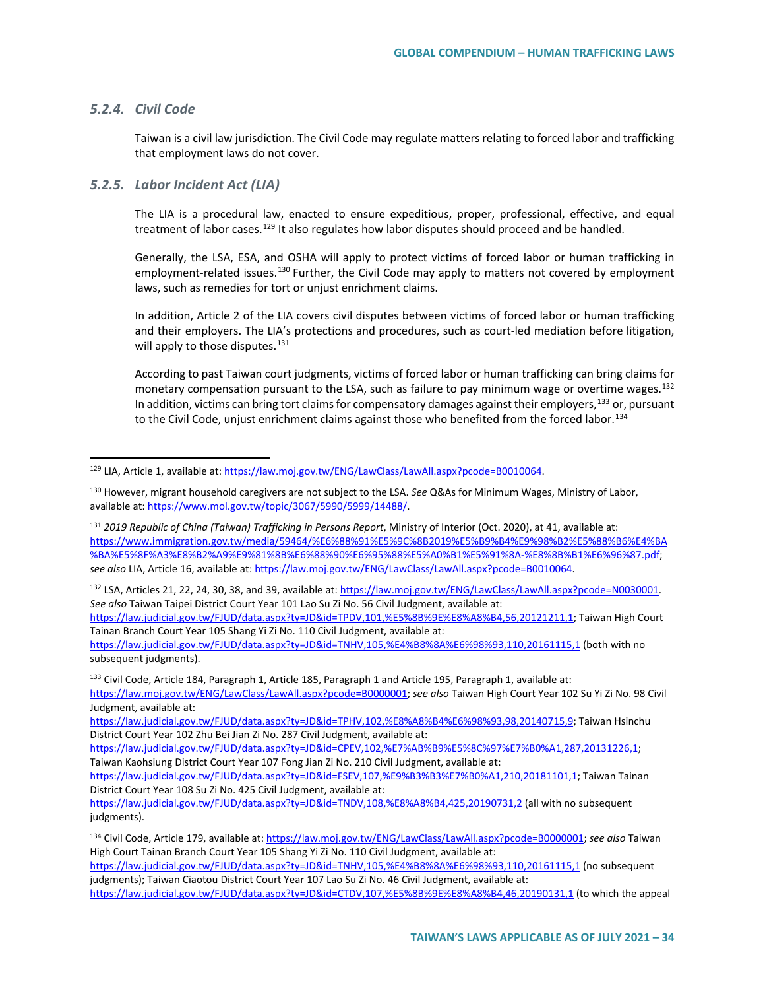#### *5.2.4. Civil Code*

Taiwan is a civil law jurisdiction. The Civil Code may regulate matters relating to forced labor and trafficking that employment laws do not cover.

#### *5.2.5. Labor Incident Act (LIA)*

The LIA is a procedural law, enacted to ensure expeditious, proper, professional, effective, and equal treatment of labor cases.<sup>[129](#page-33-0)</sup> It also regulates how labor disputes should proceed and be handled.

Generally, the LSA, ESA, and OSHA will apply to protect victims of forced labor or human trafficking in employment-related issues.<sup>[130](#page-33-1)</sup> Further, the Civil Code may apply to matters not covered by employment laws, such as remedies for tort or unjust enrichment claims.

In addition, Article 2 of the LIA covers civil disputes between victims of forced labor or human trafficking and their employers. The LIA's protections and procedures, such as court-led mediation before litigation, will apply to those disputes.<sup>[131](#page-33-2)</sup>

According to past Taiwan court judgments, victims of forced labor or human trafficking can bring claims for monetary compensation pursuant to the LSA, such as failure to pay minimum wage or overtime wages.  $132$ In addition, victims can bring tort claims for compensatory damages against their employers,<sup>[133](#page-33-4)</sup> or, pursuant to the Civil Code, unjust enrichment claims against those who benefited from the forced labor.<sup>[134](#page-33-5)</sup>

<span id="page-33-2"></span><sup>131</sup> *2019 Republic of China (Taiwan) Trafficking in Persons Report*, Ministry of Interior (Oct. 2020), at 41, available at: [https://www.immigration.gov.tw/media/59464/%E6%88%91%E5%9C%8B2019%E5%B9%B4%E9%98%B2%E5%88%B6%E4%BA](https://www.immigration.gov.tw/media/59464/%E6%88%91%E5%9C%8B2019%E5%B9%B4%E9%98%B2%E5%88%B6%E4%BA%BA%E5%8F%A3%E8%B2%A9%E9%81%8B%E6%88%90%E6%95%88%E5%A0%B1%E5%91%8A-%E8%8B%B1%E6%96%87.pdf) [%BA%E5%8F%A3%E8%B2%A9%E9%81%8B%E6%88%90%E6%95%88%E5%A0%B1%E5%91%8A-%E8%8B%B1%E6%96%87.pdf;](https://www.immigration.gov.tw/media/59464/%E6%88%91%E5%9C%8B2019%E5%B9%B4%E9%98%B2%E5%88%B6%E4%BA%BA%E5%8F%A3%E8%B2%A9%E9%81%8B%E6%88%90%E6%95%88%E5%A0%B1%E5%91%8A-%E8%8B%B1%E6%96%87.pdf) *see also* LIA, Article 16, available at: [https://law.moj.gov.tw/ENG/LawClass/LawAll.aspx?pcode=B0010064.](https://law.moj.gov.tw/ENG/LawClass/LawAll.aspx?pcode=B0010064)

<span id="page-33-3"></span>132 LSA, Articles 21, 22, 24, 30, 38, and 39, available at: https://law.moj.gov.tw/ENG/LawClass/LawAll.aspx?pcode=N0030001. *See also* Taiwan Taipei District Court Year 101 Lao Su Zi No. 56 Civil Judgment, available at:

[https://law.judicial.gov.tw/FJUD/data.aspx?ty=JD&id=TPDV,101,%E5%8B%9E%E8%A8%B4,56,20121211,1;](https://law.judicial.gov.tw/FJUD/data.aspx?ty=JD&id=TPDV,101,%E5%8B%9E%E8%A8%B4,56,20121211,1) Taiwan High Court Tainan Branch Court Year 105 Shang Yi Zi No. 110 Civil Judgment, available at:

<https://law.judicial.gov.tw/FJUD/data.aspx?ty=JD&id=TNHV,105,%E4%B8%8A%E6%98%93,110,20161115,1> (both with no subsequent judgments).

<span id="page-33-4"></span><sup>133</sup> Civil Code, Article 184, Paragraph 1, Article 185, Paragraph 1 and Article 195, Paragraph 1, available at: [https://law.moj.gov.tw/ENG/LawClass/LawAll.aspx?pcode=B0000001;](https://law.moj.gov.tw/ENG/LawClass/LawAll.aspx?pcode=B0000001) *see also* Taiwan High Court Year 102 Su Yi Zi No. 98 Civil Judgment, available at:

[https://law.judicial.gov.tw/FJUD/data.aspx?ty=JD&id=TPHV,102,%E8%A8%B4%E6%98%93,98,20140715,9;](https://law.judicial.gov.tw/FJUD/data.aspx?ty=JD&id=TPHV,102,%E8%A8%B4%E6%98%93,98,20140715,9) Taiwan Hsinchu District Court Year 102 Zhu Bei Jian Zi No. 287 Civil Judgment, available at:

[https://law.judicial.gov.tw/FJUD/data.aspx?ty=JD&id=CPEV,102,%E7%AB%B9%E5%8C%97%E7%B0%A1,287,20131226,1;](https://law.judicial.gov.tw/FJUD/data.aspx?ty=JD&id=CPEV,102,%E7%AB%B9%E5%8C%97%E7%B0%A1,287,20131226,1) Taiwan Kaohsiung District Court Year 107 Fong Jian Zi No. 210 Civil Judgment, available at:

[https://law.judicial.gov.tw/FJUD/data.aspx?ty=JD&id=FSEV,107,%E9%B3%B3%E7%B0%A1,210,20181101,1;](https://law.judicial.gov.tw/FJUD/data.aspx?ty=JD&id=FSEV,107,%E9%B3%B3%E7%B0%A1,210,20181101,1) Taiwan Tainan District Court Year 108 Su Zi No. 425 Civil Judgment, available at:

<span id="page-33-0"></span> <sup>129</sup> LIA, Article 1, available at[: https://law.moj.gov.tw/ENG/LawClass/LawAll.aspx?pcode=B0010064.](https://law.moj.gov.tw/ENG/LawClass/LawAll.aspx?pcode=B0010064)

<span id="page-33-1"></span><sup>130</sup> However, migrant household caregivers are not subject to the LSA. *See* Q&As for Minimum Wages, Ministry of Labor, available at: [https://www.mol.gov.tw/topic/3067/5990/5999/14488/.](https://www.mol.gov.tw/topic/3067/5990/5999/14488/)

<https://law.judicial.gov.tw/FJUD/data.aspx?ty=JD&id=TNDV,108,%E8%A8%B4,425,20190731,2> (all with no subsequent judgments).

<span id="page-33-5"></span><sup>134</sup> Civil Code, Article 179, available at[: https://law.moj.gov.tw/ENG/LawClass/LawAll.aspx?pcode=B0000001;](https://law.moj.gov.tw/ENG/LawClass/LawAll.aspx?pcode=B0000001) *see also* Taiwan High Court Tainan Branch Court Year 105 Shang Yi Zi No. 110 Civil Judgment, available at:

<https://law.judicial.gov.tw/FJUD/data.aspx?ty=JD&id=TNHV,105,%E4%B8%8A%E6%98%93,110,20161115,1> (no subsequent judgments); Taiwan Ciaotou District Court Year 107 Lao Su Zi No. 46 Civil Judgment, available at:

<https://law.judicial.gov.tw/FJUD/data.aspx?ty=JD&id=CTDV,107,%E5%8B%9E%E8%A8%B4,46,20190131,1> (to which the appeal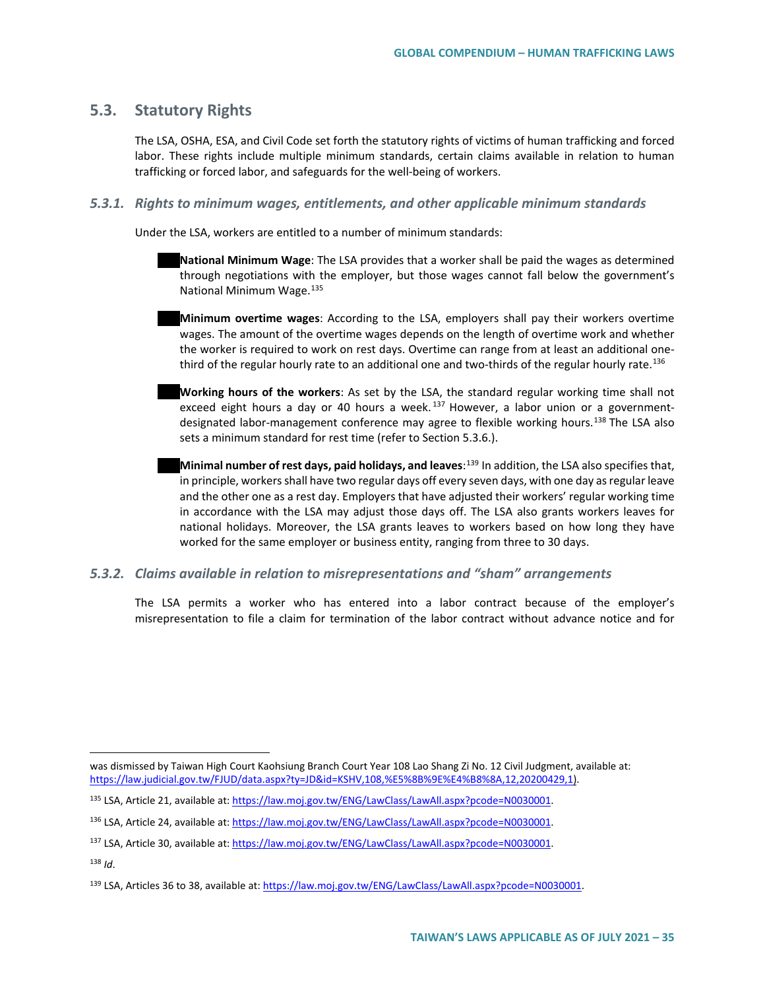## **5.3. Statutory Rights**

 $\overline{a}$ 

The LSA, OSHA, ESA, and Civil Code set forth the statutory rights of victims of human trafficking and forced labor. These rights include multiple minimum standards, certain claims available in relation to human trafficking or forced labor, and safeguards for the well-being of workers.

#### *5.3.1. Rights to minimum wages, entitlements, and other applicable minimum standards*

Under the LSA, workers are entitled to a number of minimum standards:

- **National Minimum Wage**: The LSA provides that a worker shall be paid the wages as determined through negotiations with the employer, but those wages cannot fall below the government's National Minimum Wage.[135](#page-34-0)
- **Minimum overtime wages**: According to the LSA, employers shall pay their workers overtime wages. The amount of the overtime wages depends on the length of overtime work and whether the worker is required to work on rest days. Overtime can range from at least an additional one-third of the regular hourly rate to an additional one and two-thirds of the regular hourly rate.<sup>[136](#page-34-1)</sup>
- **Working hours of the workers**: As set by the LSA, the standard regular working time shall not exceed eight hours a day or 40 hours a week.<sup>[137](#page-34-2)</sup> However, a labor union or a government-designated labor-management conference may agree to flexible working hours.<sup>[138](#page-34-3)</sup> The LSA also sets a minimum standard for rest time (refer to Section 5.3.6.).
- **Minimal number of rest days, paid holidays, and leaves**: [139](#page-34-4) In addition, the LSA also specifies that, in principle, workers shall have two regular days off every seven days, with one day as regular leave and the other one as a rest day. Employers that have adjusted their workers' regular working time in accordance with the LSA may adjust those days off. The LSA also grants workers leaves for national holidays. Moreover, the LSA grants leaves to workers based on how long they have worked for the same employer or business entity, ranging from three to 30 days.

#### *5.3.2. Claims available in relation to misrepresentations and "sham" arrangements*

The LSA permits a worker who has entered into a labor contract because of the employer's misrepresentation to file a claim for termination of the labor contract without advance notice and for

was dismissed by Taiwan High Court Kaohsiung Branch Court Year 108 Lao Shang Zi No. 12 Civil Judgment, available at: [https://law.judicial.gov.tw/FJUD/data.aspx?ty=JD&id=KSHV,108,%E5%8B%9E%E4%B8%8A,12,20200429,1\)](https://law.judicial.gov.tw/FJUD/data.aspx?ty=JD&id=KSHV,108,%E5%8B%9E%E4%B8%8A,12,20200429,1).

<span id="page-34-0"></span><sup>135</sup> LSA, Article 21, available at[: https://law.moj.gov.tw/ENG/LawClass/LawAll.aspx?pcode=N0030001.](https://law.moj.gov.tw/ENG/LawClass/LawAll.aspx?pcode=N0030001)

<span id="page-34-1"></span><sup>&</sup>lt;sup>136</sup> LSA, Article 24, available at[: https://law.moj.gov.tw/ENG/LawClass/LawAll.aspx?pcode=N0030001.](https://law.moj.gov.tw/ENG/LawClass/LawAll.aspx?pcode=N0030001)

<span id="page-34-3"></span><span id="page-34-2"></span><sup>137</sup> LSA, Article 30, available at[: https://law.moj.gov.tw/ENG/LawClass/LawAll.aspx?pcode=N0030001.](https://law.moj.gov.tw/ENG/LawClass/LawAll.aspx?pcode=N0030001) <sup>138</sup> *Id*.

<span id="page-34-4"></span><sup>&</sup>lt;sup>139</sup> LSA, Articles 36 to 38, available at[: https://law.moj.gov.tw/ENG/LawClass/LawAll.aspx?pcode=N0030001.](https://law.moj.gov.tw/ENG/LawClass/LawAll.aspx?pcode=N0030001)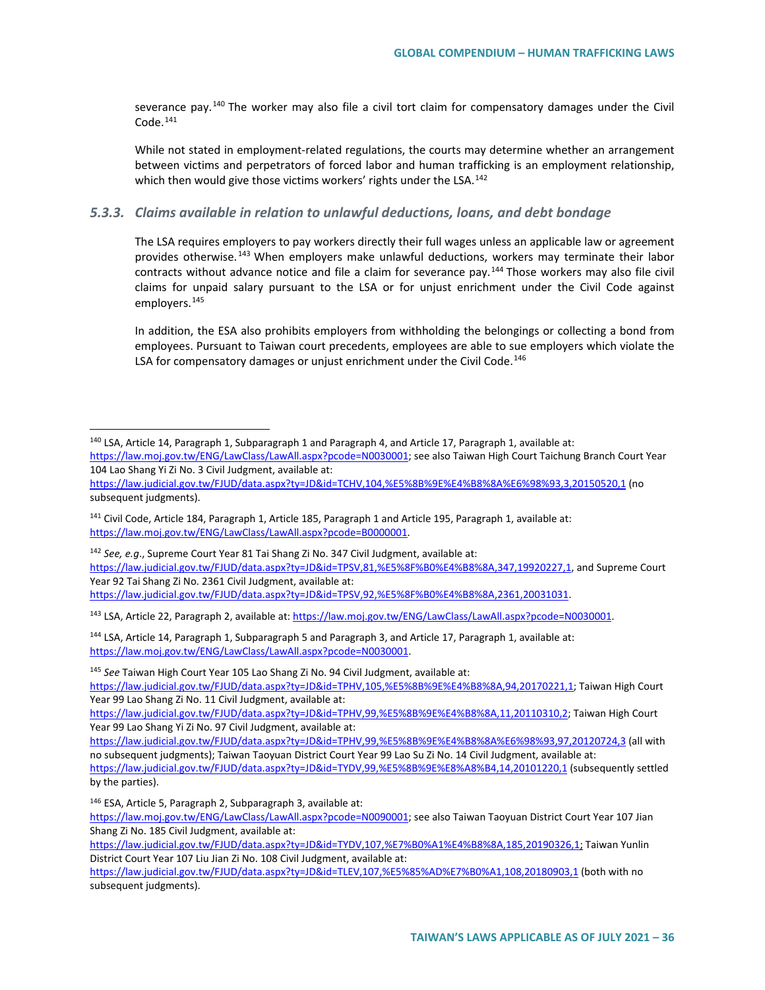severance pay.<sup>[140](#page-35-0)</sup> The worker may also file a civil tort claim for compensatory damages under the Civil Code.[141](#page-35-1)

While not stated in employment-related regulations, the courts may determine whether an arrangement between victims and perpetrators of forced labor and human trafficking is an employment relationship, which then would give those victims workers' rights under the LSA.<sup>[142](#page-35-2)</sup>

#### *5.3.3. Claims available in relation to unlawful deductions, loans, and debt bondage*

The LSA requires employers to pay workers directly their full wages unless an applicable law or agreement provides otherwise.<sup>[143](#page-35-3)</sup> When employers make unlawful deductions, workers may terminate their labor contracts without advance notice and file a claim for severance pay.<sup>[144](#page-35-4)</sup> Those workers may also file civil claims for unpaid salary pursuant to the LSA or for unjust enrichment under the Civil Code against employers.<sup>[145](#page-35-5)</sup>

In addition, the ESA also prohibits employers from withholding the belongings or collecting a bond from employees. Pursuant to Taiwan court precedents, employees are able to sue employers which violate the LSA for compensatory damages or unjust enrichment under the Civil Code.<sup>[146](#page-35-6)</sup>

<span id="page-35-5"></span><sup>145</sup> *See* Taiwan High Court Year 105 Lao Shang Zi No. 94 Civil Judgment, available at:

[https://law.judicial.gov.tw/FJUD/data.aspx?ty=JD&id=TPHV,105,%E5%8B%9E%E4%B8%8A,94,20170221,1;](https://law.judicial.gov.tw/FJUD/data.aspx?ty=JD&id=TPHV,105,%E5%8B%9E%E4%B8%8A,94,20170221,1) Taiwan High Court Year 99 Lao Shang Zi No. 11 Civil Judgment, available at:

[https://law.judicial.gov.tw/FJUD/data.aspx?ty=JD&id=TPHV,99,%E5%8B%9E%E4%B8%8A,11,20110310,2;](https://law.judicial.gov.tw/FJUD/data.aspx?ty=JD&id=TPHV,99,%E5%8B%9E%E4%B8%8A,11,20110310,2) Taiwan High Court Year 99 Lao Shang Yi Zi No. 97 Civil Judgment, available at:

<span id="page-35-0"></span> <sup>140</sup> LSA, Article 14, Paragraph 1, Subparagraph 1 and Paragraph 4, and Article 17, Paragraph 1, available at:

[https://law.moj.gov.tw/ENG/LawClass/LawAll.aspx?pcode=N0030001;](https://law.moj.gov.tw/ENG/LawClass/LawAll.aspx?pcode=N0030001) see also Taiwan High Court Taichung Branch Court Year 104 Lao Shang Yi Zi No. 3 Civil Judgment, available at:

<https://law.judicial.gov.tw/FJUD/data.aspx?ty=JD&id=TCHV,104,%E5%8B%9E%E4%B8%8A%E6%98%93,3,20150520,1> (no subsequent judgments).

<span id="page-35-1"></span><sup>141</sup> Civil Code, Article 184, Paragraph 1, Article 185, Paragraph 1 and Article 195, Paragraph 1, available at: [https://law.moj.gov.tw/ENG/LawClass/LawAll.aspx?pcode=B0000001.](https://law.moj.gov.tw/ENG/LawClass/LawAll.aspx?pcode=B0000001)

<span id="page-35-2"></span><sup>142</sup> *See, e.g*., Supreme Court Year 81 Tai Shang Zi No. 347 Civil Judgment, available at: [https://law.judicial.gov.tw/FJUD/data.aspx?ty=JD&id=TPSV,81,%E5%8F%B0%E4%B8%8A,347,19920227,1,](https://law.judicial.gov.tw/FJUD/data.aspx?ty=JD&id=TPSV,81,%E5%8F%B0%E4%B8%8A,347,19920227,1) and Supreme Court Year 92 Tai Shang Zi No. 2361 Civil Judgment, available at: [https://law.judicial.gov.tw/FJUD/data.aspx?ty=JD&id=TPSV,92,%E5%8F%B0%E4%B8%8A,2361,20031031.](https://law.judicial.gov.tw/FJUD/data.aspx?ty=JD&id=TPSV,92,%E5%8F%B0%E4%B8%8A,2361,20031031) 

<span id="page-35-3"></span><sup>143</sup> LSA, Article 22, Paragraph 2, available at[: https://law.moj.gov.tw/ENG/LawClass/LawAll.aspx?pcode=N0030001.](https://law.moj.gov.tw/ENG/LawClass/LawAll.aspx?pcode=N0030001)

<span id="page-35-4"></span><sup>144</sup> LSA, Article 14, Paragraph 1, Subparagraph 5 and Paragraph 3, and Article 17, Paragraph 1, available at: [https://law.moj.gov.tw/ENG/LawClass/LawAll.aspx?pcode=N0030001.](https://law.moj.gov.tw/ENG/LawClass/LawAll.aspx?pcode=N0030001)

<https://law.judicial.gov.tw/FJUD/data.aspx?ty=JD&id=TPHV,99,%E5%8B%9E%E4%B8%8A%E6%98%93,97,20120724,3> (all with no subsequent judgments); Taiwan Taoyuan District Court Year 99 Lao Su Zi No. 14 Civil Judgment, available at:

<https://law.judicial.gov.tw/FJUD/data.aspx?ty=JD&id=TYDV,99,%E5%8B%9E%E8%A8%B4,14,20101220,1> (subsequently settled by the parties).

<span id="page-35-6"></span><sup>146</sup> ESA, Article 5, Paragraph 2, Subparagraph 3, available at:

[https://law.moj.gov.tw/ENG/LawClass/LawAll.aspx?pcode=N0090001;](https://law.moj.gov.tw/ENG/LawClass/LawAll.aspx?pcode=N0090001) see also Taiwan Taoyuan District Court Year 107 Jian Shang Zi No. 185 Civil Judgment, available at:

[https://law.judicial.gov.tw/FJUD/data.aspx?ty=JD&id=TYDV,107,%E7%B0%A1%E4%B8%8A,185,20190326,1;](https://law.judicial.gov.tw/FJUD/data.aspx?ty=JD&id=TYDV,107,%E7%B0%A1%E4%B8%8A,185,20190326,1) Taiwan Yunlin District Court Year 107 Liu Jian Zi No. 108 Civil Judgment, available at:

<https://law.judicial.gov.tw/FJUD/data.aspx?ty=JD&id=TLEV,107,%E5%85%AD%E7%B0%A1,108,20180903,1> (both with no subsequent judgments).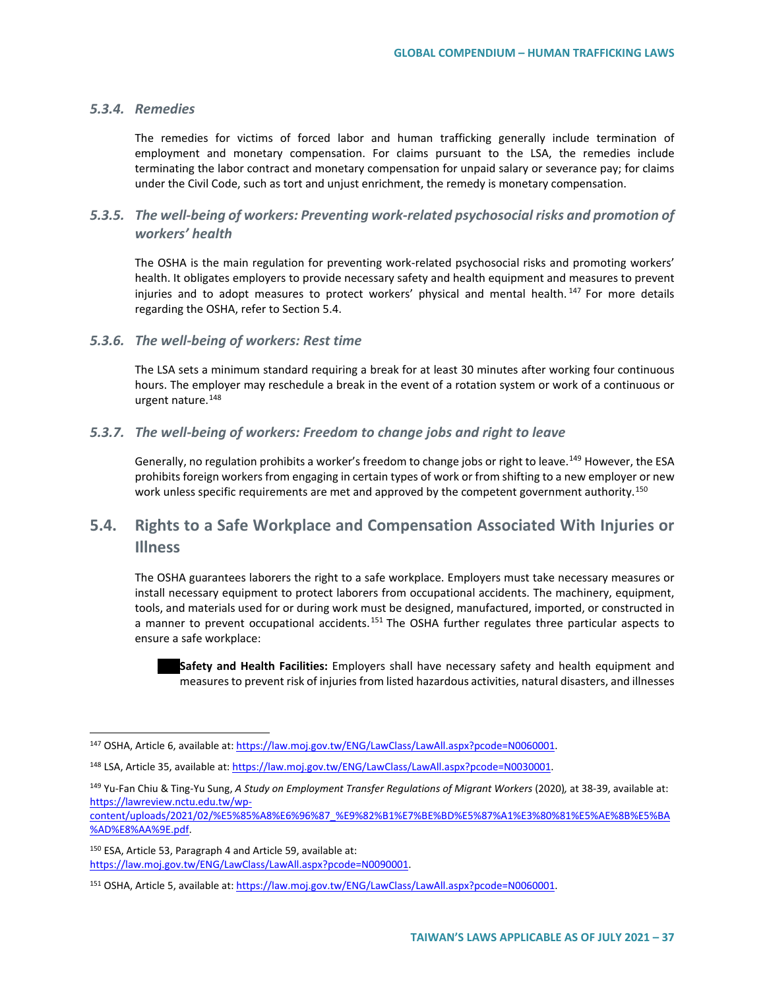#### *5.3.4. Remedies*

The remedies for victims of forced labor and human trafficking generally include termination of employment and monetary compensation. For claims pursuant to the LSA, the remedies include terminating the labor contract and monetary compensation for unpaid salary or severance pay; for claims under the Civil Code, such as tort and unjust enrichment, the remedy is monetary compensation.

## *5.3.5. The well-being of workers: Preventing work-related psychosocial risks and promotion of workers' health*

The OSHA is the main regulation for preventing work-related psychosocial risks and promoting workers' health. It obligates employers to provide necessary safety and health equipment and measures to prevent injuries and to adopt measures to protect workers' physical and mental health.<sup>[147](#page-36-0)</sup> For more details regarding the OSHA, refer to Section 5.4.

#### *5.3.6. The well-being of workers: Rest time*

The LSA sets a minimum standard requiring a break for at least 30 minutes after working four continuous hours. The employer may reschedule a break in the event of a rotation system or work of a continuous or urgent nature.<sup>[148](#page-36-1)</sup>

#### *5.3.7. The well-being of workers: Freedom to change jobs and right to leave*

Generally, no regulation prohibits a worker's freedom to change jobs or right to leave.<sup>[149](#page-36-2)</sup> However, the ESA prohibits foreign workers from engaging in certain types of work or from shifting to a new employer or new work unless specific requirements are met and approved by the competent government authority.<sup>[150](#page-36-3)</sup>

## **5.4. Rights to a Safe Workplace and Compensation Associated With Injuries or Illness**

The OSHA guarantees laborers the right to a safe workplace. Employers must take necessary measures or install necessary equipment to protect laborers from occupational accidents. The machinery, equipment, tools, and materials used for or during work must be designed, manufactured, imported, or constructed in a manner to prevent occupational accidents.<sup>[151](#page-36-4)</sup> The OSHA further regulates three particular aspects to ensure a safe workplace:

**Safety and Health Facilities:** Employers shall have necessary safety and health equipment and measures to prevent risk of injuries from listed hazardous activities, natural disasters, and illnesses

[content/uploads/2021/02/%E5%85%A8%E6%96%87\\_%E9%82%B1%E7%BE%BD%E5%87%A1%E3%80%81%E5%AE%8B%E5%BA](https://lawreview.nctu.edu.tw/wp-content/uploads/2021/02/%E5%85%A8%E6%96%87_%E9%82%B1%E7%BE%BD%E5%87%A1%E3%80%81%E5%AE%8B%E5%BA%AD%E8%AA%9E.pdf) [%AD%E8%AA%9E.pdf.](https://lawreview.nctu.edu.tw/wp-content/uploads/2021/02/%E5%85%A8%E6%96%87_%E9%82%B1%E7%BE%BD%E5%87%A1%E3%80%81%E5%AE%8B%E5%BA%AD%E8%AA%9E.pdf) 

<span id="page-36-3"></span><sup>150</sup> ESA, Article 53, Paragraph 4 and Article 59, available at: [https://law.moj.gov.tw/ENG/LawClass/LawAll.aspx?pcode=N0090001.](https://law.moj.gov.tw/ENG/LawClass/LawAll.aspx?pcode=N0090001)

<span id="page-36-0"></span><sup>147</sup> OSHA, Article 6, available at[: https://law.moj.gov.tw/ENG/LawClass/LawAll.aspx?pcode=N0060001.](https://law.moj.gov.tw/ENG/LawClass/LawAll.aspx?pcode=N0060001)

<span id="page-36-1"></span><sup>148</sup> LSA, Article 35, available at[: https://law.moj.gov.tw/ENG/LawClass/LawAll.aspx?pcode=N0030001.](https://law.moj.gov.tw/ENG/LawClass/LawAll.aspx?pcode=N0030001)

<span id="page-36-2"></span><sup>149</sup> Yu-Fan Chiu & Ting-Yu Sung, *A Study on Employment Transfer Regulations of Migrant Workers* (2020)*,* at 38-39, available at: [https://lawreview.nctu.edu.tw/wp-](https://lawreview.nctu.edu.tw/wp-content/uploads/2021/02/%E5%85%A8%E6%96%87_%E9%82%B1%E7%BE%BD%E5%87%A1%E3%80%81%E5%AE%8B%E5%BA%AD%E8%AA%9E.pdf)

<span id="page-36-4"></span><sup>151</sup> OSHA, Article 5, available at[: https://law.moj.gov.tw/ENG/LawClass/LawAll.aspx?pcode=N0060001.](https://law.moj.gov.tw/ENG/LawClass/LawAll.aspx?pcode=N0060001)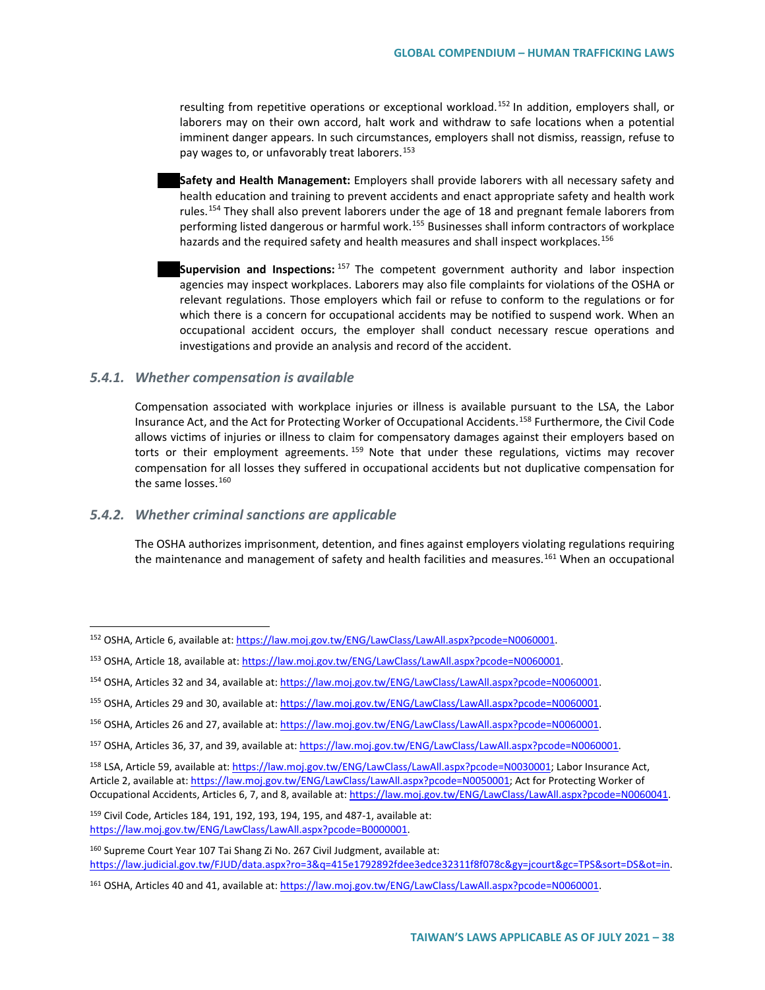resulting from repetitive operations or exceptional workload.<sup>[152](#page-37-0)</sup> In addition, employers shall, or laborers may on their own accord, halt work and withdraw to safe locations when a potential imminent danger appears. In such circumstances, employers shall not dismiss, reassign, refuse to pay wages to, or unfavorably treat laborers.<sup>153</sup>

- **Safety and Health Management:** Employers shall provide laborers with all necessary safety and health education and training to prevent accidents and enact appropriate safety and health work rules.<sup>[154](#page-37-2)</sup> They shall also prevent laborers under the age of 18 and pregnant female laborers from performing listed dangerous or harmful work.<sup>[155](#page-37-3)</sup> Businesses shall inform contractors of workplace hazards and the required safety and health measures and shall inspect workplaces.<sup>[156](#page-37-4)</sup>
- **Supervision and Inspections:** [157](#page-37-5) The competent government authority and labor inspection agencies may inspect workplaces. Laborers may also file complaints for violations of the OSHA or relevant regulations. Those employers which fail or refuse to conform to the regulations or for which there is a concern for occupational accidents may be notified to suspend work. When an occupational accident occurs, the employer shall conduct necessary rescue operations and investigations and provide an analysis and record of the accident.

#### *5.4.1. Whether compensation is available*

Compensation associated with workplace injuries or illness is available pursuant to the LSA, the Labor Insurance Act, and the Act for Protecting Worker of Occupational Accidents.[158](#page-37-6) Furthermore, the Civil Code allows victims of injuries or illness to claim for compensatory damages against their employers based on torts or their employment agreements. <sup>[159](#page-37-7)</sup> Note that under these regulations, victims may recover compensation for all losses they suffered in occupational accidents but not duplicative compensation for the same losses.<sup>[160](#page-37-8)</sup>

#### *5.4.2. Whether criminal sanctions are applicable*

The OSHA authorizes imprisonment, detention, and fines against employers violating regulations requiring the maintenance and management of safety and health facilities and measures.<sup>[161](#page-37-9)</sup> When an occupational

<span id="page-37-0"></span><sup>152</sup> OSHA, Article 6, available at[: https://law.moj.gov.tw/ENG/LawClass/LawAll.aspx?pcode=N0060001.](https://law.moj.gov.tw/ENG/LawClass/LawAll.aspx?pcode=N0060001)

<span id="page-37-1"></span><sup>153</sup> OSHA, Article 18, available at: [https://law.moj.gov.tw/ENG/LawClass/LawAll.aspx?pcode=N0060001.](https://law.moj.gov.tw/ENG/LawClass/LawAll.aspx?pcode=N0060001)

<span id="page-37-2"></span><sup>154</sup> OSHA, Articles 32 and 34, available at[: https://law.moj.gov.tw/ENG/LawClass/LawAll.aspx?pcode=N0060001.](https://law.moj.gov.tw/ENG/LawClass/LawAll.aspx?pcode=N0060001)

<span id="page-37-3"></span><sup>155</sup> OSHA, Articles 29 and 30, available at[: https://law.moj.gov.tw/ENG/LawClass/LawAll.aspx?pcode=N0060001.](https://law.moj.gov.tw/ENG/LawClass/LawAll.aspx?pcode=N0060001)

<span id="page-37-4"></span><sup>156</sup> OSHA, Articles 26 and 27, available at[: https://law.moj.gov.tw/ENG/LawClass/LawAll.aspx?pcode=N0060001.](https://law.moj.gov.tw/ENG/LawClass/LawAll.aspx?pcode=N0060001)

<span id="page-37-5"></span><sup>157</sup> OSHA, Articles 36, 37, and 39, available at: [https://law.moj.gov.tw/ENG/LawClass/LawAll.aspx?pcode=N0060001.](https://law.moj.gov.tw/ENG/LawClass/LawAll.aspx?pcode=N0060001)

<span id="page-37-6"></span><sup>158</sup> LSA, Article 59, available at[: https://law.moj.gov.tw/ENG/LawClass/LawAll.aspx?pcode=N0030001;](https://law.moj.gov.tw/ENG/LawClass/LawAll.aspx?pcode=N0030001) Labor Insurance Act, Article 2, available at: [https://law.moj.gov.tw/ENG/LawClass/LawAll.aspx?pcode=N0050001;](https://law.moj.gov.tw/ENG/LawClass/LawAll.aspx?pcode=N0050001) Act for Protecting Worker of Occupational Accidents, Articles 6, 7, and 8, available at: [https://law.moj.gov.tw/ENG/LawClass/LawAll.aspx?pcode=N0060041.](https://law.moj.gov.tw/ENG/LawClass/LawAll.aspx?pcode=N0060041)

<span id="page-37-7"></span><sup>159</sup> Civil Code, Articles 184, 191, 192, 193, 194, 195, and 487-1, available at: [https://law.moj.gov.tw/ENG/LawClass/LawAll.aspx?pcode=B0000001.](https://law.moj.gov.tw/ENG/LawClass/LawAll.aspx?pcode=B0000001)

<span id="page-37-8"></span><sup>160</sup> Supreme Court Year 107 Tai Shang Zi No. 267 Civil Judgment, available at: [https://law.judicial.gov.tw/FJUD/data.aspx?ro=3&q=415e1792892fdee3edce32311f8f078c&gy=jcourt&gc=TPS&sort=DS&ot=in.](https://law.judicial.gov.tw/FJUD/data.aspx?ro=3&q=415e1792892fdee3edce32311f8f078c&gy=jcourt&gc=TPS&sort=DS&ot=in) 

<span id="page-37-9"></span><sup>&</sup>lt;sup>161</sup> OSHA, Articles 40 and 41, available at[: https://law.moj.gov.tw/ENG/LawClass/LawAll.aspx?pcode=N0060001.](https://law.moj.gov.tw/ENG/LawClass/LawAll.aspx?pcode=N0060001)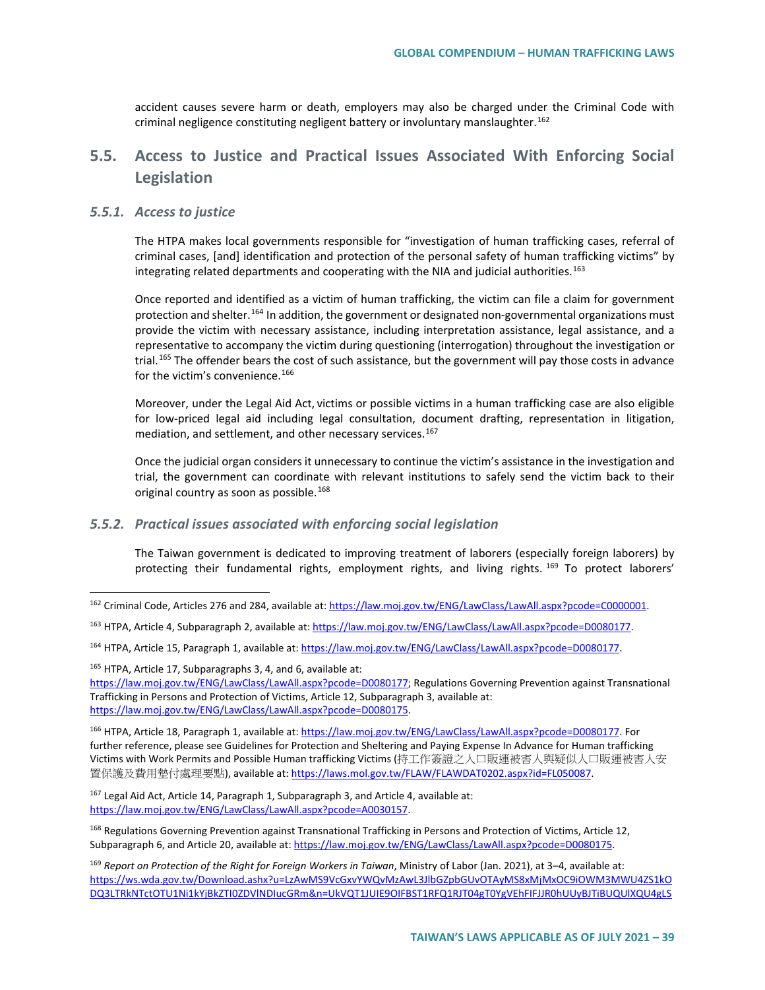accident causes severe harm or death, employers may also be charged under the Criminal Code with criminal negligence constituting negligent battery or involuntary manslaughter.<sup>[162](#page-38-0)</sup>

## **5.5. Access to Justice and Practical Issues Associated With Enforcing Social Legislation**

#### *5.5.1. Access to justice*

The HTPA makes local governments responsible for "investigation of human trafficking cases, referral of criminal cases, [and] identification and protection of the personal safety of human trafficking victims" by integrating related departments and cooperating with the NIA and judicial authorities.<sup>[163](#page-38-1)</sup>

Once reported and identified as a victim of human trafficking, the victim can file a claim for government protection and shelter.<sup>[164](#page-38-2)</sup> In addition, the government or designated non-governmental organizations must provide the victim with necessary assistance, including interpretation assistance, legal assistance, and a representative to accompany the victim during questioning (interrogation) throughout the investigation or trial.<sup>[165](#page-38-3)</sup> The offender bears the cost of such assistance, but the government will pay those costs in advance for the victim's convenience.<sup>166</sup>

Moreover, under the Legal Aid Act, victims or possible victims in a human trafficking case are also eligible for low-priced legal aid including legal consultation, document drafting, representation in litigation, mediation, and settlement, and other necessary services.<sup>[167](#page-38-5)</sup>

Once the judicial organ considers it unnecessary to continue the victim's assistance in the investigation and trial, the government can coordinate with relevant institutions to safely send the victim back to their original country as soon as possible.<sup>[168](#page-38-6)</sup>

#### *5.5.2. Practical issues associated with enforcing social legislation*

The Taiwan government is dedicated to improving treatment of laborers (especially foreign laborers) by protecting their fundamental rights, employment rights, and living rights. <sup>[169](#page-38-7)</sup> To protect laborers'

<span id="page-38-3"></span><sup>165</sup> HTPA, Article 17, Subparagraphs 3, 4, and 6, available at:

[https://law.moj.gov.tw/ENG/LawClass/LawAll.aspx?pcode=D0080177;](https://law.moj.gov.tw/ENG/LawClass/LawAll.aspx?pcode=D0080177) Regulations Governing Prevention against Transnational Trafficking in Persons and Protection of Victims, Article 12, Subparagraph 3, available at: [https://law.moj.gov.tw/ENG/LawClass/LawAll.aspx?pcode=D0080175.](https://law.moj.gov.tw/ENG/LawClass/LawAll.aspx?pcode=D0080175)

<span id="page-38-4"></span><sup>166</sup> HTPA, Article 18, Paragraph 1, available at[: https://law.moj.gov.tw/ENG/LawClass/LawAll.aspx?pcode=D0080177.](https://law.moj.gov.tw/ENG/LawClass/LawAll.aspx?pcode=D0080177) For further reference, please see Guidelines for Protection and Sheltering and Paying Expense In Advance for Human trafficking Victims with Work Permits and Possible Human trafficking Victims (持工作簽證之人口販運被害人與疑似人口販運被害人安 置保護及費用墊付處理要點), available at: https://laws.mol.gov.tw/FLAW/FLAWDAT0202.aspx?id=FL050087.

<span id="page-38-5"></span> $167$  Legal Aid Act, Article 14, Paragraph 1, Subparagraph 3, and Article 4, available at: [https://law.moj.gov.tw/ENG/LawClass/LawAll.aspx?pcode=A0030157.](https://law.moj.gov.tw/ENG/LawClass/LawAll.aspx?pcode=A0030157) 

<span id="page-38-6"></span><sup>168</sup> Regulations Governing Prevention against Transnational Trafficking in Persons and Protection of Victims, Article 12, Subparagraph 6, and Article 20, available at[: https://law.moj.gov.tw/ENG/LawClass/LawAll.aspx?pcode=D0080175.](https://law.moj.gov.tw/ENG/LawClass/LawAll.aspx?pcode=D0080175)

<span id="page-38-0"></span><sup>162</sup> Criminal Code, Articles 276 and 284, available at[: https://law.moj.gov.tw/ENG/LawClass/LawAll.aspx?pcode=C0000001.](https://law.moj.gov.tw/ENG/LawClass/LawAll.aspx?pcode=C0000001)

<span id="page-38-1"></span><sup>&</sup>lt;sup>163</sup> HTPA, Article 4, Subparagraph 2, available at[: https://law.moj.gov.tw/ENG/LawClass/LawAll.aspx?pcode=D0080177.](https://law.moj.gov.tw/ENG/LawClass/LawAll.aspx?pcode=D0080177)

<span id="page-38-2"></span><sup>164</sup> HTPA, Article 15, Paragraph 1, available at[: https://law.moj.gov.tw/ENG/LawClass/LawAll.aspx?pcode=D0080177.](https://law.moj.gov.tw/ENG/LawClass/LawAll.aspx?pcode=D0080177)

<span id="page-38-7"></span><sup>169</sup> *Report on Protection of the Right for Foreign Workers in Taiwan*, Ministry of Labor (Jan. 2021), at 3–4, available at: [https://ws.wda.gov.tw/Download.ashx?u=LzAwMS9VcGxvYWQvMzAwL3JlbGZpbGUvOTAyMS8xMjMxOC9iOWM3MWU4ZS1kO](https://ws.wda.gov.tw/Download.ashx?u=LzAwMS9VcGxvYWQvMzAwL3JlbGZpbGUvOTAyMS8xMjMxOC9iOWM3MWU4ZS1kODQ3LTRkNTctOTU1Ni1kYjBkZTI0ZDVlNDIucGRm&n=UkVQT1JUIE9OIFBST1RFQ1RJT04gT0YgVEhFIFJJR0hUUyBJTiBUQUlXQU4gLSBNaW5pc3RyeSBvZiBMYWJvck9jdG9iZXIgMTksIDIwMDHvvIhSZXZpc2VkIGluIEphbnVhcnksIDIwMjHvvIlPbiBQcm90ZWN0aW9uIG9mIHRoZSBSaWdodHMgZm9yIEZvcmVpZ24gV29ya2VycyBpbiBUYWl3YW4ucGRm) [DQ3LTRkNTctOTU1Ni1kYjBkZTI0ZDVlNDIucGRm&n=UkVQT1JUIE9OIFBST1RFQ1RJT04gT0YgVEhFIFJJR0hUUyBJTiBUQUlXQU4gLS](https://ws.wda.gov.tw/Download.ashx?u=LzAwMS9VcGxvYWQvMzAwL3JlbGZpbGUvOTAyMS8xMjMxOC9iOWM3MWU4ZS1kODQ3LTRkNTctOTU1Ni1kYjBkZTI0ZDVlNDIucGRm&n=UkVQT1JUIE9OIFBST1RFQ1RJT04gT0YgVEhFIFJJR0hUUyBJTiBUQUlXQU4gLSBNaW5pc3RyeSBvZiBMYWJvck9jdG9iZXIgMTksIDIwMDHvvIhSZXZpc2VkIGluIEphbnVhcnksIDIwMjHvvIlPbiBQcm90ZWN0aW9uIG9mIHRoZSBSaWdodHMgZm9yIEZvcmVpZ24gV29ya2VycyBpbiBUYWl3YW4ucGRm)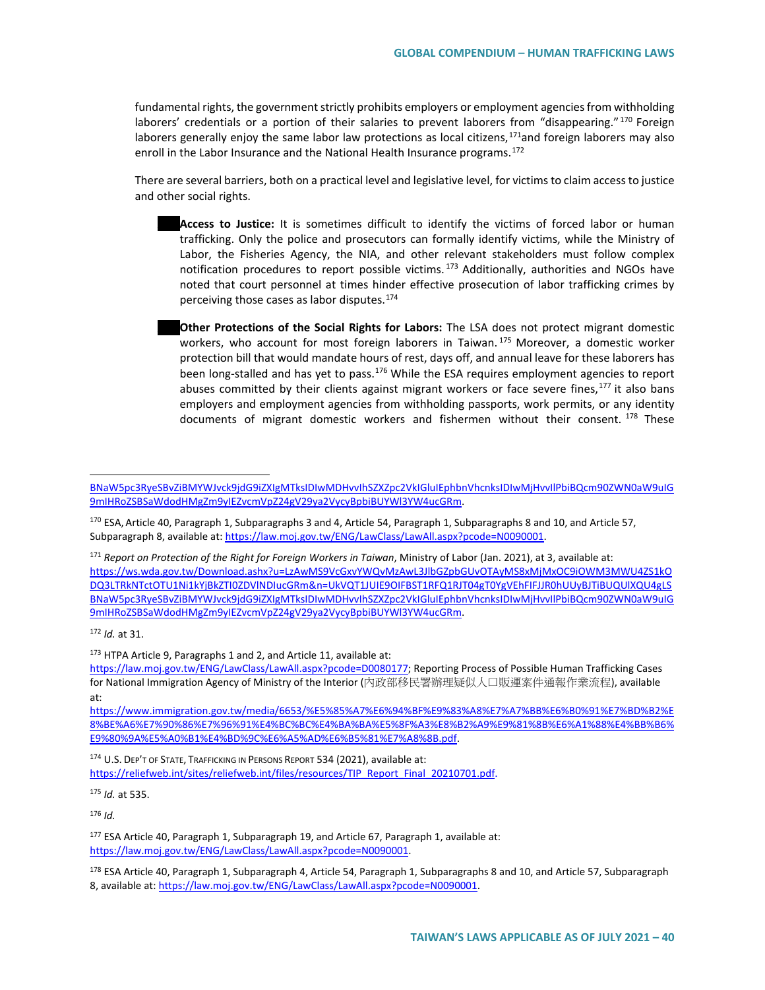fundamental rights, the government strictly prohibits employers or employment agencies from withholding laborers' credentials or a portion of their salaries to prevent laborers from "disappearing."<sup>[170](#page-39-0)</sup> Foreign laborers generally enjoy the same labor law protections as local citizens,<sup>[171](#page-39-1)</sup>and foreign laborers may also enroll in the Labor Insurance and the National Health Insurance programs.<sup>[172](#page-39-2)</sup>

There are several barriers, both on a practical level and legislative level, for victims to claim access to justice and other social rights.

**Access to Justice:** It is sometimes difficult to identify the victims of forced labor or human trafficking. Only the police and prosecutors can formally identify victims, while the Ministry of Labor, the Fisheries Agency, the NIA, and other relevant stakeholders must follow complex notification procedures to report possible victims.<sup>[173](#page-39-3)</sup> Additionally, authorities and NGOs have noted that court personnel at times hinder effective prosecution of labor trafficking crimes by perceiving those cases as labor disputes.<sup>[174](#page-39-4)</sup>

**Other Protections of the Social Rights for Labors:** The LSA does not protect migrant domestic workers, who account for most foreign laborers in Taiwan. <sup>[175](#page-39-5)</sup> Moreover, a domestic worker protection bill that would mandate hours of rest, days off, and annual leave for these laborers has been long-stalled and has yet to pass.<sup>[176](#page-39-6)</sup> While the ESA requires employment agencies to report abuses committed by their clients against migrant workers or face severe fines,<sup>[177](#page-39-7)</sup> it also bans employers and employment agencies from withholding passports, work permits, or any identity documents of migrant domestic workers and fishermen without their consent. [178](#page-39-8) These

<span id="page-39-1"></span><sup>171</sup> *Report on Protection of the Right for Foreign Workers in Taiwan*, Ministry of Labor (Jan. 2021), at 3, available at: [https://ws.wda.gov.tw/Download.ashx?u=LzAwMS9VcGxvYWQvMzAwL3JlbGZpbGUvOTAyMS8xMjMxOC9iOWM3MWU4ZS1kO](https://ws.wda.gov.tw/Download.ashx?u=LzAwMS9VcGxvYWQvMzAwL3JlbGZpbGUvOTAyMS8xMjMxOC9iOWM3MWU4ZS1kODQ3LTRkNTctOTU1Ni1kYjBkZTI0ZDVlNDIucGRm&n=UkVQT1JUIE9OIFBST1RFQ1RJT04gT0YgVEhFIFJJR0hUUyBJTiBUQUlXQU4gLSBNaW5pc3RyeSBvZiBMYWJvck9jdG9iZXIgMTksIDIwMDHvvIhSZXZpc2VkIGluIEphbnVhcnksIDIwMjHvvIlPbiBQcm90ZWN0aW9uIG9mIHRoZSBSaWdodHMgZm9yIEZvcmVpZ24gV29ya2VycyBpbiBUYWl3YW4ucGRm) [DQ3LTRkNTctOTU1Ni1kYjBkZTI0ZDVlNDIucGRm&n=UkVQT1JUIE9OIFBST1RFQ1RJT04gT0YgVEhFIFJJR0hUUyBJTiBUQUlXQU4gLS](https://ws.wda.gov.tw/Download.ashx?u=LzAwMS9VcGxvYWQvMzAwL3JlbGZpbGUvOTAyMS8xMjMxOC9iOWM3MWU4ZS1kODQ3LTRkNTctOTU1Ni1kYjBkZTI0ZDVlNDIucGRm&n=UkVQT1JUIE9OIFBST1RFQ1RJT04gT0YgVEhFIFJJR0hUUyBJTiBUQUlXQU4gLSBNaW5pc3RyeSBvZiBMYWJvck9jdG9iZXIgMTksIDIwMDHvvIhSZXZpc2VkIGluIEphbnVhcnksIDIwMjHvvIlPbiBQcm90ZWN0aW9uIG9mIHRoZSBSaWdodHMgZm9yIEZvcmVpZ24gV29ya2VycyBpbiBUYWl3YW4ucGRm) [BNaW5pc3RyeSBvZiBMYWJvck9jdG9iZXIgMTksIDIwMDHvvIhSZXZpc2VkIGluIEphbnVhcnksIDIwMjHvvIlPbiBQcm90ZWN0aW9uIG](https://ws.wda.gov.tw/Download.ashx?u=LzAwMS9VcGxvYWQvMzAwL3JlbGZpbGUvOTAyMS8xMjMxOC9iOWM3MWU4ZS1kODQ3LTRkNTctOTU1Ni1kYjBkZTI0ZDVlNDIucGRm&n=UkVQT1JUIE9OIFBST1RFQ1RJT04gT0YgVEhFIFJJR0hUUyBJTiBUQUlXQU4gLSBNaW5pc3RyeSBvZiBMYWJvck9jdG9iZXIgMTksIDIwMDHvvIhSZXZpc2VkIGluIEphbnVhcnksIDIwMjHvvIlPbiBQcm90ZWN0aW9uIG9mIHRoZSBSaWdodHMgZm9yIEZvcmVpZ24gV29ya2VycyBpbiBUYWl3YW4ucGRm) [9mIHRoZSBSaWdodHMgZm9yIEZvcmVpZ24gV29ya2VycyBpbiBUYWl3YW4ucGRm.](https://ws.wda.gov.tw/Download.ashx?u=LzAwMS9VcGxvYWQvMzAwL3JlbGZpbGUvOTAyMS8xMjMxOC9iOWM3MWU4ZS1kODQ3LTRkNTctOTU1Ni1kYjBkZTI0ZDVlNDIucGRm&n=UkVQT1JUIE9OIFBST1RFQ1RJT04gT0YgVEhFIFJJR0hUUyBJTiBUQUlXQU4gLSBNaW5pc3RyeSBvZiBMYWJvck9jdG9iZXIgMTksIDIwMDHvvIhSZXZpc2VkIGluIEphbnVhcnksIDIwMjHvvIlPbiBQcm90ZWN0aW9uIG9mIHRoZSBSaWdodHMgZm9yIEZvcmVpZ24gV29ya2VycyBpbiBUYWl3YW4ucGRm) 

<span id="page-39-2"></span><sup>172</sup> *Id.* at 31.

 $\overline{\phantom{a}}$ 

<span id="page-39-3"></span>173 HTPA Article 9, Paragraphs 1 and 2, and Article 11, available at:

[https://law.moj.gov.tw/ENG/LawClass/LawAll.aspx?pcode=D0080177;](https://law.moj.gov.tw/ENG/LawClass/LawAll.aspx?pcode=D0080177) Reporting Process of Possible Human Trafficking Cases for National Immigration Agency of Ministry of the Interior (內政部移民署辦理疑似人口販運案件通報作業流程), available at:

[https://www.immigration.gov.tw/media/6653/%E5%85%A7%E6%94%BF%E9%83%A8%E7%A7%BB%E6%B0%91%E7%BD%B2%E](https://www.immigration.gov.tw/media/6653/%E5%85%A7%E6%94%BF%E9%83%A8%E7%A7%BB%E6%B0%91%E7%BD%B2%E8%BE%A6%E7%90%86%E7%96%91%E4%BC%BC%E4%BA%BA%E5%8F%A3%E8%B2%A9%E9%81%8B%E6%A1%88%E4%BB%B6%E9%80%9A%E5%A0%B1%E4%BD%9C%E6%A5%AD%E6%B5%81%E7%A8%8B.pdf) [8%BE%A6%E7%90%86%E7%96%91%E4%BC%BC%E4%BA%BA%E5%8F%A3%E8%B2%A9%E9%81%8B%E6%A1%88%E4%BB%B6%](https://www.immigration.gov.tw/media/6653/%E5%85%A7%E6%94%BF%E9%83%A8%E7%A7%BB%E6%B0%91%E7%BD%B2%E8%BE%A6%E7%90%86%E7%96%91%E4%BC%BC%E4%BA%BA%E5%8F%A3%E8%B2%A9%E9%81%8B%E6%A1%88%E4%BB%B6%E9%80%9A%E5%A0%B1%E4%BD%9C%E6%A5%AD%E6%B5%81%E7%A8%8B.pdf) [E9%80%9A%E5%A0%B1%E4%BD%9C%E6%A5%AD%E6%B5%81%E7%A8%8B.pdf.](https://www.immigration.gov.tw/media/6653/%E5%85%A7%E6%94%BF%E9%83%A8%E7%A7%BB%E6%B0%91%E7%BD%B2%E8%BE%A6%E7%90%86%E7%96%91%E4%BC%BC%E4%BA%BA%E5%8F%A3%E8%B2%A9%E9%81%8B%E6%A1%88%E4%BB%B6%E9%80%9A%E5%A0%B1%E4%BD%9C%E6%A5%AD%E6%B5%81%E7%A8%8B.pdf)

<span id="page-39-4"></span>174 U.S. DEP'T OF STATE, TRAFFICKING IN PERSONS REPORT 534 (2021), available at: [https://reliefweb.int/sites/reliefweb.int/files/resources/TIP\\_Report\\_Final\\_20210701.pdf.](https://reliefweb.int/sites/reliefweb.int/files/resources/TIP_Report_Final_20210701.pdf)

<span id="page-39-5"></span><sup>175</sup> *Id.* at 535.

<span id="page-39-6"></span><sup>176</sup> *Id.*

<span id="page-39-7"></span>177 ESA Article 40, Paragraph 1, Subparagraph 19, and Article 67, Paragraph 1, available at: [https://law.moj.gov.tw/ENG/LawClass/LawAll.aspx?pcode=N0090001.](https://law.moj.gov.tw/ENG/LawClass/LawAll.aspx?pcode=N0090001)

<span id="page-39-8"></span>178 ESA Article 40, Paragraph 1, Subparagraph 4, Article 54, Paragraph 1, Subparagraphs 8 and 10, and Article 57, Subparagraph 8, available at: [https://law.moj.gov.tw/ENG/LawClass/LawAll.aspx?pcode=N0090001.](https://law.moj.gov.tw/ENG/LawClass/LawAll.aspx?pcode=N0090001)

[BNaW5pc3RyeSBvZiBMYWJvck9jdG9iZXIgMTksIDIwMDHvvIhSZXZpc2VkIGluIEphbnVhcnksIDIwMjHvvIlPbiBQcm90ZWN0aW9uIG](https://ws.wda.gov.tw/Download.ashx?u=LzAwMS9VcGxvYWQvMzAwL3JlbGZpbGUvOTAyMS8xMjMxOC9iOWM3MWU4ZS1kODQ3LTRkNTctOTU1Ni1kYjBkZTI0ZDVlNDIucGRm&n=UkVQT1JUIE9OIFBST1RFQ1RJT04gT0YgVEhFIFJJR0hUUyBJTiBUQUlXQU4gLSBNaW5pc3RyeSBvZiBMYWJvck9jdG9iZXIgMTksIDIwMDHvvIhSZXZpc2VkIGluIEphbnVhcnksIDIwMjHvvIlPbiBQcm90ZWN0aW9uIG9mIHRoZSBSaWdodHMgZm9yIEZvcmVpZ24gV29ya2VycyBpbiBUYWl3YW4ucGRm) [9mIHRoZSBSaWdodHMgZm9yIEZvcmVpZ24gV29ya2VycyBpbiBUYWl3YW4ucGRm.](https://ws.wda.gov.tw/Download.ashx?u=LzAwMS9VcGxvYWQvMzAwL3JlbGZpbGUvOTAyMS8xMjMxOC9iOWM3MWU4ZS1kODQ3LTRkNTctOTU1Ni1kYjBkZTI0ZDVlNDIucGRm&n=UkVQT1JUIE9OIFBST1RFQ1RJT04gT0YgVEhFIFJJR0hUUyBJTiBUQUlXQU4gLSBNaW5pc3RyeSBvZiBMYWJvck9jdG9iZXIgMTksIDIwMDHvvIhSZXZpc2VkIGluIEphbnVhcnksIDIwMjHvvIlPbiBQcm90ZWN0aW9uIG9mIHRoZSBSaWdodHMgZm9yIEZvcmVpZ24gV29ya2VycyBpbiBUYWl3YW4ucGRm) 

<span id="page-39-0"></span><sup>&</sup>lt;sup>170</sup> ESA, Article 40, Paragraph 1, Subparagraphs 3 and 4, Article 54, Paragraph 1, Subparagraphs 8 and 10, and Article 57, Subparagraph 8, available at[: https://law.moj.gov.tw/ENG/LawClass/LawAll.aspx?pcode=N0090001.](https://law.moj.gov.tw/ENG/LawClass/LawAll.aspx?pcode=N0090001)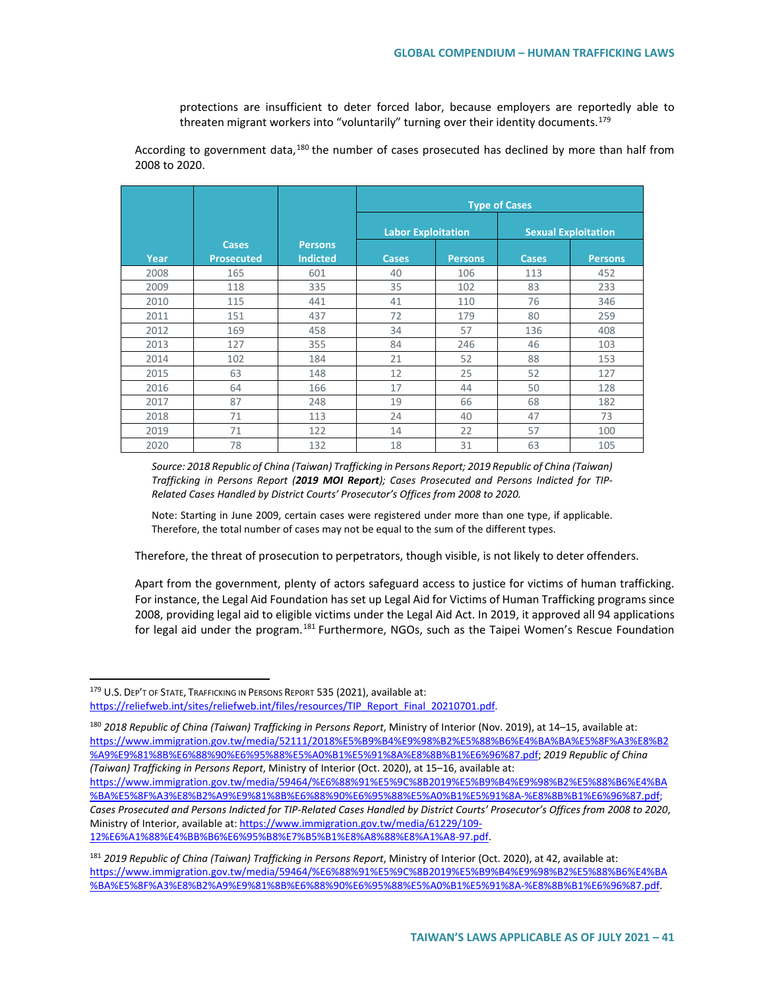protections are insufficient to deter forced labor, because employers are reportedly able to threaten migrant workers into "voluntarily" turning over their identity documents.<sup>[179](#page-40-0)</sup>

According to government data,<sup>[180](#page-40-1)</sup> the number of cases prosecuted has declined by more than half from 2008 to 2020.

|      |                   |                 | <b>Type of Cases</b>      |                |              |                            |
|------|-------------------|-----------------|---------------------------|----------------|--------------|----------------------------|
|      |                   |                 | <b>Labor Exploitation</b> |                |              | <b>Sexual Exploitation</b> |
|      | <b>Cases</b>      | <b>Persons</b>  |                           |                |              |                            |
| Year | <b>Prosecuted</b> | <b>Indicted</b> | <b>Cases</b>              | <b>Persons</b> | <b>Cases</b> | <b>Persons</b>             |
| 2008 | 165               | 601             | 40                        | 106            | 113          | 452                        |
| 2009 | 118               | 335             | 35                        | 102            | 83           | 233                        |
| 2010 | 115               | 441             | 41                        | 110            | 76           | 346                        |
| 2011 | 151               | 437             | 72                        | 179            | 80           | 259                        |
| 2012 | 169               | 458             | 34                        | 57             | 136          | 408                        |
| 2013 | 127               | 355             | 84                        | 246            | 46           | 103                        |
| 2014 | 102               | 184             | 21                        | 52             | 88           | 153                        |
| 2015 | 63                | 148             | 12                        | 25             | 52           | 127                        |
| 2016 | 64                | 166             | 17                        | 44             | 50           | 128                        |
| 2017 | 87                | 248             | 19                        | 66             | 68           | 182                        |
| 2018 | 71                | 113             | 24                        | 40             | 47           | 73                         |
| 2019 | 71                | 122             | 14                        | 22             | 57           | 100                        |
| 2020 | 78                | 132             | 18                        | 31             | 63           | 105                        |

*Source: 2018 Republic of China (Taiwan) Trafficking in Persons Report; 2019 Republic of China (Taiwan) Trafficking in Persons Report (2019 MOI Report); Cases Prosecuted and Persons Indicted for TIP-Related Cases Handled by District Courts' Prosecutor's Offices from 2008 to 2020.*

Note: Starting in June 2009, certain cases were registered under more than one type, if applicable. Therefore, the total number of cases may not be equal to the sum of the different types.

Therefore, the threat of prosecution to perpetrators, though visible, is not likely to deter offenders.

Apart from the government, plenty of actors safeguard access to justice for victims of human trafficking. For instance, the Legal Aid Foundation has set up Legal Aid for Victims of Human Trafficking programs since 2008, providing legal aid to eligible victims under the Legal Aid Act. In 2019, it approved all 94 applications for legal aid under the program.<sup>[181](#page-40-2)</sup> Furthermore, NGOs, such as the Taipei Women's Rescue Foundation

<span id="page-40-0"></span><sup>179</sup> U.S. DEP'T OF STATE, TRAFFICKING IN PERSONS REPORT 535 (2021), available at: [https://reliefweb.int/sites/reliefweb.int/files/resources/TIP\\_Report\\_Final\\_20210701.pdf.](https://reliefweb.int/sites/reliefweb.int/files/resources/TIP_Report_Final_20210701.pdf)

<span id="page-40-1"></span><sup>180</sup> *2018 Republic of China (Taiwan) Trafficking in Persons Report*, Ministry of Interior (Nov. 2019), at 14–15, available at: [https://www.immigration.gov.tw/media/52111/2018%E5%B9%B4%E9%98%B2%E5%88%B6%E4%BA%BA%E5%8F%A3%E8%B2](https://www.immigration.gov.tw/media/52111/2018%E5%B9%B4%E9%98%B2%E5%88%B6%E4%BA%BA%E5%8F%A3%E8%B2%A9%E9%81%8B%E6%88%90%E6%95%88%E5%A0%B1%E5%91%8A%E8%8B%B1%E6%96%87.pdf) [%A9%E9%81%8B%E6%88%90%E6%95%88%E5%A0%B1%E5%91%8A%E8%8B%B1%E6%96%87.pdf;](https://www.immigration.gov.tw/media/52111/2018%E5%B9%B4%E9%98%B2%E5%88%B6%E4%BA%BA%E5%8F%A3%E8%B2%A9%E9%81%8B%E6%88%90%E6%95%88%E5%A0%B1%E5%91%8A%E8%8B%B1%E6%96%87.pdf) *2019 Republic of China (Taiwan) Trafficking in Persons Report*, Ministry of Interior (Oct. 2020), at 15–16, available at: [https://www.immigration.gov.tw/media/59464/%E6%88%91%E5%9C%8B2019%E5%B9%B4%E9%98%B2%E5%88%B6%E4%BA](https://www.immigration.gov.tw/media/59464/%E6%88%91%E5%9C%8B2019%E5%B9%B4%E9%98%B2%E5%88%B6%E4%BA%BA%E5%8F%A3%E8%B2%A9%E9%81%8B%E6%88%90%E6%95%88%E5%A0%B1%E5%91%8A-%E8%8B%B1%E6%96%87.pdf)

[<sup>%</sup>BA%E5%8F%A3%E8%B2%A9%E9%81%8B%E6%88%90%E6%95%88%E5%A0%B1%E5%91%8A-%E8%8B%B1%E6%96%87.pdf;](https://www.immigration.gov.tw/media/59464/%E6%88%91%E5%9C%8B2019%E5%B9%B4%E9%98%B2%E5%88%B6%E4%BA%BA%E5%8F%A3%E8%B2%A9%E9%81%8B%E6%88%90%E6%95%88%E5%A0%B1%E5%91%8A-%E8%8B%B1%E6%96%87.pdf) *Cases Prosecuted and Persons Indicted for TIP-Related Cases Handled by District Courts' Prosecutor's Offices from 2008 to 2020*, Ministry of Interior, available at: [https://www.immigration.gov.tw/media/61229/109-](https://www.immigration.gov.tw/media/61229/109-12%E6%A1%88%E4%BB%B6%E6%95%B8%E7%B5%B1%E8%A8%88%E8%A1%A8-97.pdf) [12%E6%A1%88%E4%BB%B6%E6%95%B8%E7%B5%B1%E8%A8%88%E8%A1%A8-97.pdf.](https://www.immigration.gov.tw/media/61229/109-12%E6%A1%88%E4%BB%B6%E6%95%B8%E7%B5%B1%E8%A8%88%E8%A1%A8-97.pdf)

<span id="page-40-2"></span><sup>181</sup> *2019 Republic of China (Taiwan) Trafficking in Persons Report*, Ministry of Interior (Oct. 2020), at 42, available at: [https://www.immigration.gov.tw/media/59464/%E6%88%91%E5%9C%8B2019%E5%B9%B4%E9%98%B2%E5%88%B6%E4%BA](https://www.immigration.gov.tw/media/59464/%E6%88%91%E5%9C%8B2019%E5%B9%B4%E9%98%B2%E5%88%B6%E4%BA%BA%E5%8F%A3%E8%B2%A9%E9%81%8B%E6%88%90%E6%95%88%E5%A0%B1%E5%91%8A-%E8%8B%B1%E6%96%87.pdf) [%BA%E5%8F%A3%E8%B2%A9%E9%81%8B%E6%88%90%E6%95%88%E5%A0%B1%E5%91%8A-%E8%8B%B1%E6%96%87.pdf.](https://www.immigration.gov.tw/media/59464/%E6%88%91%E5%9C%8B2019%E5%B9%B4%E9%98%B2%E5%88%B6%E4%BA%BA%E5%8F%A3%E8%B2%A9%E9%81%8B%E6%88%90%E6%95%88%E5%A0%B1%E5%91%8A-%E8%8B%B1%E6%96%87.pdf)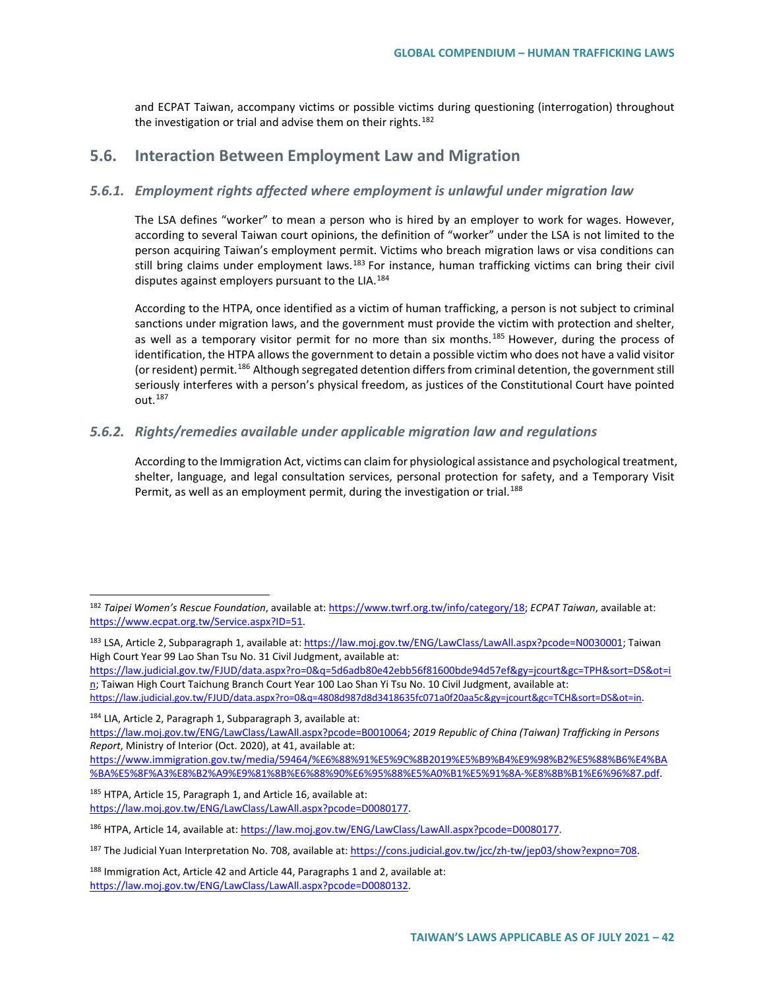and ECPAT Taiwan, accompany victims or possible victims during questioning (interrogation) throughout the investigation or trial and advise them on their rights.<sup>[182](#page-41-0)</sup>

## **5.6. Interaction Between Employment Law and Migration**

#### *5.6.1. Employment rights affected where employment is unlawful under migration law*

The LSA defines "worker" to mean a person who is hired by an employer to work for wages. However, according to several Taiwan court opinions, the definition of "worker" under the LSA is not limited to the person acquiring Taiwan's employment permit. Victims who breach migration laws or visa conditions can still bring claims under employment laws.<sup>[183](#page-41-1)</sup> For instance, human trafficking victims can bring their civil disputes against employers pursuant to the LIA.<sup>[184](#page-41-2)</sup>

According to the HTPA, once identified as a victim of human trafficking, a person is not subject to criminal sanctions under migration laws, and the government must provide the victim with protection and shelter, as well as a temporary visitor permit for no more than six months.<sup>[185](#page-41-3)</sup> However, during the process of identification, the HTPA allows the government to detain a possible victim who does not have a valid visitor (or resident) permit.<sup>[186](#page-41-4)</sup> Although segregated detention differs from criminal detention, the government still seriously interferes with a person's physical freedom, as justices of the Constitutional Court have pointed out.<sup>[187](#page-41-5)</sup>

#### *5.6.2. Rights/remedies available under applicable migration law and regulations*

According to the Immigration Act, victims can claim for physiological assistance and psychological treatment, shelter, language, and legal consultation services, personal protection for safety, and a Temporary Visit Permit, as well as an employment permit, during the investigation or trial.<sup>[188](#page-41-6)</sup>

[https://law.judicial.gov.tw/FJUD/data.aspx?ro=0&q=5d6adb80e42ebb56f81600bde94d57ef&gy=jcourt&gc=TPH&sort=DS&ot=i](https://law.judicial.gov.tw/FJUD/data.aspx?ro=0&q=5d6adb80e42ebb56f81600bde94d57ef&gy=jcourt&gc=TPH&sort=DS&ot=in) [n;](https://law.judicial.gov.tw/FJUD/data.aspx?ro=0&q=5d6adb80e42ebb56f81600bde94d57ef&gy=jcourt&gc=TPH&sort=DS&ot=in) Taiwan High Court Taichung Branch Court Year 100 Lao Shan Yi Tsu No. 10 Civil Judgment, available at:

[https://law.judicial.gov.tw/FJUD/data.aspx?ro=0&q=4808d987d8d3418635fc071a0f20aa5c&gy=jcourt&gc=TCH&sort=DS&ot=in.](https://law.judicial.gov.tw/FJUD/data.aspx?ro=0&q=4808d987d8d3418635fc071a0f20aa5c&gy=jcourt&gc=TCH&sort=DS&ot=in) <sup>184</sup> LIA, Article 2, Paragraph 1, Subparagraph 3, available at:

<span id="page-41-2"></span>[https://law.moj.gov.tw/ENG/LawClass/LawAll.aspx?pcode=B0010064;](https://law.moj.gov.tw/ENG/LawClass/LawAll.aspx?pcode=B0010064) *2019 Republic of China (Taiwan) Trafficking in Persons Report*, Ministry of Interior (Oct. 2020), at 41, available at:

<span id="page-41-3"></span>185 HTPA, Article 15, Paragraph 1, and Article 16, available at: [https://law.moj.gov.tw/ENG/LawClass/LawAll.aspx?pcode=D0080177.](https://law.moj.gov.tw/ENG/LawClass/LawAll.aspx?pcode=D0080177)

<span id="page-41-0"></span> <sup>182</sup> *Taipei Women's Rescue Foundation*, available at[: https://www.twrf.org.tw/info/category/18;](https://www.twrf.org.tw/info/category/18) *ECPAT Taiwan*, available at: [https://www.ecpat.org.tw/Service.aspx?ID=51.](https://www.ecpat.org.tw/Service.aspx?ID=51) 

<span id="page-41-1"></span><sup>183</sup> LSA, Article 2, Subparagraph 1, available at[: https://law.moj.gov.tw/ENG/LawClass/LawAll.aspx?pcode=N0030001;](https://law.moj.gov.tw/ENG/LawClass/LawAll.aspx?pcode=N0030001) Taiwan High Court Year 99 Lao Shan Tsu No. 31 Civil Judgment, available at:

[https://www.immigration.gov.tw/media/59464/%E6%88%91%E5%9C%8B2019%E5%B9%B4%E9%98%B2%E5%88%B6%E4%BA](https://www.immigration.gov.tw/media/59464/%E6%88%91%E5%9C%8B2019%E5%B9%B4%E9%98%B2%E5%88%B6%E4%BA%BA%E5%8F%A3%E8%B2%A9%E9%81%8B%E6%88%90%E6%95%88%E5%A0%B1%E5%91%8A-%E8%8B%B1%E6%96%87.pdf) [%BA%E5%8F%A3%E8%B2%A9%E9%81%8B%E6%88%90%E6%95%88%E5%A0%B1%E5%91%8A-%E8%8B%B1%E6%96%87.pdf.](https://www.immigration.gov.tw/media/59464/%E6%88%91%E5%9C%8B2019%E5%B9%B4%E9%98%B2%E5%88%B6%E4%BA%BA%E5%8F%A3%E8%B2%A9%E9%81%8B%E6%88%90%E6%95%88%E5%A0%B1%E5%91%8A-%E8%8B%B1%E6%96%87.pdf)

<span id="page-41-4"></span><sup>186</sup> HTPA, Article 14, available at[: https://law.moj.gov.tw/ENG/LawClass/LawAll.aspx?pcode=D0080177.](https://law.moj.gov.tw/ENG/LawClass/LawAll.aspx?pcode=D0080177)

<span id="page-41-5"></span><sup>187</sup> The Judicial Yuan Interpretation No. 708, available at[: https://cons.judicial.gov.tw/jcc/zh-tw/jep03/show?expno=708.](https://cons.judicial.gov.tw/jcc/zh-tw/jep03/show?expno=708)

<span id="page-41-6"></span> $188$  Immigration Act, Article 42 and Article 44, Paragraphs 1 and 2, available at: [https://law.moj.gov.tw/ENG/LawClass/LawAll.aspx?pcode=D0080132.](https://law.moj.gov.tw/ENG/LawClass/LawAll.aspx?pcode=D0080132)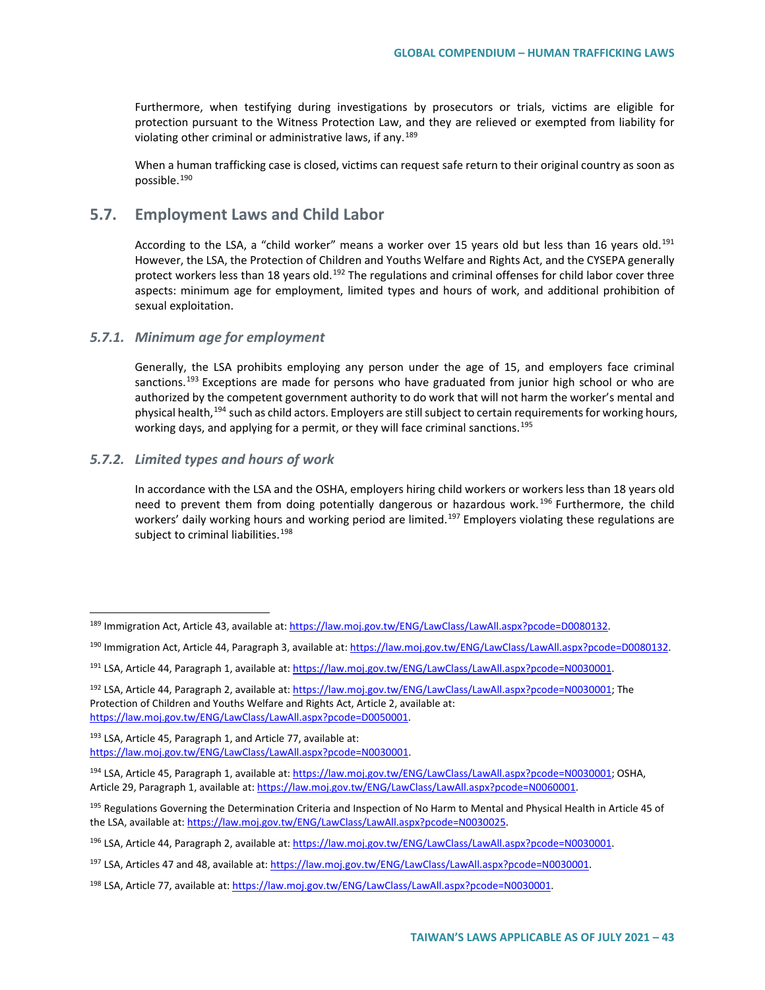Furthermore, when testifying during investigations by prosecutors or trials, victims are eligible for protection pursuant to the Witness Protection Law, and they are relieved or exempted from liability for violating other criminal or administrative laws, if any.<sup>[189](#page-42-0)</sup>

When a human trafficking case is closed, victims can request safe return to their original country as soon as possible.[190](#page-42-1)

## **5.7. Employment Laws and Child Labor**

According to the LSA, a "child worker" means a worker over 15 years old but less than 16 years old.<sup>[191](#page-42-2)</sup> However, the LSA, the Protection of Children and Youths Welfare and Rights Act, and the CYSEPA generally protect workers less than 18 years old.<sup>[192](#page-42-3)</sup> The regulations and criminal offenses for child labor cover three aspects: minimum age for employment, limited types and hours of work, and additional prohibition of sexual exploitation.

#### *5.7.1. Minimum age for employment*

Generally, the LSA prohibits employing any person under the age of 15, and employers face criminal sanctions.<sup>[193](#page-42-4)</sup> Exceptions are made for persons who have graduated from junior high school or who are authorized by the competent government authority to do work that will not harm the worker's mental and physical health,<sup>[194](#page-42-5)</sup> such as child actors. Employers are still subject to certain requirements for working hours, working days, and applying for a permit, or they will face criminal sanctions.<sup>[195](#page-42-6)</sup>

### *5.7.2. Limited types and hours of work*

In accordance with the LSA and the OSHA, employers hiring child workers or workers less than 18 years old need to prevent them from doing potentially dangerous or hazardous work.<sup>[196](#page-42-7)</sup> Furthermore, the child workers' daily working hours and working period are limited.<sup>[197](#page-42-8)</sup> Employers violating these regulations are subject to criminal liabilities.<sup>[198](#page-42-9)</sup>

<span id="page-42-1"></span><sup>190</sup> Immigration Act, Article 44, Paragraph 3, available at[: https://law.moj.gov.tw/ENG/LawClass/LawAll.aspx?pcode=D0080132.](https://law.moj.gov.tw/ENG/LawClass/LawAll.aspx?pcode=D0080132)

<span id="page-42-0"></span><sup>189</sup> Immigration Act, Article 43, available at: [https://law.moj.gov.tw/ENG/LawClass/LawAll.aspx?pcode=D0080132.](https://law.moj.gov.tw/ENG/LawClass/LawAll.aspx?pcode=D0080132)

<span id="page-42-2"></span><sup>191</sup> LSA, Article 44, Paragraph 1, available at[: https://law.moj.gov.tw/ENG/LawClass/LawAll.aspx?pcode=N0030001.](https://law.moj.gov.tw/ENG/LawClass/LawAll.aspx?pcode=N0030001)

<span id="page-42-3"></span><sup>192</sup> LSA, Article 44, Paragraph 2, available at[: https://law.moj.gov.tw/ENG/LawClass/LawAll.aspx?pcode=N0030001;](https://law.moj.gov.tw/ENG/LawClass/LawAll.aspx?pcode=N0030001) The Protection of Children and Youths Welfare and Rights Act, Article 2, available at: [https://law.moj.gov.tw/ENG/LawClass/LawAll.aspx?pcode=D0050001.](https://law.moj.gov.tw/ENG/LawClass/LawAll.aspx?pcode=D0050001)

<span id="page-42-4"></span><sup>193</sup> LSA, Article 45, Paragraph 1, and Article 77, available at: [https://law.moj.gov.tw/ENG/LawClass/LawAll.aspx?pcode=N0030001.](https://law.moj.gov.tw/ENG/LawClass/LawAll.aspx?pcode=N0030001)

<span id="page-42-5"></span><sup>194</sup> LSA, Article 45, Paragraph 1, available at[: https://law.moj.gov.tw/ENG/LawClass/LawAll.aspx?pcode=N0030001;](https://law.moj.gov.tw/ENG/LawClass/LawAll.aspx?pcode=N0030001) OSHA, Article 29, Paragraph 1, available at: [https://law.moj.gov.tw/ENG/LawClass/LawAll.aspx?pcode=N0060001.](https://law.moj.gov.tw/ENG/LawClass/LawAll.aspx?pcode=N0060001)

<span id="page-42-6"></span><sup>&</sup>lt;sup>195</sup> Regulations Governing the Determination Criteria and Inspection of No Harm to Mental and Physical Health in Article 45 of the LSA, available at: [https://law.moj.gov.tw/ENG/LawClass/LawAll.aspx?pcode=N0030025.](https://law.moj.gov.tw/ENG/LawClass/LawAll.aspx?pcode=N0030025)

<span id="page-42-7"></span><sup>196</sup> LSA, Article 44, Paragraph 2, available at[: https://law.moj.gov.tw/ENG/LawClass/LawAll.aspx?pcode=N0030001.](https://law.moj.gov.tw/ENG/LawClass/LawAll.aspx?pcode=N0030001)

<span id="page-42-8"></span><sup>197</sup> LSA, Articles 47 and 48, available at[: https://law.moj.gov.tw/ENG/LawClass/LawAll.aspx?pcode=N0030001.](https://law.moj.gov.tw/ENG/LawClass/LawAll.aspx?pcode=N0030001)

<span id="page-42-9"></span><sup>&</sup>lt;sup>198</sup> LSA, Article 77, available at[: https://law.moj.gov.tw/ENG/LawClass/LawAll.aspx?pcode=N0030001.](https://law.moj.gov.tw/ENG/LawClass/LawAll.aspx?pcode=N0030001)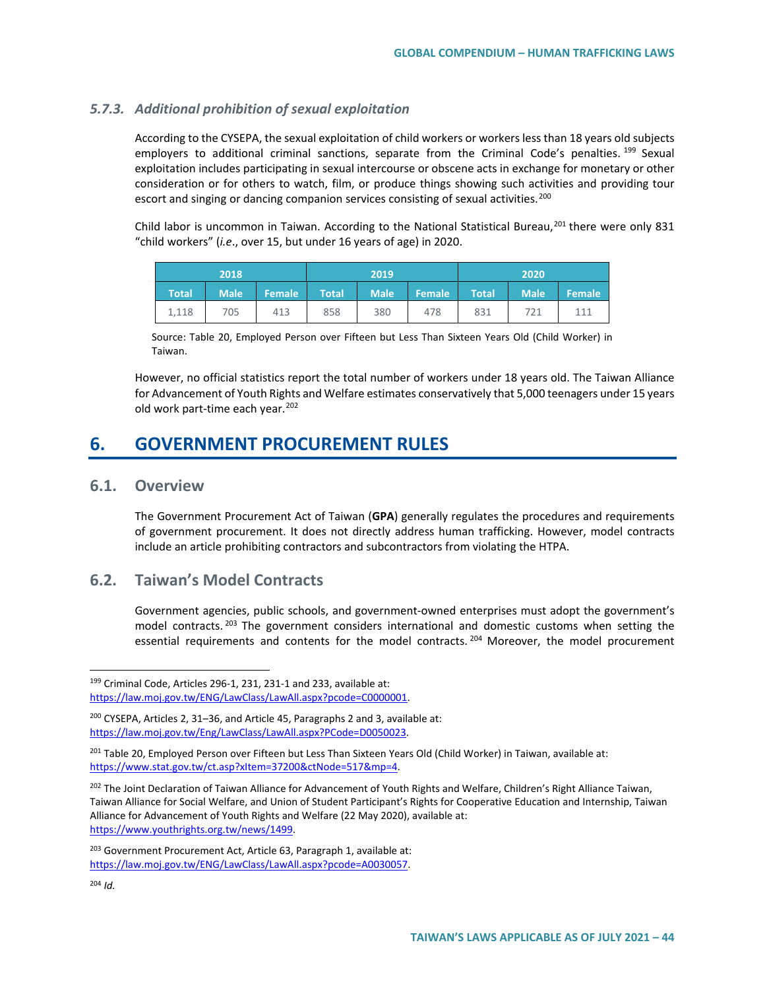#### *5.7.3. Additional prohibition of sexual exploitation*

According to the CYSEPA, the sexual exploitation of child workers or workers less than 18 years old subjects employers to additional criminal sanctions, separate from the Criminal Code's penalties. <sup>[199](#page-43-0)</sup> Sexual exploitation includes participating in sexual intercourse or obscene acts in exchange for monetary or other consideration or for others to watch, film, or produce things showing such activities and providing tour escort and singing or dancing companion services consisting of sexual activities.<sup>[200](#page-43-1)</sup>

Child labor is uncommon in Taiwan. According to the National Statistical Bureau,<sup>[201](#page-43-2)</sup> there were only 831 "child workers" (*i.e*., over 15, but under 16 years of age) in 2020.

| 2018  |             |        | 2019         |             | 2020'  |              |             |               |
|-------|-------------|--------|--------------|-------------|--------|--------------|-------------|---------------|
| Total | <b>Male</b> | Female | <b>Total</b> | <b>Male</b> | Female | <b>Total</b> | <b>Male</b> | <b>Female</b> |
| 1,118 | 705         | 413    | 858          | 380         | 478    | 831          | 721         | 111           |

Source: Table 20, Employed Person over Fifteen but Less Than Sixteen Years Old (Child Worker) in Taiwan.

However, no official statistics report the total number of workers under 18 years old. The Taiwan Alliance for Advancement of Youth Rights and Welfare estimates conservatively that 5,000 teenagers under 15 years old work part-time each year.<sup>[202](#page-43-3)</sup>

## **6. GOVERNMENT PROCUREMENT RULES**

#### **6.1. Overview**

The Government Procurement Act of Taiwan (**GPA**) generally regulates the procedures and requirements of government procurement. It does not directly address human trafficking. However, model contracts include an article prohibiting contractors and subcontractors from violating the HTPA.

## **6.2. Taiwan's Model Contracts**

Government agencies, public schools, and government-owned enterprises must adopt the government's model contracts.<sup>[203](#page-43-4)</sup> The government considers international and domestic customs when setting the essential requirements and contents for the model contracts. <sup>[204](#page-43-5)</sup> Moreover, the model procurement

<span id="page-43-0"></span> <sup>199</sup> Criminal Code, Articles 296-1, 231, 231-1 and 233, available at: [https://law.moj.gov.tw/ENG/LawClass/LawAll.aspx?pcode=C0000001.](https://law.moj.gov.tw/ENG/LawClass/LawAll.aspx?pcode=C0000001)

<span id="page-43-1"></span><sup>200</sup> CYSEPA, Articles 2, 31–36, and Article 45, Paragraphs 2 and 3, available at: [https://law.moj.gov.tw/Eng/LawClass/LawAll.aspx?PCode=D0050023.](https://law.moj.gov.tw/Eng/LawClass/LawAll.aspx?PCode=D0050023)

<span id="page-43-2"></span><sup>&</sup>lt;sup>201</sup> Table 20, Employed Person over Fifteen but Less Than Sixteen Years Old (Child Worker) in Taiwan, available at: [https://www.stat.gov.tw/ct.asp?xItem=37200&ctNode=517&mp=4.](https://www.stat.gov.tw/ct.asp?xItem=37200&ctNode=517&mp=4) 

<span id="page-43-3"></span><sup>&</sup>lt;sup>202</sup> The Joint Declaration of Taiwan Alliance for Advancement of Youth Rights and Welfare, Children's Right Alliance Taiwan, Taiwan Alliance for Social Welfare, and Union of Student Participant's Rights for Cooperative Education and Internship, Taiwan Alliance for Advancement of Youth Rights and Welfare (22 May 2020), available at: [https://www.youthrights.org.tw/news/1499.](https://www.youthrights.org.tw/news/1499) 

<span id="page-43-5"></span><span id="page-43-4"></span><sup>&</sup>lt;sup>203</sup> Government Procurement Act, Article 63, Paragraph 1, available at: [https://law.moj.gov.tw/ENG/LawClass/LawAll.aspx?pcode=A0030057.](https://law.moj.gov.tw/ENG/LawClass/LawAll.aspx?pcode=A0030057)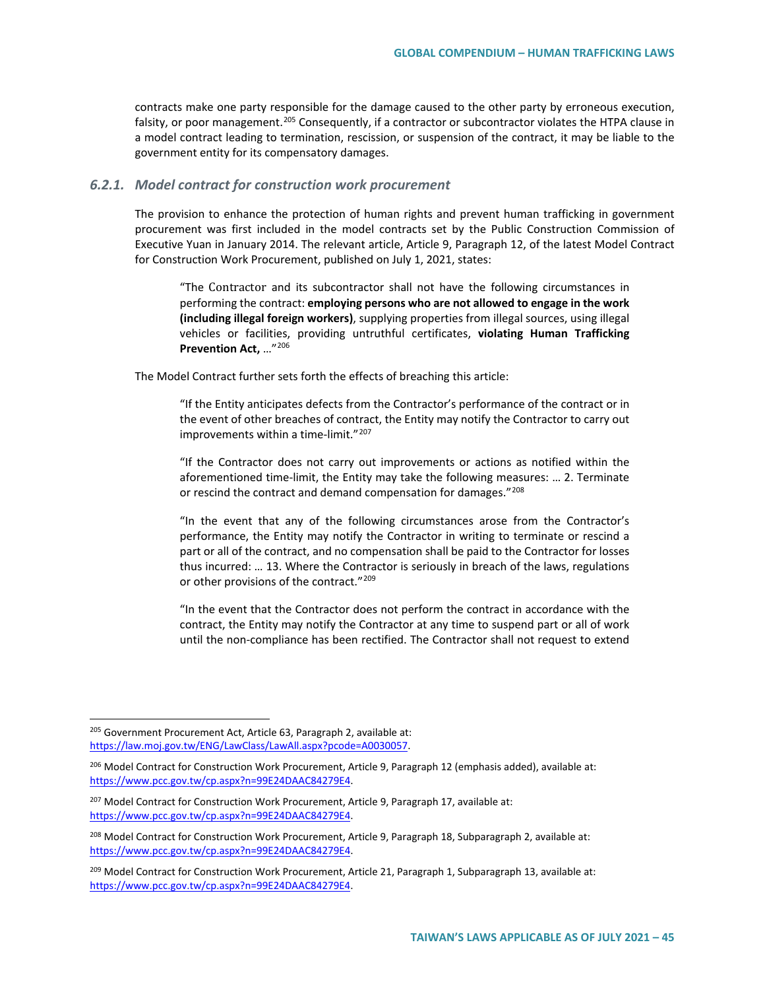contracts make one party responsible for the damage caused to the other party by erroneous execution, falsity, or poor management.<sup>[205](#page-44-0)</sup> Consequently, if a contractor or subcontractor violates the HTPA clause in a model contract leading to termination, rescission, or suspension of the contract, it may be liable to the government entity for its compensatory damages.

#### *6.2.1. Model contract for construction work procurement*

The provision to enhance the protection of human rights and prevent human trafficking in government procurement was first included in the model contracts set by the Public Construction Commission of Executive Yuan in January 2014. The relevant article, Article 9, Paragraph 12, of the latest Model Contract for Construction Work Procurement, published on July 1, 2021, states:

"The Contractor and its subcontractor shall not have the following circumstances in performing the contract: **employing persons who are not allowed to engage in the work (including illegal foreign workers)**, supplying properties from illegal sources, using illegal vehicles or facilities, providing untruthful certificates, **violating Human Trafficking Prevention Act,** …"[206](#page-44-1)

The Model Contract further sets forth the effects of breaching this article:

"If the Entity anticipates defects from the Contractor's performance of the contract or in the event of other breaches of contract, the Entity may notify the Contractor to carry out improvements within a time-limit."[207](#page-44-2)

"If the Contractor does not carry out improvements or actions as notified within the aforementioned time-limit, the Entity may take the following measures: … 2. Terminate or rescind the contract and demand compensation for damages."[208](#page-44-3)

"In the event that any of the following circumstances arose from the Contractor's performance, the Entity may notify the Contractor in writing to terminate or rescind a part or all of the contract, and no compensation shall be paid to the Contractor for losses thus incurred: … 13. Where the Contractor is seriously in breach of the laws, regulations or other provisions of the contract."<sup>[209](#page-44-4)</sup>

"In the event that the Contractor does not perform the contract in accordance with the contract, the Entity may notify the Contractor at any time to suspend part or all of work until the non-compliance has been rectified. The Contractor shall not request to extend

<span id="page-44-0"></span><sup>&</sup>lt;sup>205</sup> Government Procurement Act, Article 63, Paragraph 2, available at: [https://law.moj.gov.tw/ENG/LawClass/LawAll.aspx?pcode=A0030057.](https://law.moj.gov.tw/ENG/LawClass/LawAll.aspx?pcode=A0030057)

<span id="page-44-1"></span><sup>&</sup>lt;sup>206</sup> Model Contract for Construction Work Procurement, Article 9, Paragraph 12 (emphasis added), available at: [https://www.pcc.gov.tw/cp.aspx?n=99E24DAAC84279E4.](https://www.pcc.gov.tw/cp.aspx?n=99E24DAAC84279E4) 

<span id="page-44-2"></span><sup>&</sup>lt;sup>207</sup> Model Contract for Construction Work Procurement, Article 9, Paragraph 17, available at: [https://www.pcc.gov.tw/cp.aspx?n=99E24DAAC84279E4.](https://www.pcc.gov.tw/cp.aspx?n=99E24DAAC84279E4) 

<span id="page-44-3"></span><sup>&</sup>lt;sup>208</sup> Model Contract for Construction Work Procurement, Article 9, Paragraph 18, Subparagraph 2, available at: [https://www.pcc.gov.tw/cp.aspx?n=99E24DAAC84279E4.](https://www.pcc.gov.tw/cp.aspx?n=99E24DAAC84279E4) 

<span id="page-44-4"></span><sup>&</sup>lt;sup>209</sup> Model Contract for Construction Work Procurement, Article 21, Paragraph 1, Subparagraph 13, available at: [https://www.pcc.gov.tw/cp.aspx?n=99E24DAAC84279E4.](https://www.pcc.gov.tw/cp.aspx?n=99E24DAAC84279E4)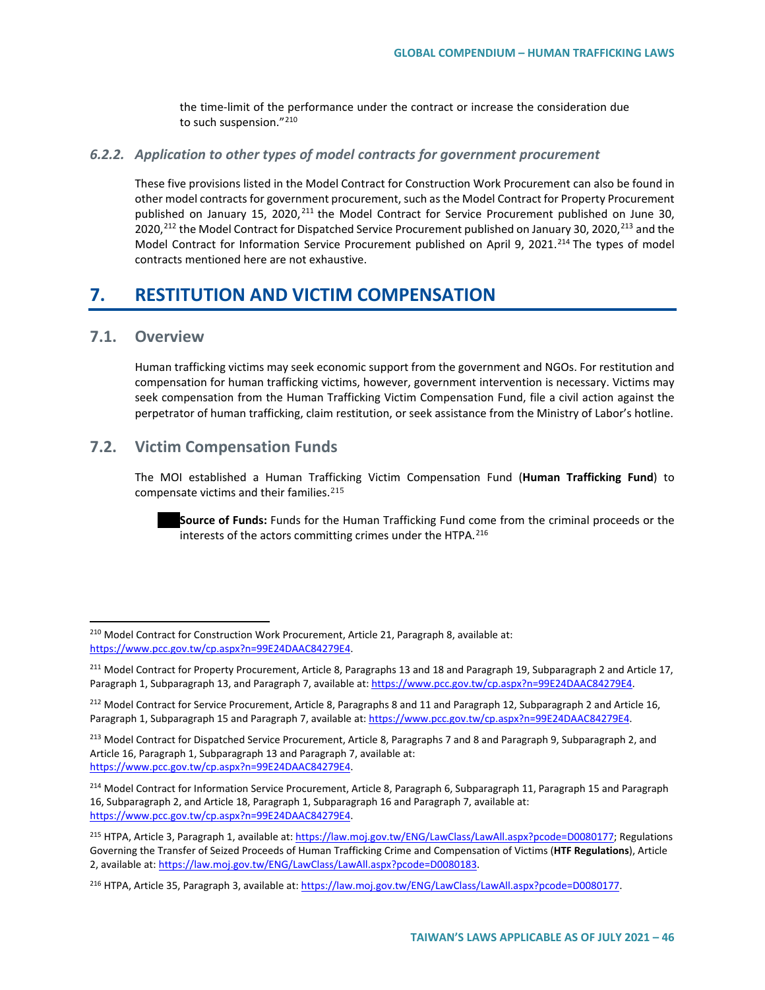the time-limit of the performance under the contract or increase the consideration due to such suspension."[210](#page-45-0)

#### *6.2.2. Application to other types of model contracts for government procurement*

These five provisions listed in the Model Contract for Construction Work Procurement can also be found in other model contracts for government procurement, such as the Model Contract for Property Procurement published on January 15, 2020, <sup>[211](#page-45-1)</sup> the Model Contract for Service Procurement published on June 30, 2020,<sup>[212](#page-45-2)</sup> the Model Contract for Dispatched Service Procurement published on January 30, 2020,<sup>[213](#page-45-3)</sup> and the Model Contract for Information Service Procurement published on April 9, 2021.<sup>[214](#page-45-4)</sup> The types of model contracts mentioned here are not exhaustive.

## **7. RESTITUTION AND VICTIM COMPENSATION**

## **7.1. Overview**

Human trafficking victims may seek economic support from the government and NGOs. For restitution and compensation for human trafficking victims, however, government intervention is necessary. Victims may seek compensation from the Human Trafficking Victim Compensation Fund, file a civil action against the perpetrator of human trafficking, claim restitution, or seek assistance from the Ministry of Labor's hotline.

## **7.2. Victim Compensation Funds**

The MOI established a Human Trafficking Victim Compensation Fund (**Human Trafficking Fund**) to compensate victims and their families.[215](#page-45-5)

**Source of Funds:** Funds for the Human Trafficking Fund come from the criminal proceeds or the interests of the actors committing crimes under the HTPA.<sup>[216](#page-45-6)</sup>

<span id="page-45-0"></span><sup>&</sup>lt;sup>210</sup> Model Contract for Construction Work Procurement, Article 21, Paragraph 8, available at: [https://www.pcc.gov.tw/cp.aspx?n=99E24DAAC84279E4.](https://www.pcc.gov.tw/cp.aspx?n=99E24DAAC84279E4) 

<span id="page-45-1"></span><sup>&</sup>lt;sup>211</sup> Model Contract for Property Procurement, Article 8, Paragraphs 13 and 18 and Paragraph 19, Subparagraph 2 and Article 17, Paragraph 1, Subparagraph 13, and Paragraph 7, available at[: https://www.pcc.gov.tw/cp.aspx?n=99E24DAAC84279E4.](https://www.pcc.gov.tw/cp.aspx?n=99E24DAAC84279E4)

<span id="page-45-2"></span><sup>&</sup>lt;sup>212</sup> Model Contract for Service Procurement, Article 8, Paragraphs 8 and 11 and Paragraph 12, Subparagraph 2 and Article 16, Paragraph 1, Subparagraph 15 and Paragraph 7, available at[: https://www.pcc.gov.tw/cp.aspx?n=99E24DAAC84279E4.](https://www.pcc.gov.tw/cp.aspx?n=99E24DAAC84279E4)

<span id="page-45-3"></span><sup>&</sup>lt;sup>213</sup> Model Contract for Dispatched Service Procurement, Article 8, Paragraphs 7 and 8 and Paragraph 9, Subparagraph 2, and Article 16, Paragraph 1, Subparagraph 13 and Paragraph 7, available at: [https://www.pcc.gov.tw/cp.aspx?n=99E24DAAC84279E4.](https://www.pcc.gov.tw/cp.aspx?n=99E24DAAC84279E4) 

<span id="page-45-4"></span><sup>&</sup>lt;sup>214</sup> Model Contract for Information Service Procurement, Article 8, Paragraph 6, Subparagraph 11, Paragraph 15 and Paragraph 16, Subparagraph 2, and Article 18, Paragraph 1, Subparagraph 16 and Paragraph 7, available at: [https://www.pcc.gov.tw/cp.aspx?n=99E24DAAC84279E4.](https://www.pcc.gov.tw/cp.aspx?n=99E24DAAC84279E4) 

<span id="page-45-5"></span><sup>&</sup>lt;sup>215</sup> HTPA, Article 3, Paragraph 1, available at[: https://law.moj.gov.tw/ENG/LawClass/LawAll.aspx?pcode=D0080177;](https://law.moj.gov.tw/ENG/LawClass/LawAll.aspx?pcode=D0080177) Regulations Governing the Transfer of Seized Proceeds of Human Trafficking Crime and Compensation of Victims (**HTF Regulations**), Article 2, available at: [https://law.moj.gov.tw/ENG/LawClass/LawAll.aspx?pcode=D0080183.](https://law.moj.gov.tw/ENG/LawClass/LawAll.aspx?pcode=D0080183)

<span id="page-45-6"></span><sup>&</sup>lt;sup>216</sup> HTPA, Article 35, Paragraph 3, available at[: https://law.moj.gov.tw/ENG/LawClass/LawAll.aspx?pcode=D0080177.](https://law.moj.gov.tw/ENG/LawClass/LawAll.aspx?pcode=D0080177)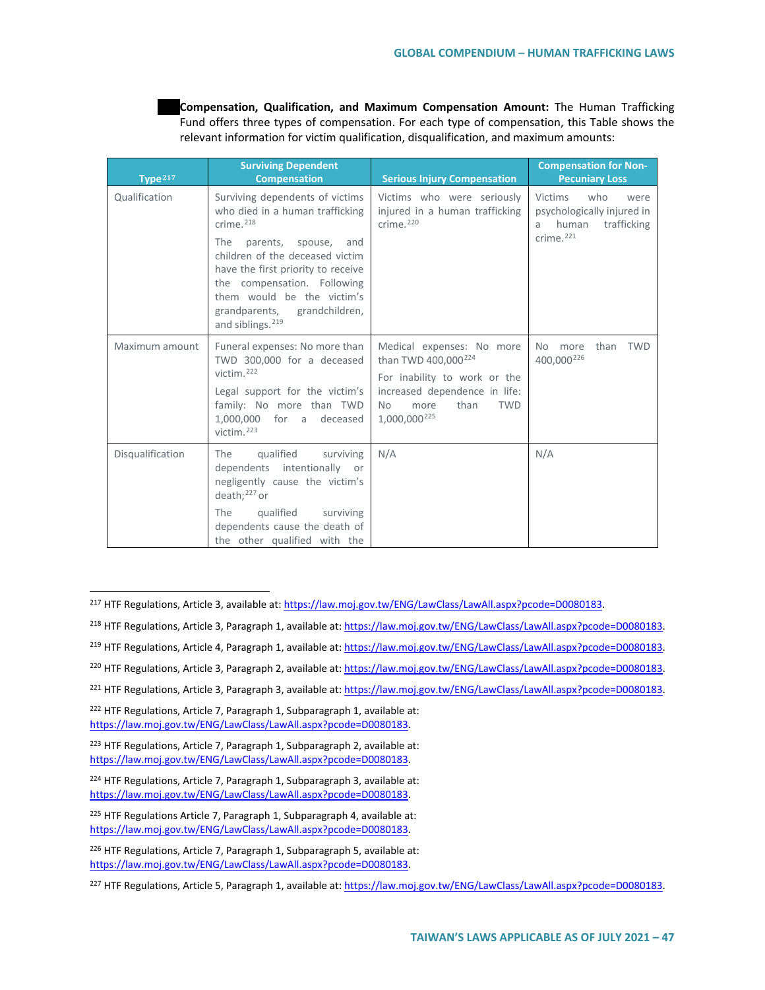**Compensation, Qualification, and Maximum Compensation Amount:** The Human Trafficking Fund offers three types of compensation. For each type of compensation, this Table shows the relevant information for victim qualification, disqualification, and maximum amounts:

| Type $217$       | <b>Surviving Dependent</b><br><b>Compensation</b>                                                                                                                                                                                                                                                                  | <b>Serious Injury Compensation</b>                                                                                                                                                                   | <b>Compensation for Non-</b><br><b>Pecuniary Loss</b>                                                             |
|------------------|--------------------------------------------------------------------------------------------------------------------------------------------------------------------------------------------------------------------------------------------------------------------------------------------------------------------|------------------------------------------------------------------------------------------------------------------------------------------------------------------------------------------------------|-------------------------------------------------------------------------------------------------------------------|
| Qualification    | Surviving dependents of victims<br>who died in a human trafficking<br>crime. $218$<br>The<br>parents, spouse,<br>and<br>children of the deceased victim<br>have the first priority to receive<br>the compensation. Following<br>them would be the victim's<br>grandparents,<br>grandchildren,<br>and siblings. 219 | Victims who were seriously<br>injured in a human trafficking<br>crime. $220$                                                                                                                         | <b>Victims</b><br>who<br>were<br>psychologically injured in<br>human<br>trafficking<br>a<br>crime. <sup>221</sup> |
| Maximum amount   | Funeral expenses: No more than<br>TWD 300,000 for a deceased<br>victim. <sup>222</sup><br>Legal support for the victim's<br>family: No more than TWD<br>1.000.000 for a deceased<br>victim $223$                                                                                                                   | Medical expenses: No more<br>than TWD 400,000 <sup>224</sup><br>For inability to work or the<br>increased dependence in life:<br>more<br>than<br><b>TWD</b><br><b>No</b><br>1,000,000 <sup>225</sup> | <b>TWD</b><br>than<br>No more<br>400,000 <sup>226</sup>                                                           |
| Disqualification | qualified<br>The<br>surviving<br>dependents intentionally or<br>negligently cause the victim's<br>death: $^{227}$ or<br>The<br>qualified<br>surviving<br>dependents cause the death of<br>the other qualified with the                                                                                             | N/A                                                                                                                                                                                                  | N/A                                                                                                               |

<span id="page-46-0"></span><sup>&</sup>lt;sup>217</sup> HTF Regulations, Article 3, available at[: https://law.moj.gov.tw/ENG/LawClass/LawAll.aspx?pcode=D0080183.](https://law.moj.gov.tw/ENG/LawClass/LawAll.aspx?pcode=D0080183)

- <span id="page-46-1"></span><sup>218</sup> HTF Regulations, Article 3, Paragraph 1, available at[: https://law.moj.gov.tw/ENG/LawClass/LawAll.aspx?pcode=D0080183.](https://law.moj.gov.tw/ENG/LawClass/LawAll.aspx?pcode=D0080183)
- <span id="page-46-2"></span><sup>219</sup> HTF Regulations, Article 4, Paragraph 1, available at[: https://law.moj.gov.tw/ENG/LawClass/LawAll.aspx?pcode=D0080183.](https://law.moj.gov.tw/ENG/LawClass/LawAll.aspx?pcode=D0080183)
- <span id="page-46-3"></span><sup>220</sup> HTF Regulations, Article 3, Paragraph 2, available at[: https://law.moj.gov.tw/ENG/LawClass/LawAll.aspx?pcode=D0080183.](https://law.moj.gov.tw/ENG/LawClass/LawAll.aspx?pcode=D0080183)

<span id="page-46-4"></span><sup>221</sup> HTF Regulations, Article 3, Paragraph 3, available at[: https://law.moj.gov.tw/ENG/LawClass/LawAll.aspx?pcode=D0080183.](https://law.moj.gov.tw/ENG/LawClass/LawAll.aspx?pcode=D0080183)

- <span id="page-46-5"></span><sup>222</sup> HTF Regulations, Article 7, Paragraph 1, Subparagraph 1, available at: [https://law.moj.gov.tw/ENG/LawClass/LawAll.aspx?pcode=D0080183.](https://law.moj.gov.tw/ENG/LawClass/LawAll.aspx?pcode=D0080183)
- <span id="page-46-6"></span><sup>223</sup> HTF Regulations, Article 7, Paragraph 1, Subparagraph 2, available at: [https://law.moj.gov.tw/ENG/LawClass/LawAll.aspx?pcode=D0080183.](https://law.moj.gov.tw/ENG/LawClass/LawAll.aspx?pcode=D0080183)
- <span id="page-46-7"></span><sup>224</sup> HTF Regulations, Article 7, Paragraph 1, Subparagraph 3, available at: [https://law.moj.gov.tw/ENG/LawClass/LawAll.aspx?pcode=D0080183.](https://law.moj.gov.tw/ENG/LawClass/LawAll.aspx?pcode=D0080183)
- <span id="page-46-8"></span><sup>225</sup> HTF Regulations Article 7, Paragraph 1, Subparagraph 4, available at: [https://law.moj.gov.tw/ENG/LawClass/LawAll.aspx?pcode=D0080183.](https://law.moj.gov.tw/ENG/LawClass/LawAll.aspx?pcode=D0080183)
- <span id="page-46-9"></span><sup>226</sup> HTF Regulations, Article 7, Paragraph 1, Subparagraph 5, available at: [https://law.moj.gov.tw/ENG/LawClass/LawAll.aspx?pcode=D0080183.](https://law.moj.gov.tw/ENG/LawClass/LawAll.aspx?pcode=D0080183)

<span id="page-46-10"></span><sup>&</sup>lt;sup>227</sup> HTF Regulations, Article 5, Paragraph 1, available at[: https://law.moj.gov.tw/ENG/LawClass/LawAll.aspx?pcode=D0080183.](https://law.moj.gov.tw/ENG/LawClass/LawAll.aspx?pcode=D0080183)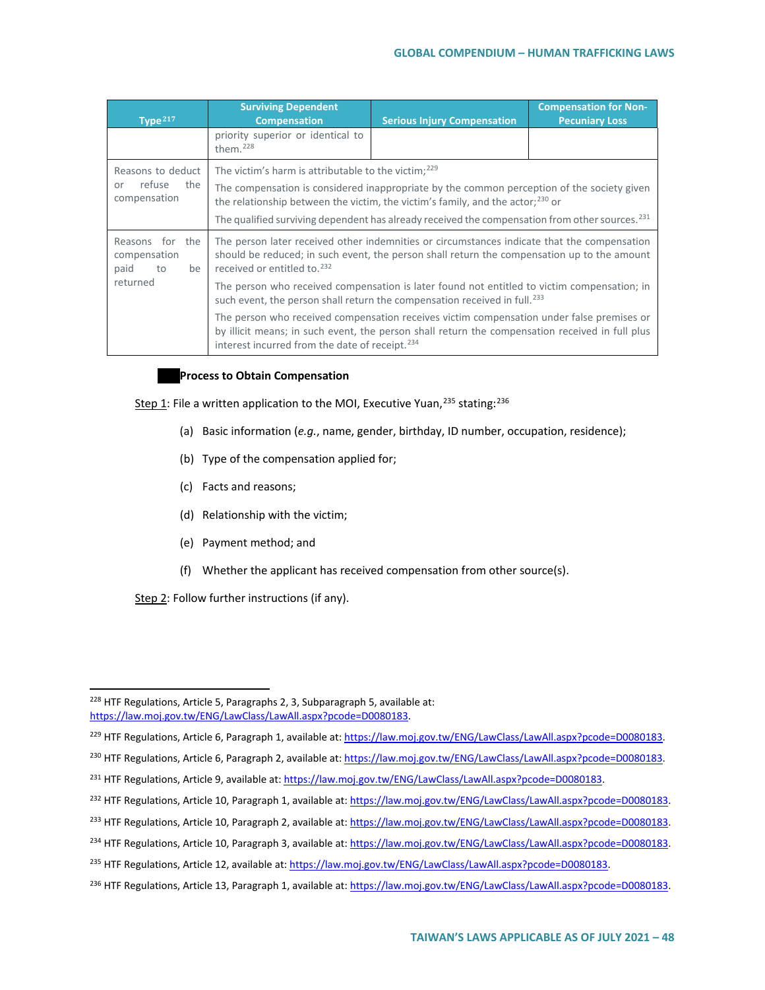| Type $217$                                               | <b>Surviving Dependent</b><br><b>Compensation</b>                                                                                                                                                                                                                                                                                                                | <b>Serious Injury Compensation</b> | <b>Compensation for Non-</b><br><b>Pecuniary Loss</b> |  |  |
|----------------------------------------------------------|------------------------------------------------------------------------------------------------------------------------------------------------------------------------------------------------------------------------------------------------------------------------------------------------------------------------------------------------------------------|------------------------------------|-------------------------------------------------------|--|--|
|                                                          | priority superior or identical to<br>them. $228$                                                                                                                                                                                                                                                                                                                 |                                    |                                                       |  |  |
| Reasons to deduct<br>refuse<br>the<br>or<br>compensation | The victim's harm is attributable to the victim; $229$<br>The compensation is considered inappropriate by the common perception of the society given<br>the relationship between the victim, the victim's family, and the actor; <sup>230</sup> or<br>The qualified surviving dependent has already received the compensation from other sources. <sup>231</sup> |                                    |                                                       |  |  |
| Reasons for the<br>compensation<br>paid<br>be<br>to      | The person later received other indemnities or circumstances indicate that the compensation<br>should be reduced; in such event, the person shall return the compensation up to the amount<br>received or entitled to. <sup>232</sup>                                                                                                                            |                                    |                                                       |  |  |
| returned                                                 | The person who received compensation is later found not entitled to victim compensation; in<br>such event, the person shall return the compensation received in full. <sup>233</sup>                                                                                                                                                                             |                                    |                                                       |  |  |
|                                                          | The person who received compensation receives victim compensation under false premises or<br>by illicit means; in such event, the person shall return the compensation received in full plus<br>interest incurred from the date of receipt. <sup>234</sup>                                                                                                       |                                    |                                                       |  |  |

#### **Process to Obtain Compensation**

Step 1: File a written application to the MOI, Executive Yuan,<sup>[235](#page-47-7)</sup> stating:<sup>[236](#page-47-8)</sup>

- (a) Basic information (*e.g.*, name, gender, birthday, ID number, occupation, residence);
- (b) Type of the compensation applied for;
- (c) Facts and reasons;
- (d) Relationship with the victim;
- (e) Payment method; and
- (f) Whether the applicant has received compensation from other source(s).

Step 2: Follow further instructions (if any).

<span id="page-47-2"></span><sup>230</sup> HTF Regulations, Article 6, Paragraph 2, available at[: https://law.moj.gov.tw/ENG/LawClass/LawAll.aspx?pcode=D0080183.](https://law.moj.gov.tw/ENG/LawClass/LawAll.aspx?pcode=D0080183)

<span id="page-47-4"></span><sup>232</sup> HTF Regulations, Article 10, Paragraph 1, available at[: https://law.moj.gov.tw/ENG/LawClass/LawAll.aspx?pcode=D0080183.](https://law.moj.gov.tw/ENG/LawClass/LawAll.aspx?pcode=D0080183)

<span id="page-47-0"></span><sup>&</sup>lt;sup>228</sup> HTF Regulations, Article 5, Paragraphs 2, 3, Subparagraph 5, available at: [https://law.moj.gov.tw/ENG/LawClass/LawAll.aspx?pcode=D0080183.](https://law.moj.gov.tw/ENG/LawClass/LawAll.aspx?pcode=D0080183)

<span id="page-47-1"></span><sup>&</sup>lt;sup>229</sup> HTF Regulations, Article 6, Paragraph 1, available at[: https://law.moj.gov.tw/ENG/LawClass/LawAll.aspx?pcode=D0080183.](https://law.moj.gov.tw/ENG/LawClass/LawAll.aspx?pcode=D0080183)

<span id="page-47-3"></span><sup>&</sup>lt;sup>231</sup> HTF Regulations, Article 9, available at[: https://law.moj.gov.tw/ENG/LawClass/LawAll.aspx?pcode=D0080183.](https://law.moj.gov.tw/ENG/LawClass/LawAll.aspx?pcode=D0080183)

<span id="page-47-5"></span><sup>233</sup> HTF Regulations, Article 10, Paragraph 2, available at[: https://law.moj.gov.tw/ENG/LawClass/LawAll.aspx?pcode=D0080183.](https://law.moj.gov.tw/ENG/LawClass/LawAll.aspx?pcode=D0080183)

<span id="page-47-6"></span><sup>&</sup>lt;sup>234</sup> HTF Regulations, Article 10, Paragraph 3, available at[: https://law.moj.gov.tw/ENG/LawClass/LawAll.aspx?pcode=D0080183.](https://law.moj.gov.tw/ENG/LawClass/LawAll.aspx?pcode=D0080183)

<span id="page-47-7"></span><sup>&</sup>lt;sup>235</sup> HTF Regulations, Article 12, available at: [https://law.moj.gov.tw/ENG/LawClass/LawAll.aspx?pcode=D0080183.](https://law.moj.gov.tw/ENG/LawClass/LawAll.aspx?pcode=D0080183)

<span id="page-47-8"></span><sup>&</sup>lt;sup>236</sup> HTF Regulations, Article 13, Paragraph 1, available at[: https://law.moj.gov.tw/ENG/LawClass/LawAll.aspx?pcode=D0080183.](https://law.moj.gov.tw/ENG/LawClass/LawAll.aspx?pcode=D0080183)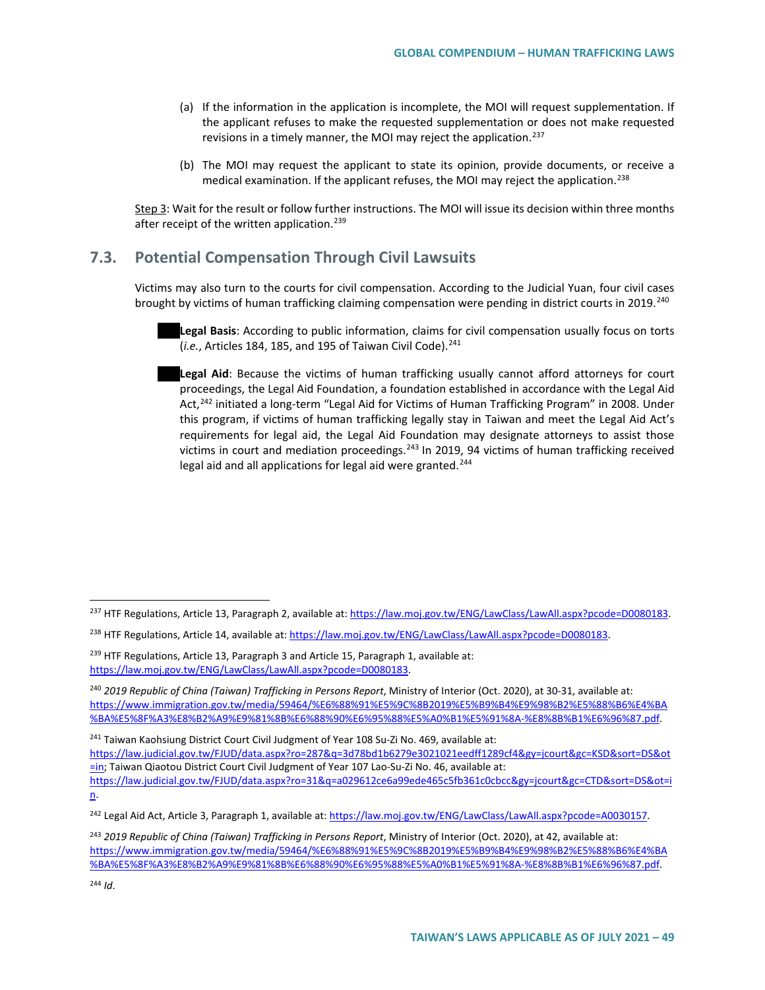- (a) If the information in the application is incomplete, the MOI will request supplementation. If the applicant refuses to make the requested supplementation or does not make requested revisions in a timely manner, the MOI may reject the application.<sup>[237](#page-48-0)</sup>
- (b) The MOI may request the applicant to state its opinion, provide documents, or receive a medical examination. If the applicant refuses, the MOI may reject the application.[238](#page-48-1)

Step 3: Wait for the result or follow further instructions. The MOI will issue its decision within three months after receipt of the written application.<sup>[239](#page-48-2)</sup>

## **7.3. Potential Compensation Through Civil Lawsuits**

Victims may also turn to the courts for civil compensation. According to the Judicial Yuan, four civil cases brought by victims of human trafficking claiming compensation were pending in district courts in 2019.<sup>[240](#page-48-3)</sup>

**Legal Basis**: According to public information, claims for civil compensation usually focus on torts (*i.e.*, Articles 184, 185, and 195 of Taiwan Civil Code).<sup>[241](#page-48-4)</sup>

**Legal Aid**: Because the victims of human trafficking usually cannot afford attorneys for court proceedings, the Legal Aid Foundation, a foundation established in accordance with the Legal Aid Act,<sup>[242](#page-48-5)</sup> initiated a long-term "Legal Aid for Victims of Human Trafficking Program" in 2008. Under this program, if victims of human trafficking legally stay in Taiwan and meet the Legal Aid Act's requirements for legal aid, the Legal Aid Foundation may designate attorneys to assist those victims in court and mediation proceedings.<sup>[243](#page-48-6)</sup> In 2019, 94 victims of human trafficking received legal aid and all applications for legal aid were granted. $244$ 

<span id="page-48-4"></span><sup>241</sup> Taiwan Kaohsiung District Court Civil Judgment of Year 108 Su-Zi No. 469, available at:

[https://law.judicial.gov.tw/FJUD/data.aspx?ro=287&q=3d78bd1b6279e3021021eedff1289cf4&gy=jcourt&gc=KSD&sort=DS&ot](https://law.judicial.gov.tw/FJUD/data.aspx?ro=287&q=3d78bd1b6279e3021021eedff1289cf4&gy=jcourt&gc=KSD&sort=DS&ot=in) [=in;](https://law.judicial.gov.tw/FJUD/data.aspx?ro=287&q=3d78bd1b6279e3021021eedff1289cf4&gy=jcourt&gc=KSD&sort=DS&ot=in) Taiwan Qiaotou District Court Civil Judgment of Year 107 Lao-Su-Zi No. 46, available at:

<span id="page-48-0"></span><sup>&</sup>lt;sup>237</sup> HTF Regulations, Article 13, Paragraph 2, available at[: https://law.moj.gov.tw/ENG/LawClass/LawAll.aspx?pcode=D0080183.](https://law.moj.gov.tw/ENG/LawClass/LawAll.aspx?pcode=D0080183)

<span id="page-48-1"></span><sup>&</sup>lt;sup>238</sup> HTF Regulations, Article 14, available at: [https://law.moj.gov.tw/ENG/LawClass/LawAll.aspx?pcode=D0080183.](https://law.moj.gov.tw/ENG/LawClass/LawAll.aspx?pcode=D0080183)

<span id="page-48-2"></span><sup>&</sup>lt;sup>239</sup> HTF Regulations, Article 13, Paragraph 3 and Article 15, Paragraph 1, available at: [https://law.moj.gov.tw/ENG/LawClass/LawAll.aspx?pcode=D0080183.](https://law.moj.gov.tw/ENG/LawClass/LawAll.aspx?pcode=D0080183)

<span id="page-48-3"></span><sup>240</sup> *2019 Republic of China (Taiwan) Trafficking in Persons Report*, Ministry of Interior (Oct. 2020), at 30-31, available at: [https://www.immigration.gov.tw/media/59464/%E6%88%91%E5%9C%8B2019%E5%B9%B4%E9%98%B2%E5%88%B6%E4%BA](https://www.immigration.gov.tw/media/59464/%E6%88%91%E5%9C%8B2019%E5%B9%B4%E9%98%B2%E5%88%B6%E4%BA%BA%E5%8F%A3%E8%B2%A9%E9%81%8B%E6%88%90%E6%95%88%E5%A0%B1%E5%91%8A-%E8%8B%B1%E6%96%87.pdf) [%BA%E5%8F%A3%E8%B2%A9%E9%81%8B%E6%88%90%E6%95%88%E5%A0%B1%E5%91%8A-%E8%8B%B1%E6%96%87.pdf.](https://www.immigration.gov.tw/media/59464/%E6%88%91%E5%9C%8B2019%E5%B9%B4%E9%98%B2%E5%88%B6%E4%BA%BA%E5%8F%A3%E8%B2%A9%E9%81%8B%E6%88%90%E6%95%88%E5%A0%B1%E5%91%8A-%E8%8B%B1%E6%96%87.pdf)

[https://law.judicial.gov.tw/FJUD/data.aspx?ro=31&q=a029612ce6a99ede465c5fb361c0cbcc&gy=jcourt&gc=CTD&sort=DS&ot=i](https://law.judicial.gov.tw/FJUD/data.aspx?ro=31&q=a029612ce6a99ede465c5fb361c0cbcc&gy=jcourt&gc=CTD&sort=DS&ot=in) [n.](https://law.judicial.gov.tw/FJUD/data.aspx?ro=31&q=a029612ce6a99ede465c5fb361c0cbcc&gy=jcourt&gc=CTD&sort=DS&ot=in)

<span id="page-48-5"></span><sup>&</sup>lt;sup>242</sup> Legal Aid Act, Article 3, Paragraph 1, available at[: https://law.moj.gov.tw/ENG/LawClass/LawAll.aspx?pcode=A0030157.](https://law.moj.gov.tw/ENG/LawClass/LawAll.aspx?pcode=A0030157)

<span id="page-48-7"></span><span id="page-48-6"></span><sup>243</sup> *2019 Republic of China (Taiwan) Trafficking in Persons Report*, Ministry of Interior (Oct. 2020), at 42, available at: [https://www.immigration.gov.tw/media/59464/%E6%88%91%E5%9C%8B2019%E5%B9%B4%E9%98%B2%E5%88%B6%E4%BA](https://www.immigration.gov.tw/media/59464/%E6%88%91%E5%9C%8B2019%E5%B9%B4%E9%98%B2%E5%88%B6%E4%BA%BA%E5%8F%A3%E8%B2%A9%E9%81%8B%E6%88%90%E6%95%88%E5%A0%B1%E5%91%8A-%E8%8B%B1%E6%96%87.pdf) [%BA%E5%8F%A3%E8%B2%A9%E9%81%8B%E6%88%90%E6%95%88%E5%A0%B1%E5%91%8A-%E8%8B%B1%E6%96%87.pdf.](https://www.immigration.gov.tw/media/59464/%E6%88%91%E5%9C%8B2019%E5%B9%B4%E9%98%B2%E5%88%B6%E4%BA%BA%E5%8F%A3%E8%B2%A9%E9%81%8B%E6%88%90%E6%95%88%E5%A0%B1%E5%91%8A-%E8%8B%B1%E6%96%87.pdf)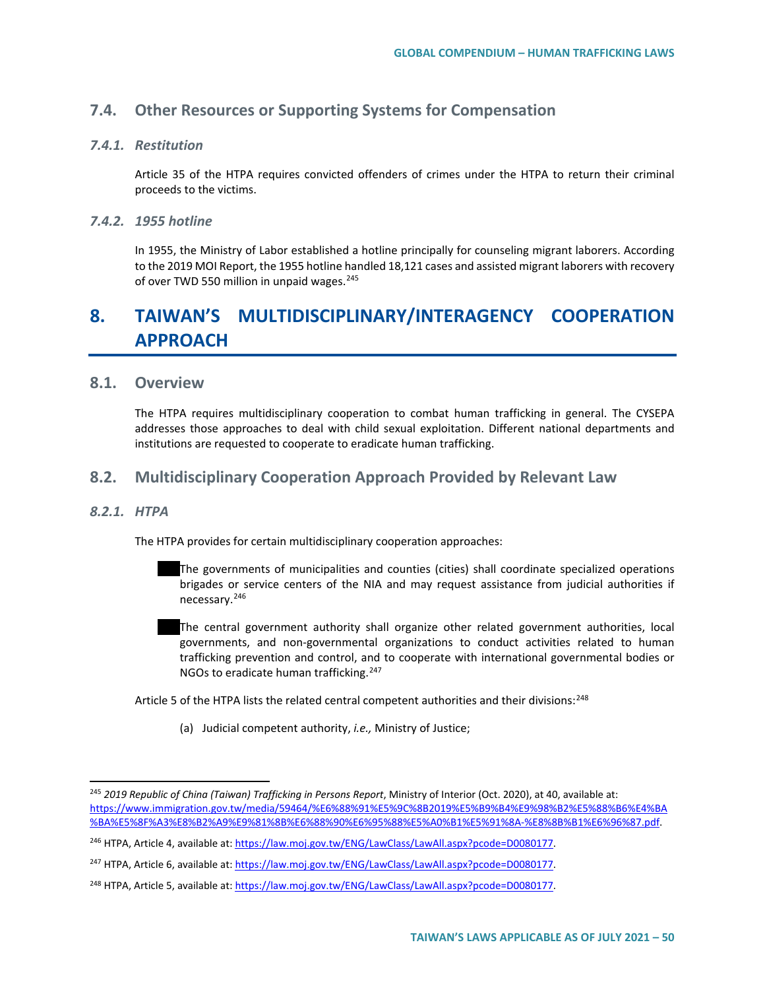## **7.4. Other Resources or Supporting Systems for Compensation**

### *7.4.1. Restitution*

Article 35 of the HTPA requires convicted offenders of crimes under the HTPA to return their criminal proceeds to the victims.

### *7.4.2. 1955 hotline*

In 1955, the Ministry of Labor established a hotline principally for counseling migrant laborers. According to the 2019 MOI Report, the 1955 hotline handled 18,121 cases and assisted migrant laborers with recovery of over TWD 550 million in unpaid wages.<sup>[245](#page-49-0)</sup>

# **8. TAIWAN'S MULTIDISCIPLINARY/INTERAGENCY COOPERATION APPROACH**

## **8.1. Overview**

The HTPA requires multidisciplinary cooperation to combat human trafficking in general. The CYSEPA addresses those approaches to deal with child sexual exploitation. Different national departments and institutions are requested to cooperate to eradicate human trafficking.

## **8.2. Multidisciplinary Cooperation Approach Provided by Relevant Law**

#### *8.2.1. HTPA*

The HTPA provides for certain multidisciplinary cooperation approaches:

- The governments of municipalities and counties (cities) shall coordinate specialized operations brigades or service centers of the NIA and may request assistance from judicial authorities if necessary.[246](#page-49-1)
- The central government authority shall organize other related government authorities, local governments, and non-governmental organizations to conduct activities related to human trafficking prevention and control, and to cooperate with international governmental bodies or NGOs to eradicate human trafficking.<sup>[247](#page-49-2)</sup>

Article 5 of the HTPA lists the related central competent authorities and their divisions:<sup>[248](#page-49-3)</sup>

(a) Judicial competent authority, *i.e.,* Ministry of Justice;

<span id="page-49-0"></span> <sup>245</sup> *2019 Republic of China (Taiwan) Trafficking in Persons Report*, Ministry of Interior (Oct. 2020), at 40, available at: [https://www.immigration.gov.tw/media/59464/%E6%88%91%E5%9C%8B2019%E5%B9%B4%E9%98%B2%E5%88%B6%E4%BA](https://www.immigration.gov.tw/media/59464/%E6%88%91%E5%9C%8B2019%E5%B9%B4%E9%98%B2%E5%88%B6%E4%BA%BA%E5%8F%A3%E8%B2%A9%E9%81%8B%E6%88%90%E6%95%88%E5%A0%B1%E5%91%8A-%E8%8B%B1%E6%96%87.pdf) [%BA%E5%8F%A3%E8%B2%A9%E9%81%8B%E6%88%90%E6%95%88%E5%A0%B1%E5%91%8A-%E8%8B%B1%E6%96%87.pdf.](https://www.immigration.gov.tw/media/59464/%E6%88%91%E5%9C%8B2019%E5%B9%B4%E9%98%B2%E5%88%B6%E4%BA%BA%E5%8F%A3%E8%B2%A9%E9%81%8B%E6%88%90%E6%95%88%E5%A0%B1%E5%91%8A-%E8%8B%B1%E6%96%87.pdf)

<span id="page-49-1"></span><sup>&</sup>lt;sup>246</sup> HTPA, Article 4, available at[: https://law.moj.gov.tw/ENG/LawClass/LawAll.aspx?pcode=D0080177.](https://law.moj.gov.tw/ENG/LawClass/LawAll.aspx?pcode=D0080177)

<span id="page-49-2"></span><sup>247</sup> HTPA, Article 6, available at[: https://law.moj.gov.tw/ENG/LawClass/LawAll.aspx?pcode=D0080177.](https://law.moj.gov.tw/ENG/LawClass/LawAll.aspx?pcode=D0080177)

<span id="page-49-3"></span><sup>&</sup>lt;sup>248</sup> HTPA, Article 5, available at[: https://law.moj.gov.tw/ENG/LawClass/LawAll.aspx?pcode=D0080177.](https://law.moj.gov.tw/ENG/LawClass/LawAll.aspx?pcode=D0080177)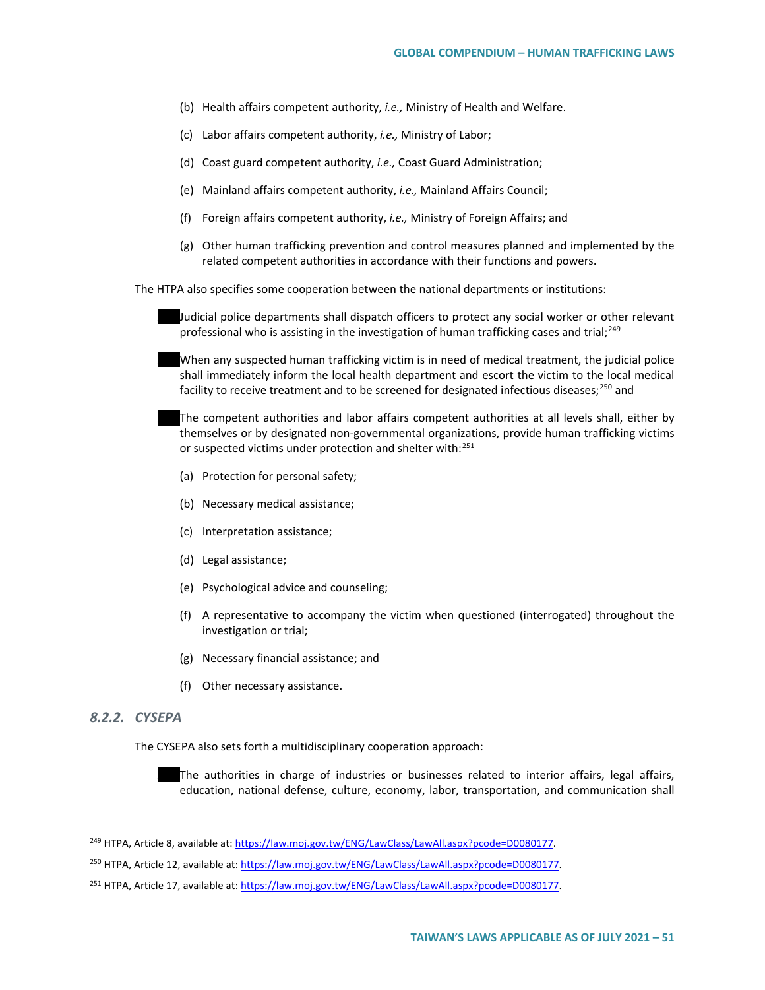- (b) Health affairs competent authority, *i.e.,* Ministry of Health and Welfare.
- (c) Labor affairs competent authority, *i.e.,* Ministry of Labor;
- (d) Coast guard competent authority, *i.e.,* Coast Guard Administration;
- (e) Mainland affairs competent authority, *i.e.,* Mainland Affairs Council;
- (f) Foreign affairs competent authority, *i.e.,* Ministry of Foreign Affairs; and
- (g) Other human trafficking prevention and control measures planned and implemented by the related competent authorities in accordance with their functions and powers.

The HTPA also specifies some cooperation between the national departments or institutions:

Judicial police departments shall dispatch officers to protect any social worker or other relevant professional who is assisting in the investigation of human trafficking cases and trial;<sup>[249](#page-50-0)</sup>

When any suspected human trafficking victim is in need of medical treatment, the judicial police shall immediately inform the local health department and escort the victim to the local medical facility to receive treatment and to be screened for designated infectious diseases;<sup>[250](#page-50-1)</sup> and

The competent authorities and labor affairs competent authorities at all levels shall, either by themselves or by designated non-governmental organizations, provide human trafficking victims or suspected victims under protection and shelter with:<sup>[251](#page-50-2)</sup>

- (a) Protection for personal safety;
- (b) Necessary medical assistance;
- (c) Interpretation assistance;
- (d) Legal assistance;
- (e) Psychological advice and counseling;
- (f) A representative to accompany the victim when questioned (interrogated) throughout the investigation or trial;
- (g) Necessary financial assistance; and
- (f) Other necessary assistance.

#### *8.2.2. CYSEPA*

The CYSEPA also sets forth a multidisciplinary cooperation approach:

The authorities in charge of industries or businesses related to interior affairs, legal affairs, education, national defense, culture, economy, labor, transportation, and communication shall

<span id="page-50-0"></span><sup>&</sup>lt;sup>249</sup> HTPA, Article 8, available at[: https://law.moj.gov.tw/ENG/LawClass/LawAll.aspx?pcode=D0080177.](https://law.moj.gov.tw/ENG/LawClass/LawAll.aspx?pcode=D0080177)

<span id="page-50-1"></span><sup>250</sup> HTPA, Article 12, available at[: https://law.moj.gov.tw/ENG/LawClass/LawAll.aspx?pcode=D0080177.](https://law.moj.gov.tw/ENG/LawClass/LawAll.aspx?pcode=D0080177)

<span id="page-50-2"></span><sup>&</sup>lt;sup>251</sup> HTPA, Article 17, available at[: https://law.moj.gov.tw/ENG/LawClass/LawAll.aspx?pcode=D0080177.](https://law.moj.gov.tw/ENG/LawClass/LawAll.aspx?pcode=D0080177)